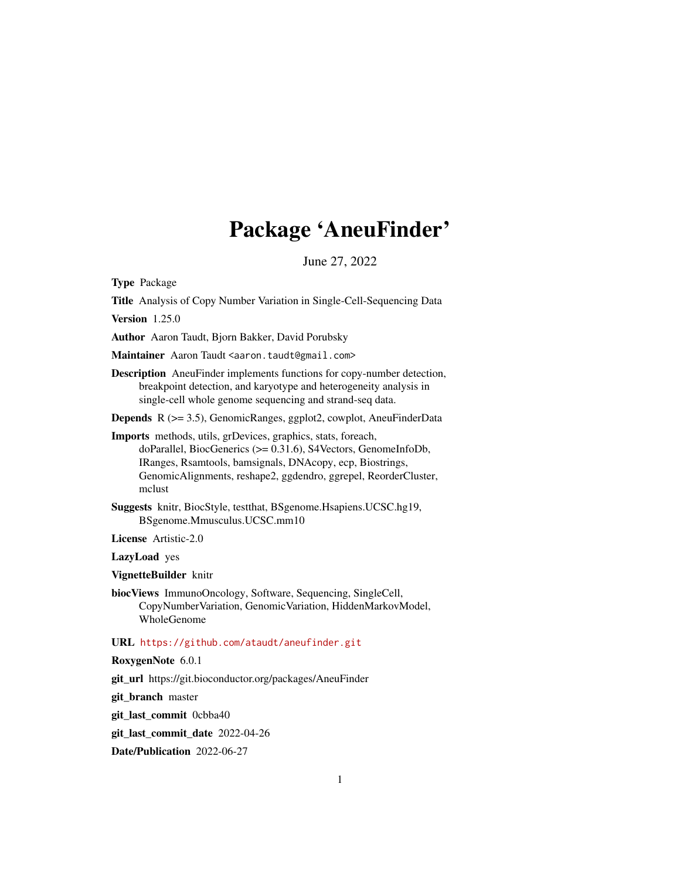# Package 'AneuFinder'

June 27, 2022

<span id="page-0-0"></span>Type Package

Title Analysis of Copy Number Variation in Single-Cell-Sequencing Data Version 1.25.0 Author Aaron Taudt, Bjorn Bakker, David Porubsky Maintainer Aaron Taudt <aaron.taudt@gmail.com> Description AneuFinder implements functions for copy-number detection, breakpoint detection, and karyotype and heterogeneity analysis in single-cell whole genome sequencing and strand-seq data. Depends R (>= 3.5), GenomicRanges, ggplot2, cowplot, AneuFinderData Imports methods, utils, grDevices, graphics, stats, foreach, doParallel, BiocGenerics (>= 0.31.6), S4Vectors, GenomeInfoDb, IRanges, Rsamtools, bamsignals, DNAcopy, ecp, Biostrings, GenomicAlignments, reshape2, ggdendro, ggrepel, ReorderCluster, mclust Suggests knitr, BiocStyle, testthat, BSgenome.Hsapiens.UCSC.hg19, BSgenome.Mmusculus.UCSC.mm10 License Artistic-2.0 LazyLoad yes VignetteBuilder knitr biocViews ImmunoOncology, Software, Sequencing, SingleCell, CopyNumberVariation, GenomicVariation, HiddenMarkovModel, WholeGenome URL <https://github.com/ataudt/aneufinder.git> RoxygenNote 6.0.1 git\_url https://git.bioconductor.org/packages/AneuFinder git\_branch master

git\_last\_commit 0cbba40

git\_last\_commit\_date 2022-04-26

Date/Publication 2022-06-27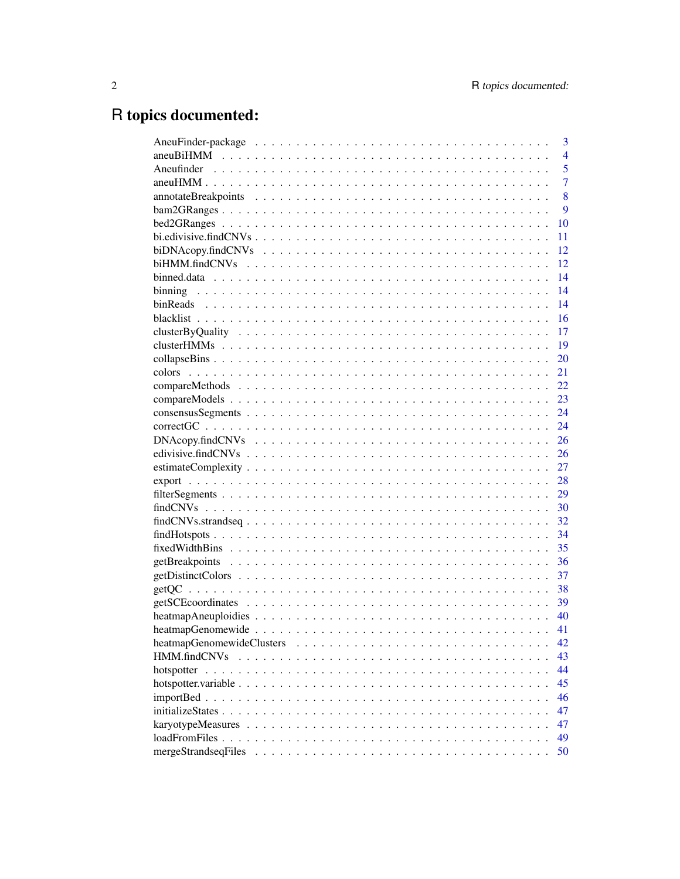# R topics documented:

|              | 3              |
|--------------|----------------|
|              | $\overline{4}$ |
|              | 5              |
|              | $\overline{7}$ |
|              | 8              |
|              | 9              |
|              | 10             |
|              | 11             |
|              | 12             |
|              | 12             |
|              | 14             |
|              | 14             |
|              | 14             |
|              | 16             |
|              | 17             |
|              | -19            |
|              | 20             |
|              | 21             |
|              | 22             |
|              | 23             |
|              | 24             |
|              | 24             |
|              | 26             |
|              | 26             |
|              | 27             |
|              | 28             |
|              | 29             |
|              | 30             |
|              | 32             |
|              | 34             |
|              | 35             |
|              | 36             |
|              | 37             |
|              | 38             |
|              |                |
|              | 40             |
|              | 41             |
|              | 42             |
| HMM.findCNVs | 43             |
|              | 44             |
|              | 45             |
|              | 46             |
|              | 47             |
|              | 47             |
|              | 49             |
|              | 50             |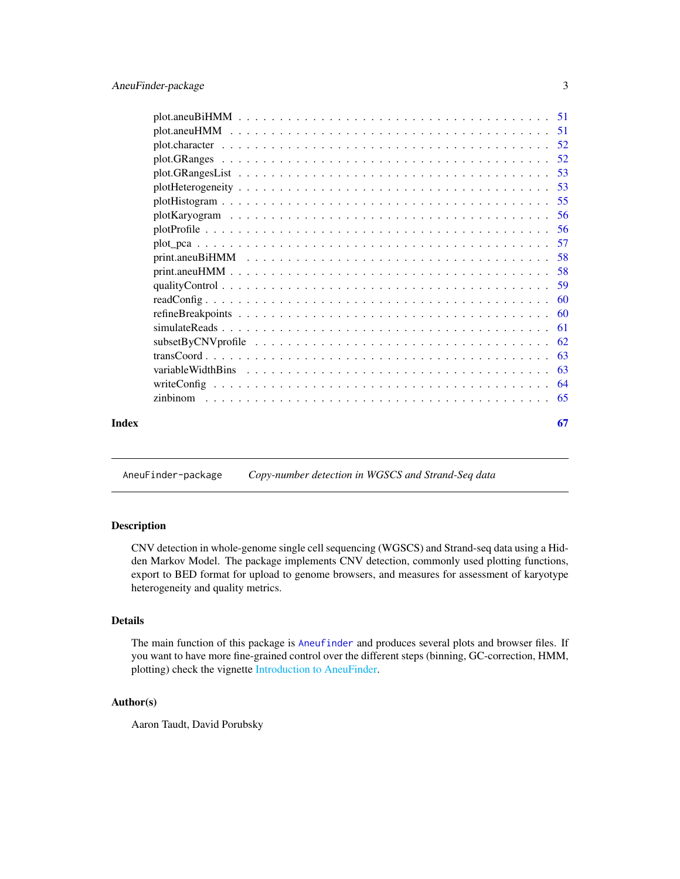<span id="page-2-0"></span>

| Index | 67 |
|-------|----|

AneuFinder-package *Copy-number detection in WGSCS and Strand-Seq data*

## <span id="page-2-1"></span>Description

CNV detection in whole-genome single cell sequencing (WGSCS) and Strand-seq data using a Hidden Markov Model. The package implements CNV detection, commonly used plotting functions, export to BED format for upload to genome browsers, and measures for assessment of karyotype heterogeneity and quality metrics.

## Details

The main function of this package is [Aneufinder](#page-4-1) and produces several plots and browser files. If you want to have more fine-grained control over the different steps (binning, GC-correction, HMM, plotting) check the vignette [Introduction to AneuFinder.](#page-0-0)

## Author(s)

Aaron Taudt, David Porubsky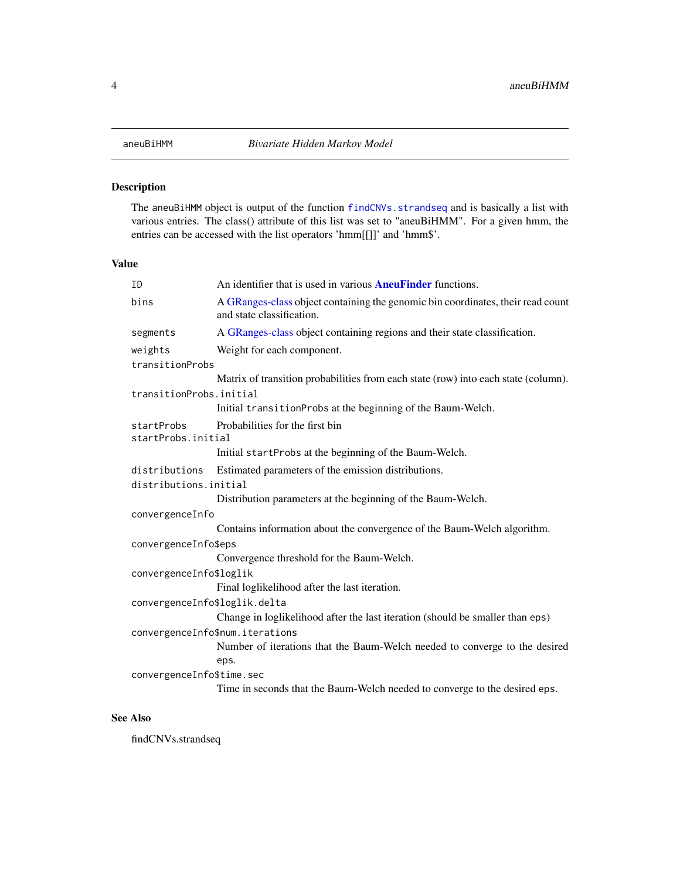## <span id="page-3-1"></span><span id="page-3-0"></span>Description

The aneuBiHMM object is output of the function [findCNVs.strandseq](#page-31-1) and is basically a list with various entries. The class() attribute of this list was set to "aneuBiHMM". For a given hmm, the entries can be accessed with the list operators 'hmm[[]]' and 'hmm\$'.

## Value

| ID                            | An identifier that is used in various <b>AneuFinder</b> functions.                                           |  |
|-------------------------------|--------------------------------------------------------------------------------------------------------------|--|
| bins                          | A GRanges-class object containing the genomic bin coordinates, their read count<br>and state classification. |  |
| segments                      | A GRanges-class object containing regions and their state classification.                                    |  |
| weights                       | Weight for each component.                                                                                   |  |
| transitionProbs               |                                                                                                              |  |
|                               | Matrix of transition probabilities from each state (row) into each state (column).                           |  |
| transitionProbs.initial       |                                                                                                              |  |
|                               | Initial transitionProbs at the beginning of the Baum-Welch.                                                  |  |
| startProbs                    | Probabilities for the first bin                                                                              |  |
| startProbs.initial            |                                                                                                              |  |
|                               | Initial startProbs at the beginning of the Baum-Welch.                                                       |  |
| distributions                 | Estimated parameters of the emission distributions.                                                          |  |
| distributions.initial         |                                                                                                              |  |
|                               | Distribution parameters at the beginning of the Baum-Welch.                                                  |  |
| convergenceInfo               |                                                                                                              |  |
|                               | Contains information about the convergence of the Baum-Welch algorithm.                                      |  |
| convergenceInfo\$eps          |                                                                                                              |  |
|                               | Convergence threshold for the Baum-Welch.                                                                    |  |
| convergenceInfo\$loglik       |                                                                                                              |  |
|                               | Final loglikelihood after the last iteration.                                                                |  |
| convergenceInfo\$loglik.delta |                                                                                                              |  |
|                               | Change in loglikelihood after the last iteration (should be smaller than eps)                                |  |
|                               | convergenceInfo\$num.iterations                                                                              |  |
|                               | Number of iterations that the Baum-Welch needed to converge to the desired                                   |  |
|                               | eps.                                                                                                         |  |
| convergenceInfo\$time.sec     |                                                                                                              |  |
|                               | Time in seconds that the Baum-Welch needed to converge to the desired eps.                                   |  |
|                               |                                                                                                              |  |

#### See Also

findCNVs.strandseq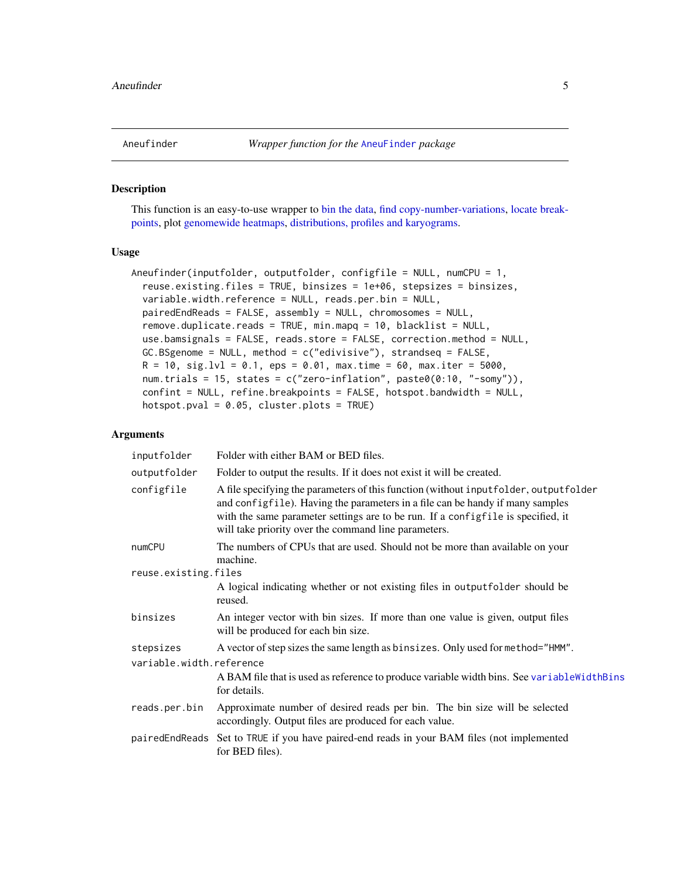<span id="page-4-1"></span><span id="page-4-0"></span>

## Description

This function is an easy-to-use wrapper to [bin the data,](#page-0-0) [find copy-number-variations,](#page-0-0) [locate break](#page-0-0)[points,](#page-0-0) plot [genomewide heatmaps,](#page-0-0) [distributions, profiles and karyograms.](#page-0-0)

#### Usage

```
Aneufinder(inputfolder, outputfolder, configfile = NULL, numCPU = 1,
  reuse.existing.files = TRUE, binsizes = 1e+06, stepsizes = binsizes,
  variable.width.reference = NULL, reads.per.bin = NULL,
 pairedEndReads = FALSE, assembly = NULL, chromosomes = NULL,
 remove.duplicate.reads = TRUE, min.mapq = 10, blacklist = NULL,
 use.bamsignals = FALSE, reads.store = FALSE, correction.method = NULL,
 GC.BSgenome = NULL, method = c("edivisive"), strandseq = FALSE,
 R = 10, sig.lvl = 0.1, eps = 0.01, max.time = 60, max.iter = 5000,
 num.trials = 15, states = c("zero-inflation", paste0(0:10, "-somy")),
  confint = NULL, refine.breakpoints = FALSE, hotspot.bandwidth = NULL,
  hotspot.pval = 0.05, cluster.plots = TRUE
```

| inputfolder              | Folder with either BAM or BED files.                                                                                                                                                                                                                                                                                |
|--------------------------|---------------------------------------------------------------------------------------------------------------------------------------------------------------------------------------------------------------------------------------------------------------------------------------------------------------------|
| outputfolder             | Folder to output the results. If it does not exist it will be created.                                                                                                                                                                                                                                              |
| configfile               | A file specifying the parameters of this function (without input folder, output folder<br>and configfile). Having the parameters in a file can be handy if many samples<br>with the same parameter settings are to be run. If a configfile is specified, it<br>will take priority over the command line parameters. |
| numCPU                   | The numbers of CPUs that are used. Should not be more than available on your<br>machine.                                                                                                                                                                                                                            |
| reuse.existing.files     |                                                                                                                                                                                                                                                                                                                     |
|                          | A logical indicating whether or not existing files in outputfolder should be<br>reused.                                                                                                                                                                                                                             |
| binsizes                 | An integer vector with bin sizes. If more than one value is given, output files<br>will be produced for each bin size.                                                                                                                                                                                              |
| stepsizes                | A vector of step sizes the same length as binsizes. Only used for method="HMM".                                                                                                                                                                                                                                     |
| variable.width.reference |                                                                                                                                                                                                                                                                                                                     |
|                          | A BAM file that is used as reference to produce variable width bins. See variable WidthBins<br>for details.                                                                                                                                                                                                         |
| reads.per.bin            | Approximate number of desired reads per bin. The bin size will be selected<br>accordingly. Output files are produced for each value.                                                                                                                                                                                |
|                          | pairedEndReads Set to TRUE if you have paired-end reads in your BAM files (not implemented<br>for BED files).                                                                                                                                                                                                       |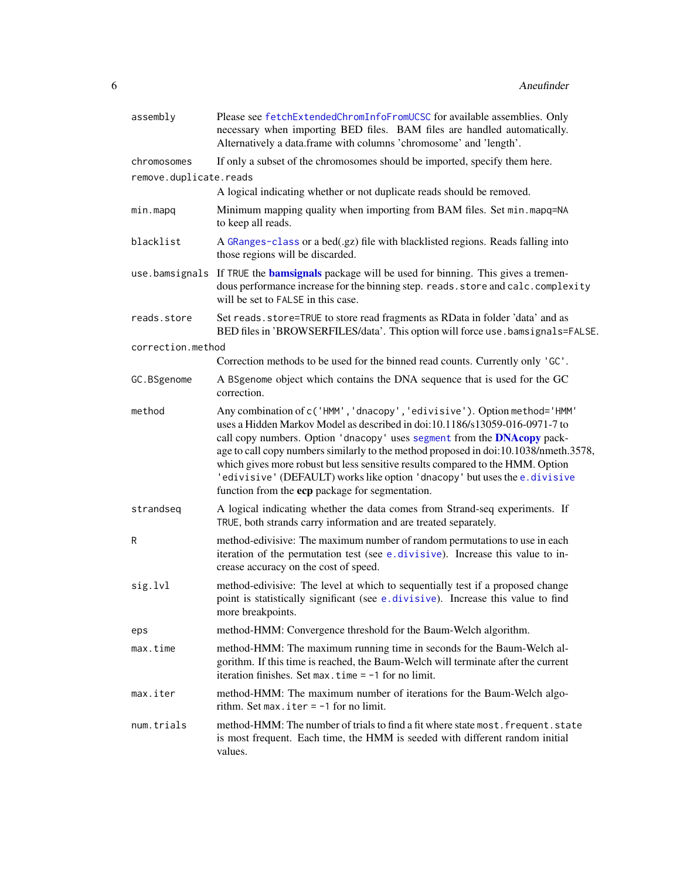<span id="page-5-0"></span>

| assembly               | Please see fetchExtendedChromInfoFromUCSC for available assemblies. Only<br>necessary when importing BED files. BAM files are handled automatically.<br>Alternatively a data.frame with columns 'chromosome' and 'length'.                                                                                                                                                                                                                                                                                                                   |
|------------------------|----------------------------------------------------------------------------------------------------------------------------------------------------------------------------------------------------------------------------------------------------------------------------------------------------------------------------------------------------------------------------------------------------------------------------------------------------------------------------------------------------------------------------------------------|
| chromosomes            | If only a subset of the chromosomes should be imported, specify them here.                                                                                                                                                                                                                                                                                                                                                                                                                                                                   |
| remove.duplicate.reads |                                                                                                                                                                                                                                                                                                                                                                                                                                                                                                                                              |
|                        | A logical indicating whether or not duplicate reads should be removed.                                                                                                                                                                                                                                                                                                                                                                                                                                                                       |
| min.mapq               | Minimum mapping quality when importing from BAM files. Set min. mapq=NA<br>to keep all reads.                                                                                                                                                                                                                                                                                                                                                                                                                                                |
| blacklist              | A GRanges-class or a bed(.gz) file with blacklisted regions. Reads falling into<br>those regions will be discarded.                                                                                                                                                                                                                                                                                                                                                                                                                          |
|                        | use bamsignals If TRUE the bamsignals package will be used for binning. This gives a tremen-<br>dous performance increase for the binning step. reads. store and calc. complexity<br>will be set to FALSE in this case.                                                                                                                                                                                                                                                                                                                      |
| reads.store            | Set reads. store=TRUE to store read fragments as RData in folder 'data' and as<br>BED files in 'BROWSERFILES/data'. This option will force use . bamsignals=FALSE.                                                                                                                                                                                                                                                                                                                                                                           |
| correction.method      |                                                                                                                                                                                                                                                                                                                                                                                                                                                                                                                                              |
|                        | Correction methods to be used for the binned read counts. Currently only 'GC'.                                                                                                                                                                                                                                                                                                                                                                                                                                                               |
| GC.BSgenome            | A BSgenome object which contains the DNA sequence that is used for the GC<br>correction.                                                                                                                                                                                                                                                                                                                                                                                                                                                     |
| method                 | Any combination of c('HMM', 'dnacopy', 'edivisive'). Option method='HMM'<br>uses a Hidden Markov Model as described in doi:10.1186/s13059-016-0971-7 to<br>call copy numbers. Option 'dnacopy' uses segment from the DNAcopy pack-<br>age to call copy numbers similarly to the method proposed in doi:10.1038/nmeth.3578,<br>which gives more robust but less sensitive results compared to the HMM. Option<br>'edivisive' (DEFAULT) works like option 'dnacopy' but uses the e.divisive<br>function from the ecp package for segmentation. |
| strandseq              | A logical indicating whether the data comes from Strand-seq experiments. If<br>TRUE, both strands carry information and are treated separately.                                                                                                                                                                                                                                                                                                                                                                                              |
| R                      | method-edivisive: The maximum number of random permutations to use in each<br>iteration of the permutation test (see e.divisive). Increase this value to in-<br>crease accuracy on the cost of speed.                                                                                                                                                                                                                                                                                                                                        |
| sig.lvl                | method-edivisive: The level at which to sequentially test if a proposed change<br>point is statistically significant (see e.divisive). Increase this value to find<br>more breakpoints.                                                                                                                                                                                                                                                                                                                                                      |
| eps                    | method-HMM: Convergence threshold for the Baum-Welch algorithm.                                                                                                                                                                                                                                                                                                                                                                                                                                                                              |
| max.time               | method-HMM: The maximum running time in seconds for the Baum-Welch al-<br>gorithm. If this time is reached, the Baum-Welch will terminate after the current<br>iteration finishes. Set max. time $= -1$ for no limit.                                                                                                                                                                                                                                                                                                                        |
| max.iter               | method-HMM: The maximum number of iterations for the Baum-Welch algo-<br>rithm. Set max. iter $= -1$ for no limit.                                                                                                                                                                                                                                                                                                                                                                                                                           |
| num.trials             | method-HMM: The number of trials to find a fit where state most. frequent. state<br>is most frequent. Each time, the HMM is seeded with different random initial<br>values.                                                                                                                                                                                                                                                                                                                                                                  |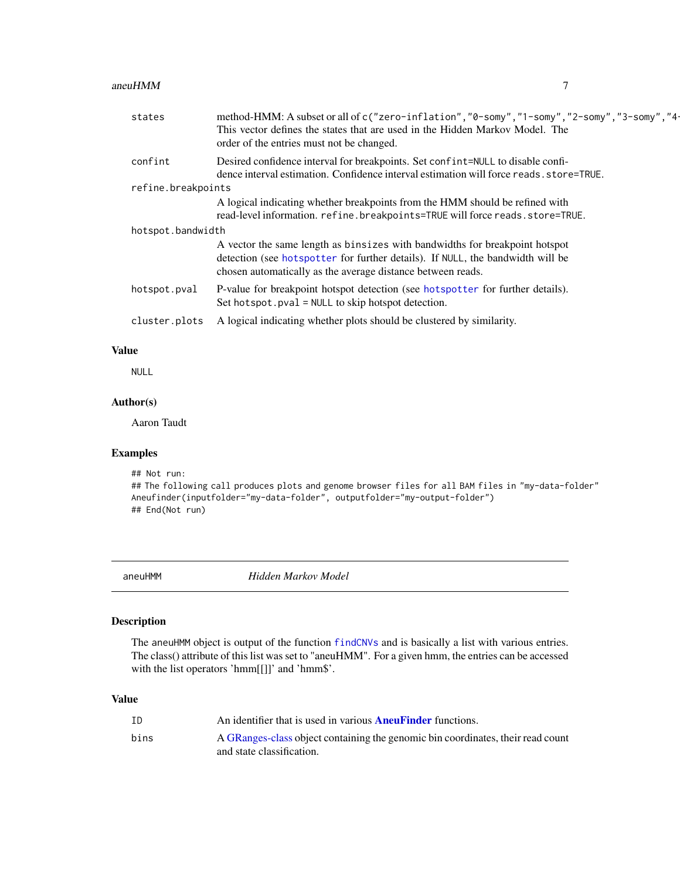#### <span id="page-6-0"></span> $a$ neuHMM  $\overline{7}$

| states             | method-HMM: A subset or all of c("zero-inflation", "0-somy", "1-somy", "2-somy", "3-somy", "4-<br>This vector defines the states that are used in the Hidden Markov Model. The<br>order of the entries must not be changed.  |
|--------------------|------------------------------------------------------------------------------------------------------------------------------------------------------------------------------------------------------------------------------|
| confint            | Desired confidence interval for breakpoints. Set confint=NULL to disable confi-<br>dence interval estimation. Confidence interval estimation will force reads, store=TRUE.                                                   |
| refine.breakpoints |                                                                                                                                                                                                                              |
|                    | A logical indicating whether breakpoints from the HMM should be refined with                                                                                                                                                 |
|                    | read-level information. refine.breakpoints=TRUE will force reads.store=TRUE.                                                                                                                                                 |
| hotspot.bandwidth  |                                                                                                                                                                                                                              |
|                    | A vector the same length as binsizes with bandwidths for breakpoint hotspot<br>detection (see hotspotter for further details). If NULL, the bandwidth will be<br>chosen automatically as the average distance between reads. |
| hotspot.pval       | P-value for breakpoint hotspot detection (see hotspotter for further details).<br>Set hotspot. pval = NULL to skip hotspot detection.                                                                                        |
| cluster.plots      | A logical indicating whether plots should be clustered by similarity.                                                                                                                                                        |
|                    |                                                                                                                                                                                                                              |

## Value

NULL

## Author(s)

Aaron Taudt

## Examples

```
## Not run:
## The following call produces plots and genome browser files for all BAM files in "my-data-folder"
Aneufinder(inputfolder="my-data-folder", outputfolder="my-output-folder")
## End(Not run)
```
<span id="page-6-1"></span>aneuHMM *Hidden Markov Model*

## Description

The aneuHMM object is output of the function [findCNVs](#page-29-1) and is basically a list with various entries. The class() attribute of this list was set to "aneuHMM". For a given hmm, the entries can be accessed with the list operators 'hmm[[]]' and 'hmm\$'.

## Value

| ID   | An identifier that is used in various <b>AneuFinder</b> functions.              |
|------|---------------------------------------------------------------------------------|
| bins | A GRanges-class object containing the genomic bin coordinates, their read count |
|      | and state classification.                                                       |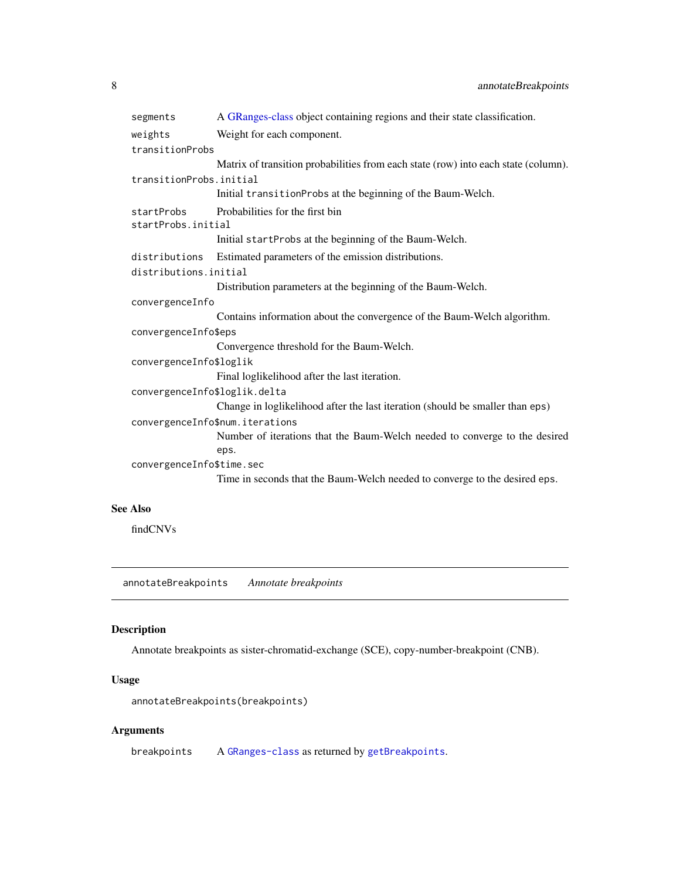<span id="page-7-0"></span>

| segments                         | A GRanges-class object containing regions and their state classification.          |  |
|----------------------------------|------------------------------------------------------------------------------------|--|
| weights                          | Weight for each component.                                                         |  |
| transitionProbs                  |                                                                                    |  |
|                                  | Matrix of transition probabilities from each state (row) into each state (column). |  |
| transitionProbs.initial          |                                                                                    |  |
|                                  | Initial transitionProbs at the beginning of the Baum-Welch.                        |  |
| startProbs<br>startProbs.initial | Probabilities for the first bin                                                    |  |
|                                  | Initial startProbs at the beginning of the Baum-Welch.                             |  |
| distributions                    | Estimated parameters of the emission distributions.                                |  |
| distributions.initial            |                                                                                    |  |
|                                  | Distribution parameters at the beginning of the Baum-Welch.                        |  |
| convergenceInfo                  |                                                                                    |  |
|                                  | Contains information about the convergence of the Baum-Welch algorithm.            |  |
| convergenceInfo\$eps             |                                                                                    |  |
|                                  | Convergence threshold for the Baum-Welch.                                          |  |
| convergenceInfo\$loglik          |                                                                                    |  |
|                                  | Final loglikelihood after the last iteration.                                      |  |
| convergenceInfo\$loglik.delta    |                                                                                    |  |
|                                  | Change in loglikelihood after the last iteration (should be smaller than eps)      |  |
| convergenceInfo\$num.iterations  |                                                                                    |  |
|                                  | Number of iterations that the Baum-Welch needed to converge to the desired         |  |
|                                  | eps.                                                                               |  |
| convergenceInfo\$time.sec        |                                                                                    |  |
|                                  | Time in seconds that the Baum-Welch needed to converge to the desired eps.         |  |
|                                  |                                                                                    |  |

## See Also

findCNVs

annotateBreakpoints *Annotate breakpoints*

## Description

Annotate breakpoints as sister-chromatid-exchange (SCE), copy-number-breakpoint (CNB).

## Usage

annotateBreakpoints(breakpoints)

## Arguments

breakpoints A [GRanges-class](#page-0-0) as returned by [getBreakpoints](#page-35-1).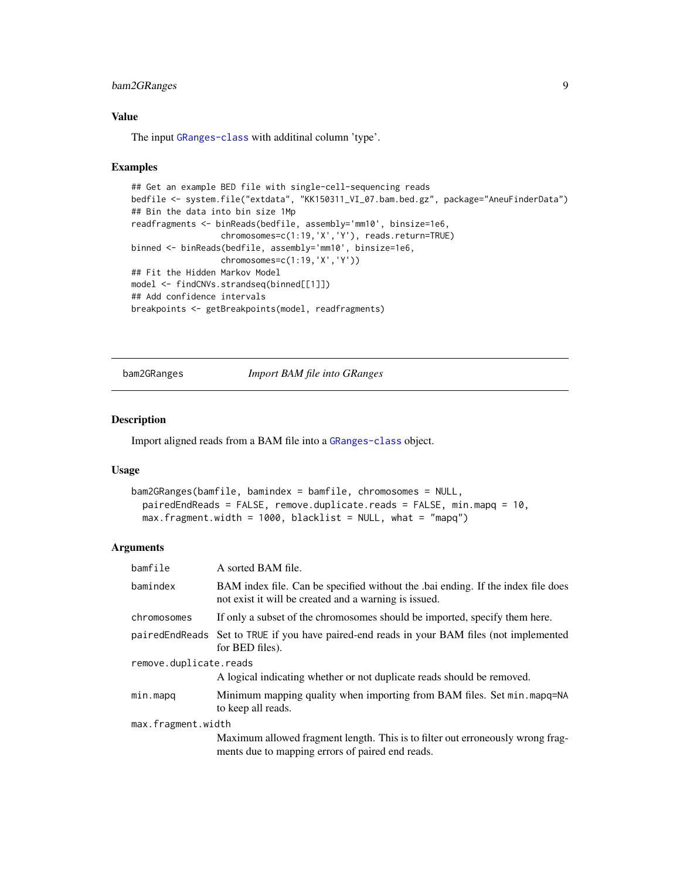## <span id="page-8-0"></span>bam2GRanges 9

#### Value

The input [GRanges-class](#page-0-0) with additinal column 'type'.

#### Examples

```
## Get an example BED file with single-cell-sequencing reads
bedfile <- system.file("extdata", "KK150311_VI_07.bam.bed.gz", package="AneuFinderData")
## Bin the data into bin size 1Mp
readfragments <- binReads(bedfile, assembly='mm10', binsize=1e6,
                  chromosomes=c(1:19,'X','Y'), reads.return=TRUE)
binned <- binReads(bedfile, assembly='mm10', binsize=1e6,
                  chromosomes=c(1:19,'X','Y'))
## Fit the Hidden Markov Model
model <- findCNVs.strandseq(binned[[1]])
## Add confidence intervals
breakpoints <- getBreakpoints(model, readfragments)
```
<span id="page-8-1"></span>bam2GRanges *Import BAM file into GRanges*

## Description

Import aligned reads from a BAM file into a [GRanges-class](#page-0-0) object.

## Usage

```
bam2GRanges(bamfile, bamindex = bamfile, chromosomes = NULL,
 pairedEndReads = FALSE, remove.duplicate.reads = FALSE, min.mapq = 10,
 max.fragment.width = 1000, blacklist = NULL, what = "mapq")
```

| bamfile                | A sorted BAM file.                                                                                                                       |  |
|------------------------|------------------------------------------------------------------------------------------------------------------------------------------|--|
| bamindex               | BAM index file. Can be specified without the bai ending. If the index file does<br>not exist it will be created and a warning is issued. |  |
| chromosomes            | If only a subset of the chromosomes should be imported, specify them here.                                                               |  |
|                        | paired End Reads Set to TRUE if you have paired-end reads in your BAM files (not implemented<br>for BED files).                          |  |
| remove.duplicate.reads |                                                                                                                                          |  |
|                        | A logical indicating whether or not duplicate reads should be removed.                                                                   |  |
| min.mapq               | Minimum mapping quality when importing from BAM files. Set min. mapq=NA<br>to keep all reads.                                            |  |
| max.fragment.width     |                                                                                                                                          |  |
|                        | Maximum allowed fragment length. This is to filter out erroneously wrong frag-<br>ments due to mapping errors of paired end reads.       |  |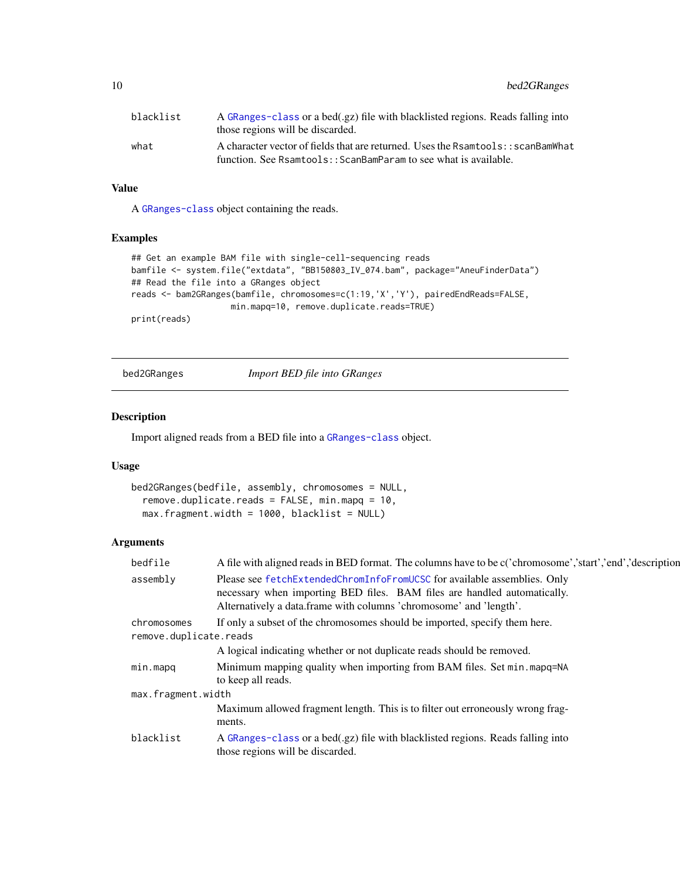<span id="page-9-0"></span>10 bed2GRanges

| blacklist | A GRanges-class or a bed(.gz) file with blacklisted regions. Reads falling into<br>those regions will be discarded.                                  |
|-----------|------------------------------------------------------------------------------------------------------------------------------------------------------|
| what      | A character vector of fields that are returned. Uses the Rsamtools: : scanBamWhat<br>function. See Rsamtools::ScanBamParam to see what is available. |

## Value

A [GRanges-class](#page-0-0) object containing the reads.

## Examples

```
## Get an example BAM file with single-cell-sequencing reads
bamfile <- system.file("extdata", "BB150803_IV_074.bam", package="AneuFinderData")
## Read the file into a GRanges object
reads <- bam2GRanges(bamfile, chromosomes=c(1:19,'X','Y'), pairedEndReads=FALSE,
                   min.mapq=10, remove.duplicate.reads=TRUE)
print(reads)
```
<span id="page-9-1"></span>bed2GRanges *Import BED file into GRanges*

#### Description

Import aligned reads from a BED file into a [GRanges-class](#page-0-0) object.

#### Usage

```
bed2GRanges(bedfile, assembly, chromosomes = NULL,
  remove.duplicate.reads = FALSE, min.mapq = 10,
 max.fragment.width = 1000, blacklist = NULL)
```

| bedfile                | A file with aligned reads in BED format. The columns have to be c('chromosome','start','end','description                                                                                                                  |
|------------------------|----------------------------------------------------------------------------------------------------------------------------------------------------------------------------------------------------------------------------|
| assembly               | Please see fetchExtendedChromInfoFromUCSC for available assemblies. Only<br>necessary when importing BED files. BAM files are handled automatically.<br>Alternatively a data.frame with columns 'chromosome' and 'length'. |
| chromosomes            | If only a subset of the chromosomes should be imported, specify them here.                                                                                                                                                 |
| remove.duplicate.reads |                                                                                                                                                                                                                            |
|                        | A logical indicating whether or not duplicate reads should be removed.                                                                                                                                                     |
| min.mapq               | Minimum mapping quality when importing from BAM files. Set min. mapq=NA<br>to keep all reads.                                                                                                                              |
| max.fragment.width     |                                                                                                                                                                                                                            |
|                        | Maximum allowed fragment length. This is to filter out erroneously wrong frag-                                                                                                                                             |
|                        | ments.                                                                                                                                                                                                                     |
| blacklist              | A GRanges-class or a bed(.gz) file with blacklisted regions. Reads falling into<br>those regions will be discarded.                                                                                                        |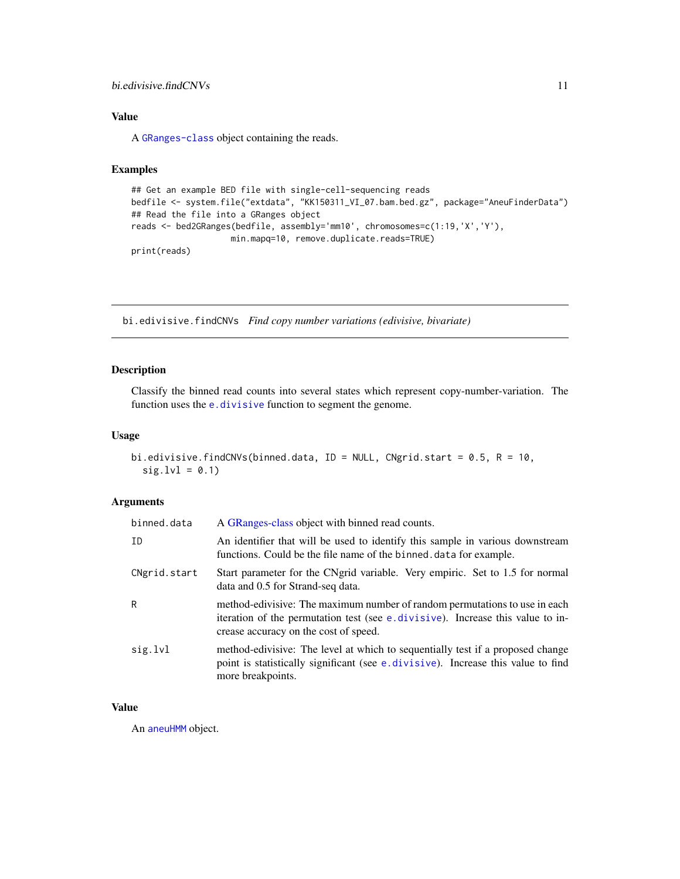#### <span id="page-10-0"></span>bi.edivisive.findCNVs 11

## Value

A [GRanges-class](#page-0-0) object containing the reads.

#### Examples

```
## Get an example BED file with single-cell-sequencing reads
bedfile <- system.file("extdata", "KK150311_VI_07.bam.bed.gz", package="AneuFinderData")
## Read the file into a GRanges object
reads <- bed2GRanges(bedfile, assembly='mm10', chromosomes=c(1:19,'X','Y'),
                    min.mapq=10, remove.duplicate.reads=TRUE)
print(reads)
```
bi.edivisive.findCNVs *Find copy number variations (edivisive, bivariate)*

## Description

Classify the binned read counts into several states which represent copy-number-variation. The function uses the [e.divisive](#page-0-0) function to segment the genome.

#### Usage

```
bi.edivisive.findCNVs(binned.data, ID = NULL, CNgrid.start = 0.5, R = 10,
  sig.lvl = 0.1
```
## Arguments

| binned.data  | A GRanges-class object with binned read counts.                                                                                                                                                        |
|--------------|--------------------------------------------------------------------------------------------------------------------------------------------------------------------------------------------------------|
| ID           | An identifier that will be used to identify this sample in various downstream<br>functions. Could be the file name of the binned data for example.                                                     |
| CNgrid.start | Start parameter for the CNgrid variable. Very empiric. Set to 1.5 for normal<br>data and 0.5 for Strand-seq data.                                                                                      |
| R            | method-edivisive: The maximum number of random permutations to use in each<br>iteration of the permutation test (see e. divisive). Increase this value to in-<br>crease accuracy on the cost of speed. |
| sig.lvl      | method-edivisive: The level at which to sequentially test if a proposed change<br>point is statistically significant (see e. divisive). Increase this value to find<br>more breakpoints.               |

## Value

An [aneuHMM](#page-6-1) object.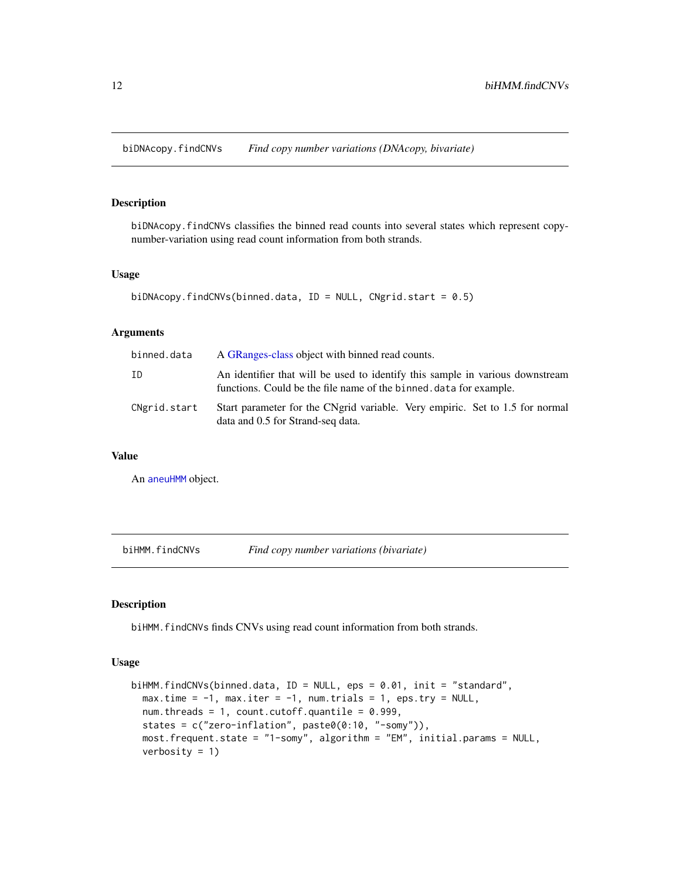<span id="page-11-0"></span>biDNAcopy.findCNVs *Find copy number variations (DNAcopy, bivariate)*

## Description

biDNAcopy.findCNVs classifies the binned read counts into several states which represent copynumber-variation using read count information from both strands.

#### Usage

```
biDNAcopy.findCNVs(binned.data, ID = NULL, CNgrid.start = 0.5)
```
#### Arguments

| binned.data  | A GRanges-class object with binned read counts.                                                                                                    |
|--------------|----------------------------------------------------------------------------------------------------------------------------------------------------|
| ID           | An identifier that will be used to identify this sample in various downstream<br>functions. Could be the file name of the binned data for example. |
| CNgrid.start | Start parameter for the CNgrid variable. Very empiric. Set to 1.5 for normal<br>data and 0.5 for Strand-seq data.                                  |

### Value

An [aneuHMM](#page-6-1) object.

biHMM.findCNVs *Find copy number variations (bivariate)*

## Description

biHMM.findCNVs finds CNVs using read count information from both strands.

#### Usage

```
biHMM.findCNVs(binned.data, ID = NULL, eps = 0.01, init = "standard",
 max.time = -1, max.iter = -1, num.trials = 1, eps.try = NULL,
 num.threads = 1, count.cutoff.quantile = 0.999,
  states = c("zero-inflation", paste0(0:10, "-somy")),
 most.frequent.state = "1-somy", algorithm = "EM", initial.params = NULL,
 verbosity = 1)
```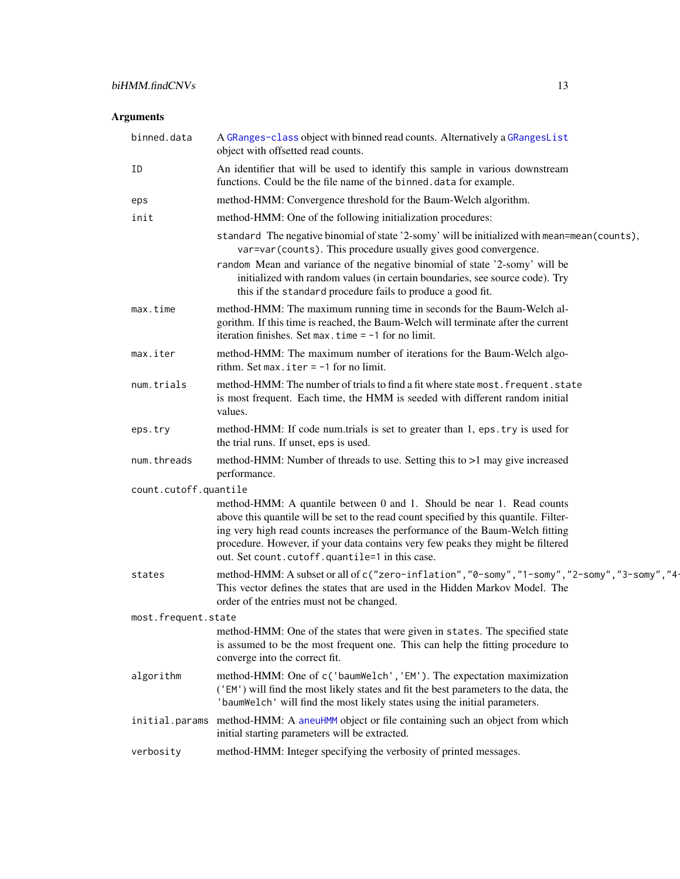<span id="page-12-0"></span>

| binned.data           | A GRanges-class object with binned read counts. Alternatively a GRangesList<br>object with offsetted read counts.                                                                                                                                                                                                                                                                             |  |  |  |  |  |
|-----------------------|-----------------------------------------------------------------------------------------------------------------------------------------------------------------------------------------------------------------------------------------------------------------------------------------------------------------------------------------------------------------------------------------------|--|--|--|--|--|
| ΙD                    | An identifier that will be used to identify this sample in various downstream<br>functions. Could be the file name of the binned. data for example.                                                                                                                                                                                                                                           |  |  |  |  |  |
| eps                   | method-HMM: Convergence threshold for the Baum-Welch algorithm.                                                                                                                                                                                                                                                                                                                               |  |  |  |  |  |
| init                  | method-HMM: One of the following initialization procedures:                                                                                                                                                                                                                                                                                                                                   |  |  |  |  |  |
|                       | standard The negative binomial of state '2-somy' will be initialized with mean=mean(counts),<br>var=var(counts). This procedure usually gives good convergence.<br>random Mean and variance of the negative binomial of state '2-somy' will be<br>initialized with random values (in certain boundaries, see source code). Try<br>this if the standard procedure fails to produce a good fit. |  |  |  |  |  |
| max.time              | method-HMM: The maximum running time in seconds for the Baum-Welch al-<br>gorithm. If this time is reached, the Baum-Welch will terminate after the current<br>iteration finishes. Set max. time $= -1$ for no limit.                                                                                                                                                                         |  |  |  |  |  |
| max.iter              | method-HMM: The maximum number of iterations for the Baum-Welch algo-<br>rithm. Set max. iter $= -1$ for no limit.                                                                                                                                                                                                                                                                            |  |  |  |  |  |
| num.trials            | method-HMM: The number of trials to find a fit where state most. frequent. state<br>is most frequent. Each time, the HMM is seeded with different random initial<br>values.                                                                                                                                                                                                                   |  |  |  |  |  |
| eps.try               | method-HMM: If code num.trials is set to greater than 1, eps.try is used for<br>the trial runs. If unset, eps is used.                                                                                                                                                                                                                                                                        |  |  |  |  |  |
| num.threads           | method-HMM: Number of threads to use. Setting this to >1 may give increased<br>performance.                                                                                                                                                                                                                                                                                                   |  |  |  |  |  |
| count.cutoff.quantile | method-HMM: A quantile between 0 and 1. Should be near 1. Read counts<br>above this quantile will be set to the read count specified by this quantile. Filter-<br>ing very high read counts increases the performance of the Baum-Welch fitting<br>procedure. However, if your data contains very few peaks they might be filtered<br>out. Set count.cutoff.quantile=1 in this case.          |  |  |  |  |  |
| states                | method-HMM: A subset or all of c("zero-inflation", "0-somy", "1-somy", "2-somy", "3-somy", "4-<br>This vector defines the states that are used in the Hidden Markov Model. The<br>order of the entries must not be changed.                                                                                                                                                                   |  |  |  |  |  |
| most.frequent.state   |                                                                                                                                                                                                                                                                                                                                                                                               |  |  |  |  |  |
|                       | method-HMM: One of the states that were given in states. The specified state<br>is assumed to be the most frequent one. This can help the fitting procedure to<br>converge into the correct fit.                                                                                                                                                                                              |  |  |  |  |  |
| algorithm             | method-HMM: One of c('baumWelch', 'EM'). The expectation maximization<br>('EM') will find the most likely states and fit the best parameters to the data, the<br>'baumWelch' will find the most likely states using the initial parameters.                                                                                                                                                   |  |  |  |  |  |
| initial.params        | method-HMM: A aneuHMM object or file containing such an object from which<br>initial starting parameters will be extracted.                                                                                                                                                                                                                                                                   |  |  |  |  |  |
| verbosity             | method-HMM: Integer specifying the verbosity of printed messages.                                                                                                                                                                                                                                                                                                                             |  |  |  |  |  |
|                       |                                                                                                                                                                                                                                                                                                                                                                                               |  |  |  |  |  |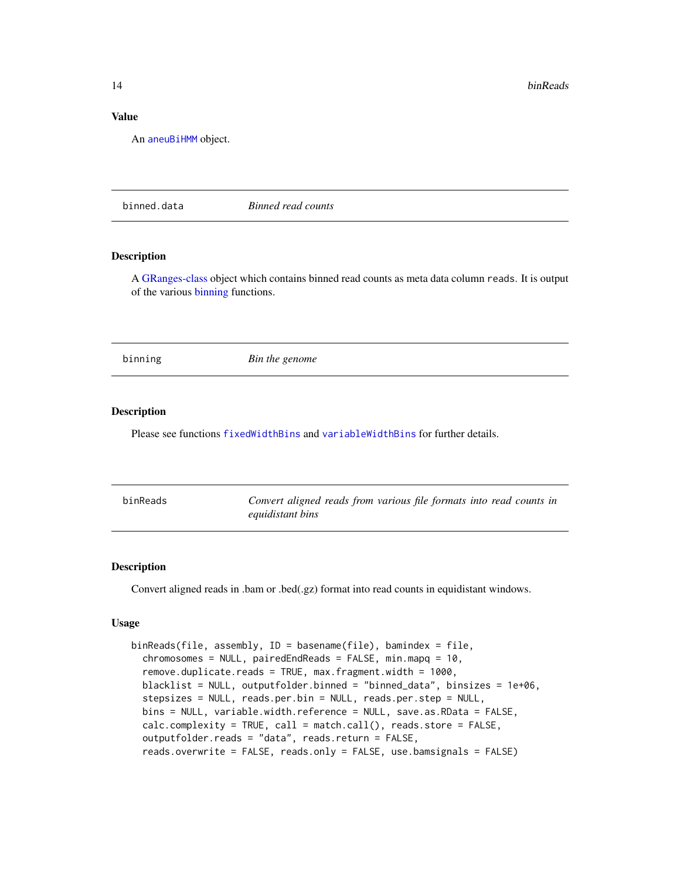## <span id="page-13-0"></span>Value

An [aneuBiHMM](#page-3-1) object.

<span id="page-13-2"></span>binned.data *Binned read counts*

## Description

A [GRanges-class](#page-0-0) object which contains binned read counts as meta data column reads. It is output of the various [binning](#page-13-1) functions.

<span id="page-13-1"></span>binning *Bin the genome*

#### Description

Please see functions [fixedWidthBins](#page-34-1) and [variableWidthBins](#page-62-1) for further details.

| binReads | Convert aligned reads from various file formats into read counts in |
|----------|---------------------------------------------------------------------|
|          | equidistant bins                                                    |

## Description

Convert aligned reads in .bam or .bed(.gz) format into read counts in equidistant windows.

#### Usage

```
binReads(file, assembly, ID = basename(file), bamindex = file,
 chromosomes = NULL, pairedEndReads = FALSE, min.mapq = 10,
  remove.duplicate.reads = TRUE, max.fragment.width = 1000,
 blacklist = NULL, outputfolder.binned = "binned_data", binsizes = 1e+06,
  stepsizes = NULL, reads.per.bin = NULL, reads.per.step = NULL,
 bins = NULL, variable.width.reference = NULL, save.as.RData = FALSE,
  calc.complexity = TRUE, call = match.call(), reads.store = FALSE,
  outputfolder.reads = "data", reads.return = FALSE,
  reads.overwrite = FALSE, reads.only = FALSE, use.bamsignals = FALSE)
```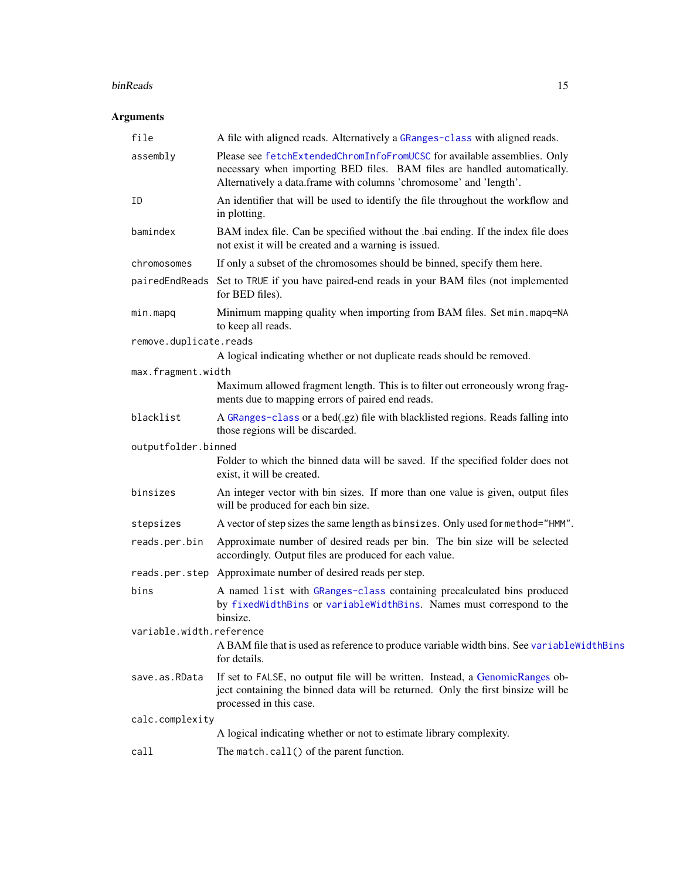#### <span id="page-14-0"></span>binReads 15

| file                     | A file with aligned reads. Alternatively a GRanges-class with aligned reads.                                                                                                                                               |  |  |  |  |  |
|--------------------------|----------------------------------------------------------------------------------------------------------------------------------------------------------------------------------------------------------------------------|--|--|--|--|--|
| assembly                 | Please see fetchExtendedChromInfoFromUCSC for available assemblies. Only<br>necessary when importing BED files. BAM files are handled automatically.<br>Alternatively a data.frame with columns 'chromosome' and 'length'. |  |  |  |  |  |
| ΙD                       | An identifier that will be used to identify the file throughout the workflow and<br>in plotting.                                                                                                                           |  |  |  |  |  |
| bamindex                 | BAM index file. Can be specified without the .bai ending. If the index file does<br>not exist it will be created and a warning is issued.                                                                                  |  |  |  |  |  |
| chromosomes              | If only a subset of the chromosomes should be binned, specify them here.                                                                                                                                                   |  |  |  |  |  |
|                          | pairedEndReads Set to TRUE if you have paired-end reads in your BAM files (not implemented<br>for BED files).                                                                                                              |  |  |  |  |  |
| min.mapq                 | Minimum mapping quality when importing from BAM files. Set min.mapq=NA<br>to keep all reads.                                                                                                                               |  |  |  |  |  |
| remove.duplicate.reads   |                                                                                                                                                                                                                            |  |  |  |  |  |
|                          | A logical indicating whether or not duplicate reads should be removed.                                                                                                                                                     |  |  |  |  |  |
| max.fragment.width       | Maximum allowed fragment length. This is to filter out erroneously wrong frag-<br>ments due to mapping errors of paired end reads.                                                                                         |  |  |  |  |  |
| blacklist                | A GRanges-class or a bed(.gz) file with blacklisted regions. Reads falling into<br>those regions will be discarded.                                                                                                        |  |  |  |  |  |
| outputfolder.binned      |                                                                                                                                                                                                                            |  |  |  |  |  |
|                          | Folder to which the binned data will be saved. If the specified folder does not<br>exist, it will be created.                                                                                                              |  |  |  |  |  |
| binsizes                 | An integer vector with bin sizes. If more than one value is given, output files<br>will be produced for each bin size.                                                                                                     |  |  |  |  |  |
| stepsizes                | A vector of step sizes the same length as binsizes. Only used for method="HMM".                                                                                                                                            |  |  |  |  |  |
| reads.per.bin            | Approximate number of desired reads per bin. The bin size will be selected<br>accordingly. Output files are produced for each value.                                                                                       |  |  |  |  |  |
|                          | reads.per.step Approximate number of desired reads per step.                                                                                                                                                               |  |  |  |  |  |
| bins                     | A named list with GRanges-class containing precalculated bins produced<br>by fixedWidthBins or variableWidthBins. Names must correspond to the<br>binsize.                                                                 |  |  |  |  |  |
| variable.width.reference | A BAM file that is used as reference to produce variable width bins. See variable WidthBins<br>for details.                                                                                                                |  |  |  |  |  |
| save.as.RData            | If set to FALSE, no output file will be written. Instead, a GenomicRanges ob-<br>ject containing the binned data will be returned. Only the first binsize will be<br>processed in this case.                               |  |  |  |  |  |
| calc.complexity          |                                                                                                                                                                                                                            |  |  |  |  |  |
|                          | A logical indicating whether or not to estimate library complexity.                                                                                                                                                        |  |  |  |  |  |
| call                     | The match.call() of the parent function.                                                                                                                                                                                   |  |  |  |  |  |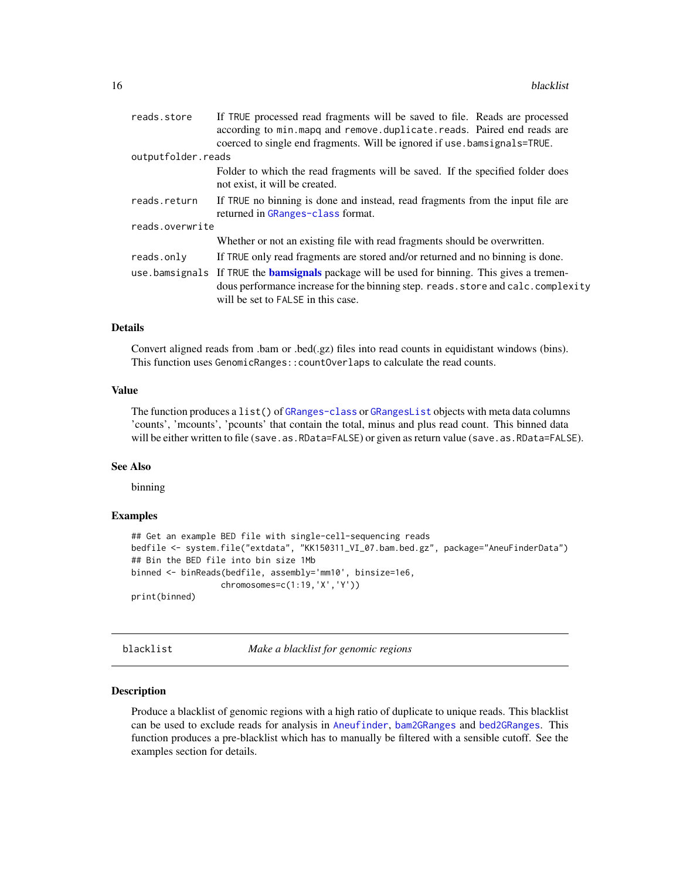<span id="page-15-0"></span>

| reads.store        | If TRUE processed read fragments will be saved to file. Reads are processed                                                                                                                                                    |  |  |  |  |
|--------------------|--------------------------------------------------------------------------------------------------------------------------------------------------------------------------------------------------------------------------------|--|--|--|--|
|                    | according to min.mapq and remove.duplicate.reads. Paired end reads are                                                                                                                                                         |  |  |  |  |
|                    | coerced to single end fragments. Will be ignored if use bamsignals=TRUE.                                                                                                                                                       |  |  |  |  |
| outputfolder.reads |                                                                                                                                                                                                                                |  |  |  |  |
|                    | Folder to which the read fragments will be saved. If the specified folder does<br>not exist, it will be created.                                                                                                               |  |  |  |  |
| reads.return       | If TRUE no binning is done and instead, read fragments from the input file are<br>returned in GRanges-class format.                                                                                                            |  |  |  |  |
| reads.overwrite    |                                                                                                                                                                                                                                |  |  |  |  |
|                    | Whether or not an existing file with read fragments should be overwritten.                                                                                                                                                     |  |  |  |  |
| reads.only         | If TRUE only read fragments are stored and/or returned and no binning is done.                                                                                                                                                 |  |  |  |  |
|                    | use bamsignals If TRUE the <b>bamsignals</b> package will be used for binning. This gives a tremen-<br>dous performance increase for the binning step. reads. store and calc. complexity<br>will be set to FALSE in this case. |  |  |  |  |
|                    |                                                                                                                                                                                                                                |  |  |  |  |

#### Details

Convert aligned reads from .bam or .bed(.gz) files into read counts in equidistant windows (bins). This function uses GenomicRanges::countOverlaps to calculate the read counts.

## Value

The function produces a list() of [GRanges-class](#page-0-0) or [GRangesList](#page-0-0) objects with meta data columns 'counts', 'mcounts', 'pcounts' that contain the total, minus and plus read count. This binned data will be either written to file (save.as.RData=FALSE) or given as return value (save.as.RData=FALSE).

#### See Also

binning

#### Examples

```
## Get an example BED file with single-cell-sequencing reads
bedfile <- system.file("extdata", "KK150311_VI_07.bam.bed.gz", package="AneuFinderData")
## Bin the BED file into bin size 1Mb
binned <- binReads(bedfile, assembly='mm10', binsize=1e6,
                  chromosomes=c(1:19,'X','Y'))
print(binned)
```
blacklist *Make a blacklist for genomic regions*

#### Description

Produce a blacklist of genomic regions with a high ratio of duplicate to unique reads. This blacklist can be used to exclude reads for analysis in [Aneufinder](#page-4-1), [bam2GRanges](#page-8-1) and [bed2GRanges](#page-9-1). This function produces a pre-blacklist which has to manually be filtered with a sensible cutoff. See the examples section for details.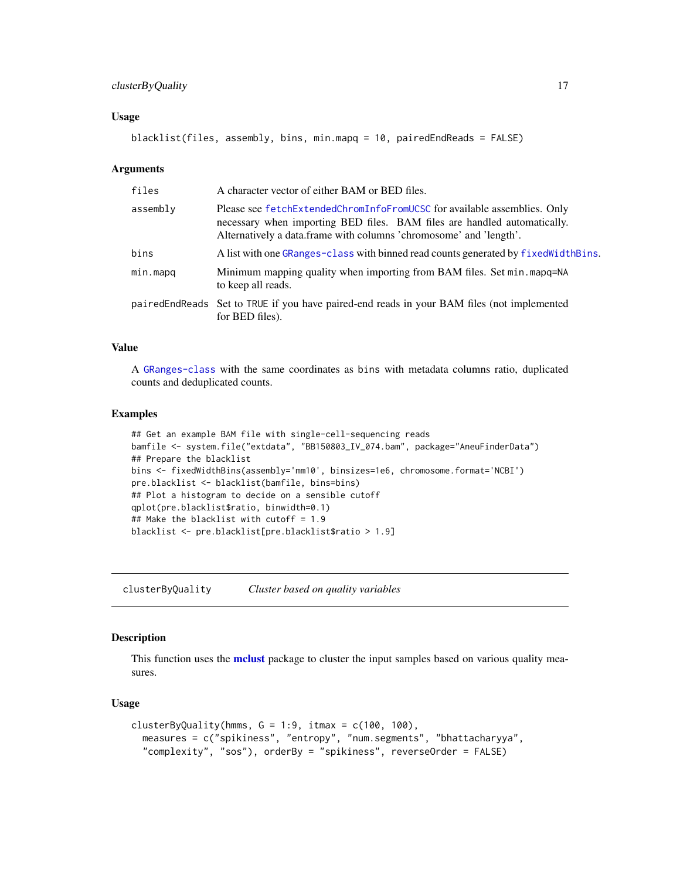## <span id="page-16-0"></span>clusterByQuality 17

#### Usage

```
blacklist(files, assembly, bins, min.mapq = 10, pairedEndReads = FALSE)
```
#### Arguments

| A character vector of either BAM or BED files.                                                                                                                                                                             |  |  |  |  |
|----------------------------------------------------------------------------------------------------------------------------------------------------------------------------------------------------------------------------|--|--|--|--|
| Please see fetchExtendedChromInfoFromUCSC for available assemblies. Only<br>necessary when importing BED files. BAM files are handled automatically.<br>Alternatively a data.frame with columns 'chromosome' and 'length'. |  |  |  |  |
| A list with one GRanges-class with binned read counts generated by fixed Width Bins.                                                                                                                                       |  |  |  |  |
| Minimum mapping quality when importing from BAM files. Set min. mapq=NA<br>to keep all reads.                                                                                                                              |  |  |  |  |
| pairedEndReads Set to TRUE if you have paired-end reads in your BAM files (not implemented<br>for BED files).                                                                                                              |  |  |  |  |
|                                                                                                                                                                                                                            |  |  |  |  |

## Value

A [GRanges-class](#page-0-0) with the same coordinates as bins with metadata columns ratio, duplicated counts and deduplicated counts.

#### Examples

```
## Get an example BAM file with single-cell-sequencing reads
bamfile <- system.file("extdata", "BB150803_IV_074.bam", package="AneuFinderData")
## Prepare the blacklist
bins <- fixedWidthBins(assembly='mm10', binsizes=1e6, chromosome.format='NCBI')
pre.blacklist <- blacklist(bamfile, bins=bins)
## Plot a histogram to decide on a sensible cutoff
qplot(pre.blacklist$ratio, binwidth=0.1)
## Make the blacklist with cutoff = 1.9
blacklist <- pre.blacklist[pre.blacklist$ratio > 1.9]
```
<span id="page-16-1"></span>clusterByQuality *Cluster based on quality variables*

#### Description

This function uses the **[mclust](#page-0-0)** package to cluster the input samples based on various quality measures.

#### Usage

```
clusterByQuality(hmms, G = 1:9, itmax = c(100, 100),
  measures = c("spikiness", "entropy", "num.segments", "bhattacharyya",
  "complexity", "sos"), orderBy = "spikiness", reverseOrder = FALSE)
```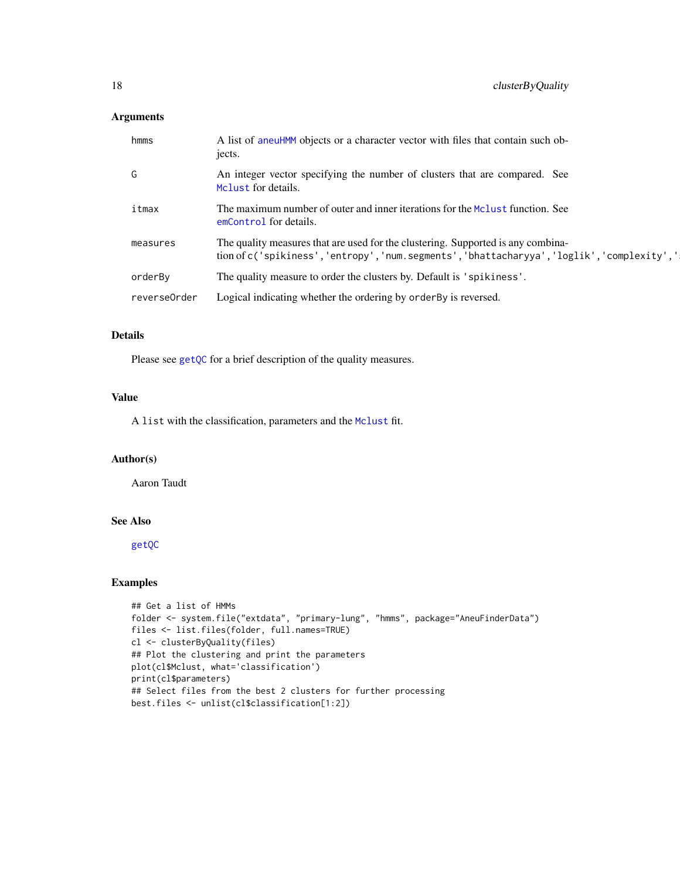## <span id="page-17-0"></span>Arguments

| hmms         | A list of aneuHMM objects or a character vector with files that contain such ob-<br>jects.                                                                                 |
|--------------|----------------------------------------------------------------------------------------------------------------------------------------------------------------------------|
| G            | An integer vector specifying the number of clusters that are compared. See<br>Molust for details.                                                                          |
| itmax        | The maximum number of outer and inner iterations for the Mclust function. See<br>emControl for details.                                                                    |
| measures     | The quality measures that are used for the clustering. Supported is any combina-<br>tion of c('spikiness','entropy','num.segments','bhattacharyya','loglik','complexity',' |
| orderBy      | The quality measure to order the clusters by. Default is 'spikiness'.                                                                                                      |
| reverse0rder | Logical indicating whether the ordering by order By is reversed.                                                                                                           |

## Details

Please see [getQC](#page-37-1) for a brief description of the quality measures.

## Value

A list with the classification, parameters and the [Mclust](#page-0-0) fit.

## Author(s)

Aaron Taudt

## See Also

[getQC](#page-37-1)

## Examples

```
## Get a list of HMMs
folder <- system.file("extdata", "primary-lung", "hmms", package="AneuFinderData")
files <- list.files(folder, full.names=TRUE)
cl <- clusterByQuality(files)
## Plot the clustering and print the parameters
plot(cl$Mclust, what='classification')
print(cl$parameters)
## Select files from the best 2 clusters for further processing
best.files <- unlist(cl$classification[1:2])
```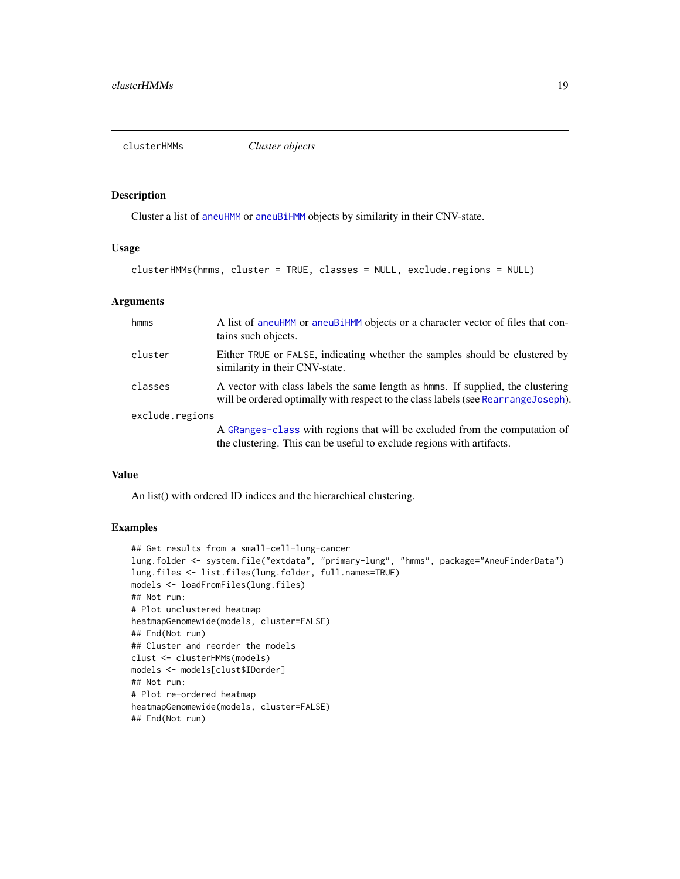<span id="page-18-0"></span>

## Description

Cluster a list of [aneuHMM](#page-6-1) or [aneuBiHMM](#page-3-1) objects by similarity in their CNV-state.

#### Usage

```
clusterHMMs(hmms, cluster = TRUE, classes = NULL, exclude.regions = NULL)
```
#### Arguments

| hmms            | A list of aneuHMM or aneuBiHMM objects or a character vector of files that con-<br>tains such objects.                                                                 |
|-----------------|------------------------------------------------------------------------------------------------------------------------------------------------------------------------|
| cluster         | Either TRUE or FALSE, indicating whether the samples should be clustered by<br>similarity in their CNV-state.                                                          |
| classes         | A vector with class labels the same length as homes. If supplied, the clustering<br>will be ordered optimally with respect to the class labels (see Rearrange Joseph). |
| exclude.regions |                                                                                                                                                                        |
|                 | A GRanges-class with regions that will be excluded from the computation of<br>the clustering. This can be useful to exclude regions with artifacts.                    |

#### Value

An list() with ordered ID indices and the hierarchical clustering.

## Examples

```
## Get results from a small-cell-lung-cancer
lung.folder <- system.file("extdata", "primary-lung", "hmms", package="AneuFinderData")
lung.files <- list.files(lung.folder, full.names=TRUE)
models <- loadFromFiles(lung.files)
## Not run:
# Plot unclustered heatmap
heatmapGenomewide(models, cluster=FALSE)
## End(Not run)
## Cluster and reorder the models
clust <- clusterHMMs(models)
models <- models[clust$IDorder]
## Not run:
# Plot re-ordered heatmap
heatmapGenomewide(models, cluster=FALSE)
## End(Not run)
```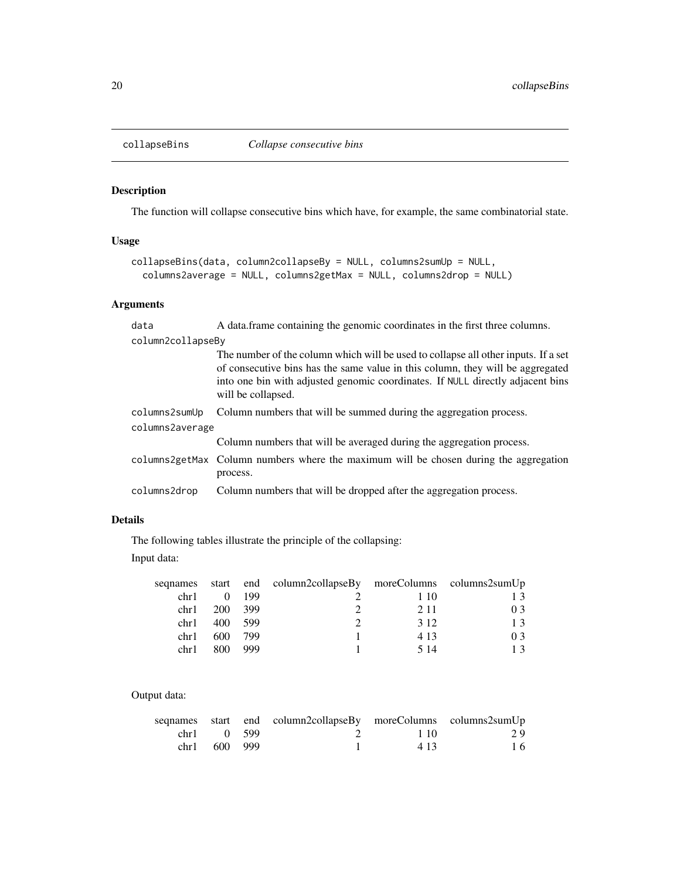<span id="page-19-0"></span>

## Description

The function will collapse consecutive bins which have, for example, the same combinatorial state.

## Usage

```
collapseBins(data, column2collapseBy = NULL, columns2sumUp = NULL,
  columns2average = NULL, columns2getMax = NULL, columns2drop = NULL)
```
## Arguments

| data              | A data frame containing the genomic coordinates in the first three columns.                                                                                                                                                                                                  |
|-------------------|------------------------------------------------------------------------------------------------------------------------------------------------------------------------------------------------------------------------------------------------------------------------------|
| column2collapseBy |                                                                                                                                                                                                                                                                              |
|                   | The number of the column which will be used to collapse all other inputs. If a set<br>of consecutive bins has the same value in this column, they will be aggregated<br>into one bin with adjusted genomic coordinates. If NULL directly adjacent bins<br>will be collapsed. |
| columns2sumUp     | Column numbers that will be summed during the aggregation process.                                                                                                                                                                                                           |
| columns2average   |                                                                                                                                                                                                                                                                              |
|                   | Column numbers that will be averaged during the aggregation process.                                                                                                                                                                                                         |
|                   | columns2getMax Column numbers where the maximum will be chosen during the aggregation<br>process.                                                                                                                                                                            |
| columns2drop      | Column numbers that will be dropped after the aggregation process.                                                                                                                                                                                                           |

## Details

The following tables illustrate the principle of the collapsing:

Input data:

|      |         |               | sequames start end column2collapseBy moreColumns columns2sumUp |       |    |
|------|---------|---------------|----------------------------------------------------------------|-------|----|
| chr1 |         | $0 \quad 199$ |                                                                | 1 10  | 13 |
| chr1 | 200 399 |               |                                                                | 2.11  | 03 |
| chr1 |         | 400 599       |                                                                | 3.12  | 13 |
| chr1 | 600     | 799           |                                                                | 4.13  | 03 |
| chr1 | 800     | 999           |                                                                | 5 1 4 | 13 |

## Output data:

|              | segnames start end column2collapseBy moreColumns columns2sumUp |      |    |
|--------------|----------------------------------------------------------------|------|----|
| chrl 0 599   | 2 1 10                                                         |      | 29 |
| chr1 600 999 |                                                                | 4.13 | 16 |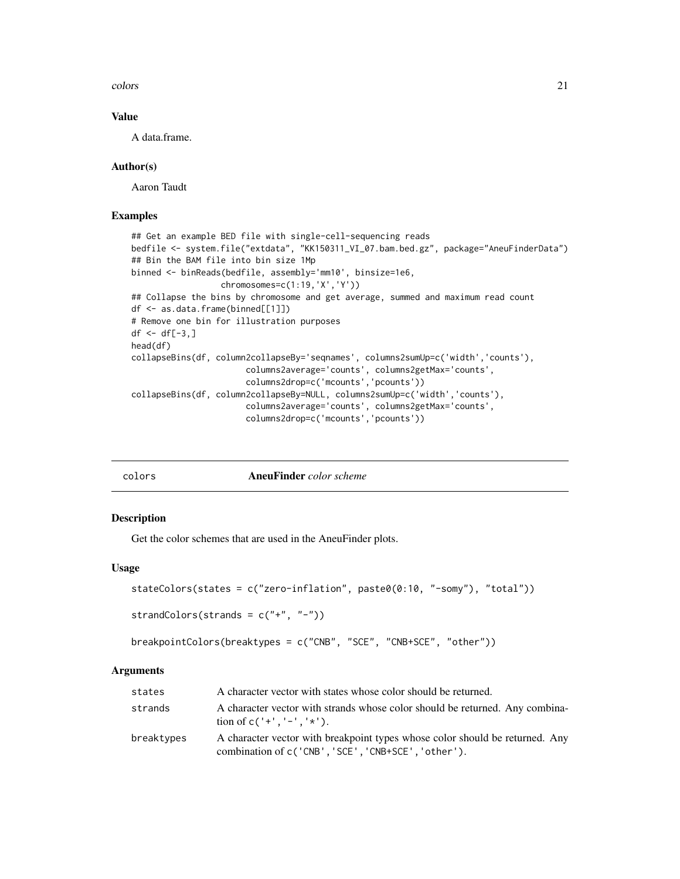<span id="page-20-0"></span>colors 21

## Value

A data.frame.

#### Author(s)

Aaron Taudt

#### Examples

```
## Get an example BED file with single-cell-sequencing reads
bedfile <- system.file("extdata", "KK150311_VI_07.bam.bed.gz", package="AneuFinderData")
## Bin the BAM file into bin size 1Mp
binned <- binReads(bedfile, assembly='mm10', binsize=1e6,
                  chromosomes=c(1:19,'X','Y'))
## Collapse the bins by chromosome and get average, summed and maximum read count
df <- as.data.frame(binned[[1]])
# Remove one bin for illustration purposes
df \leftarrow df[-3, ]head(df)
collapseBins(df, column2collapseBy='seqnames', columns2sumUp=c('width','counts'),
                       columns2average='counts', columns2getMax='counts',
                       columns2drop=c('mcounts','pcounts'))
collapseBins(df, column2collapseBy=NULL, columns2sumUp=c('width','counts'),
                       columns2average='counts', columns2getMax='counts',
                       columns2drop=c('mcounts','pcounts'))
```
<span id="page-20-1"></span>

| o⊥or | ï |
|------|---|

colors AneuFinder *color scheme*

#### Description

Get the color schemes that are used in the AneuFinder plots.

#### Usage

```
stateColors(states = c("zero-inflation", paste0(0:10, "-somy"), "total"))
```

```
strandColors(strands = c("+", "-"))
```

```
breakpointColors(breaktypes = c("CNB", "SCE", "CNB+SCE", "other"))
```

| states     | A character vector with states whose color should be returned.                                                                      |
|------------|-------------------------------------------------------------------------------------------------------------------------------------|
| strands    | A character vector with strands whose color should be returned. Any combina-<br>tion of $c('+','-',''')$ .                          |
| breaktypes | A character vector with breakpoint types whose color should be returned. Any<br>combination of c('CNB', 'SCE', 'CNB+SCE', 'other'). |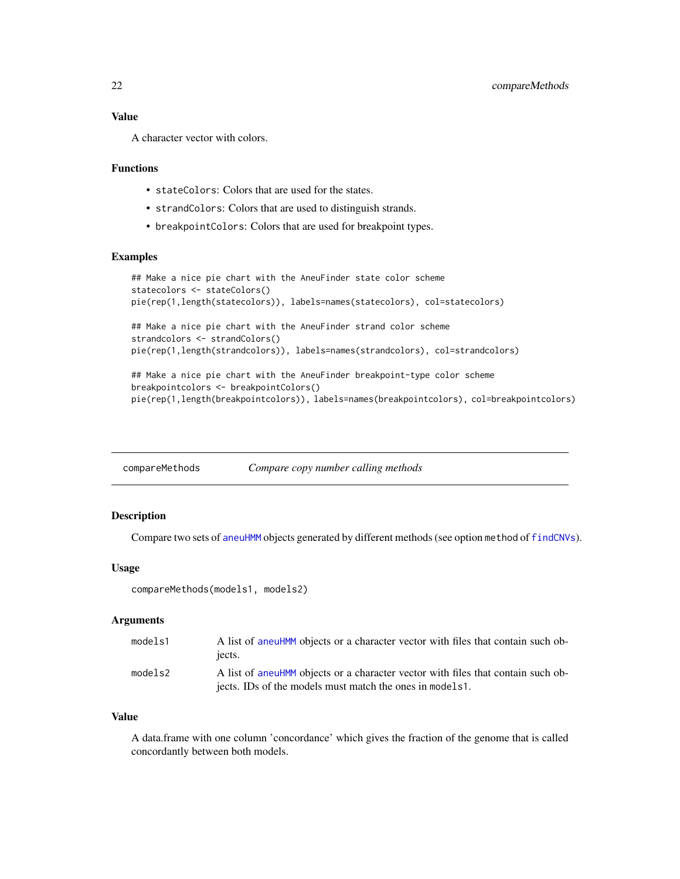<span id="page-21-0"></span>A character vector with colors.

#### Functions

- stateColors: Colors that are used for the states.
- strandColors: Colors that are used to distinguish strands.
- breakpointColors: Colors that are used for breakpoint types.

#### Examples

```
## Make a nice pie chart with the AneuFinder state color scheme
statecolors <- stateColors()
pie(rep(1,length(statecolors)), labels=names(statecolors), col=statecolors)
## Make a nice pie chart with the AneuFinder strand color scheme
strandcolors <- strandColors()
pie(rep(1,length(strandcolors)), labels=names(strandcolors), col=strandcolors)
## Make a nice pie chart with the AneuFinder breakpoint-type color scheme
```

```
breakpointcolors <- breakpointColors()
pie(rep(1,length(breakpointcolors)), labels=names(breakpointcolors), col=breakpointcolors)
```

| compareMethods | Compare copy number calling methods |
|----------------|-------------------------------------|
|                |                                     |

#### Description

Compare two sets of [aneuHMM](#page-6-1) objects generated by different methods (see option method of [findCNVs](#page-29-1)).

#### Usage

```
compareMethods(models1, models2)
```
#### Arguments

| models1 | A list of aneuHMM objects or a character vector with files that contain such ob-<br>iects. |
|---------|--------------------------------------------------------------------------------------------|
| models2 | A list of aneuHMM objects or a character vector with files that contain such ob-           |
|         | jects. IDs of the models must match the ones in models1.                                   |

#### Value

A data.frame with one column 'concordance' which gives the fraction of the genome that is called concordantly between both models.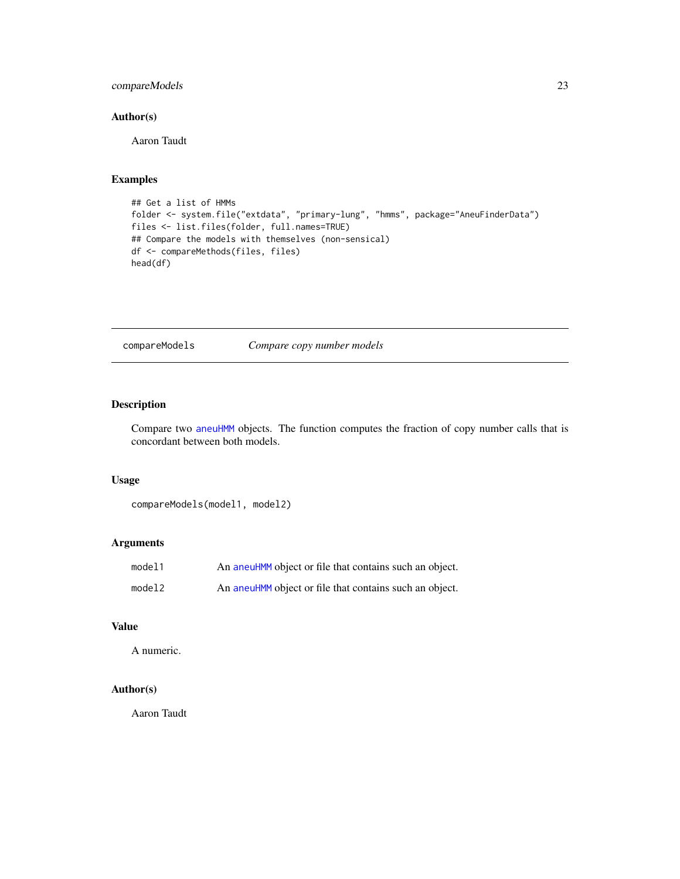## <span id="page-22-0"></span>compareModels 23

## Author(s)

Aaron Taudt

## Examples

```
## Get a list of HMMs
folder <- system.file("extdata", "primary-lung", "hmms", package="AneuFinderData")
files <- list.files(folder, full.names=TRUE)
## Compare the models with themselves (non-sensical)
df <- compareMethods(files, files)
head(df)
```
compareModels *Compare copy number models*

## Description

Compare two [aneuHMM](#page-6-1) objects. The function computes the fraction of copy number calls that is concordant between both models.

## Usage

```
compareModels(model1, model2)
```
## Arguments

| model1 | An aneuHMM object or file that contains such an object. |
|--------|---------------------------------------------------------|
| model2 | An aneuHMM object or file that contains such an object. |

## Value

A numeric.

## Author(s)

Aaron Taudt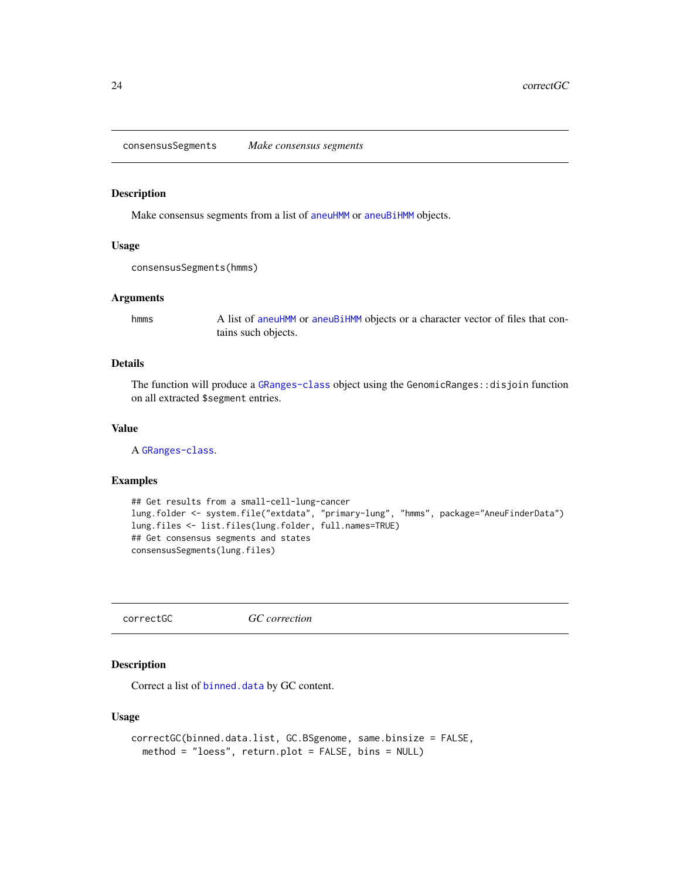<span id="page-23-0"></span>consensusSegments *Make consensus segments*

#### Description

Make consensus segments from a list of [aneuHMM](#page-6-1) or [aneuBiHMM](#page-3-1) objects.

#### Usage

```
consensusSegments(hmms)
```
#### Arguments

hmms A list of [aneuHMM](#page-6-1) or [aneuBiHMM](#page-3-1) objects or a character vector of files that contains such objects.

## Details

The function will produce a [GRanges-class](#page-0-0) object using the GenomicRanges::disjoin function on all extracted \$segment entries.

### Value

A [GRanges-class](#page-0-0).

## Examples

```
## Get results from a small-cell-lung-cancer
lung.folder <- system.file("extdata", "primary-lung", "hmms", package="AneuFinderData")
lung.files <- list.files(lung.folder, full.names=TRUE)
## Get consensus segments and states
consensusSegments(lung.files)
```
correctGC *GC correction*

## Description

Correct a list of [binned.data](#page-13-2) by GC content.

#### Usage

```
correctGC(binned.data.list, GC.BSgenome, same.binsize = FALSE,
 method = "loess", return.plot = FALSE, bins = NULL)
```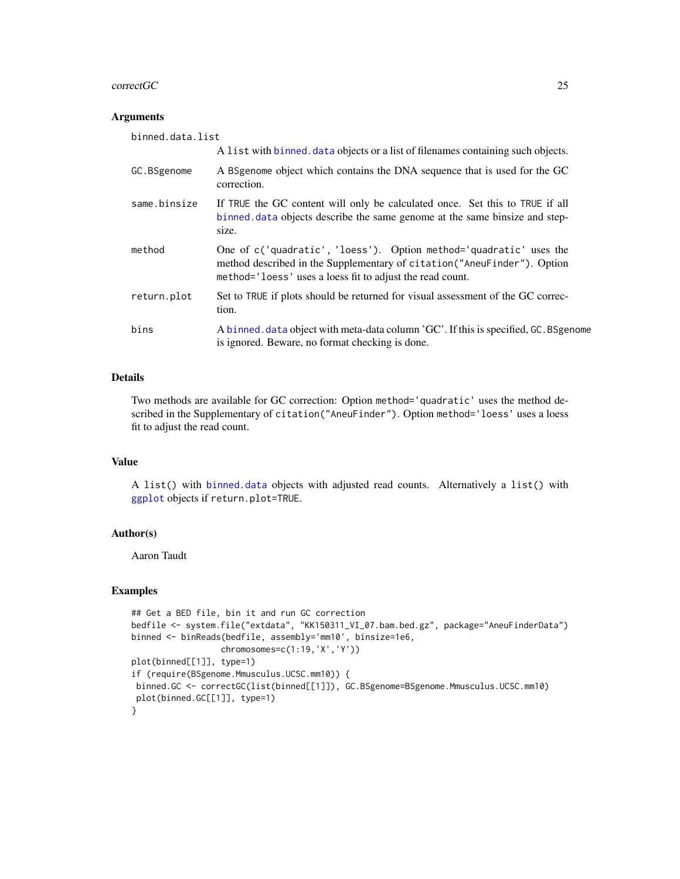#### <span id="page-24-0"></span>correctGC 25

#### Arguments

| binned.data.list |                                                                                                                                                                                                             |
|------------------|-------------------------------------------------------------------------------------------------------------------------------------------------------------------------------------------------------------|
|                  | A list with binned, data objects or a list of filenames containing such objects.                                                                                                                            |
| GC.BSgenome      | A BSgenome object which contains the DNA sequence that is used for the GC<br>correction.                                                                                                                    |
| same.binsize     | If TRUE the GC content will only be calculated once. Set this to TRUE if all<br>binned data objects describe the same genome at the same binsize and step-<br>size.                                         |
| method           | One of c('quadratic', 'loess'). Option method='quadratic' uses the<br>method described in the Supplementary of citation ("AneuFinder"). Option<br>method='loess' uses a loess fit to adjust the read count. |
| return.plot      | Set to TRUE if plots should be returned for visual assessment of the GC correc-<br>tion.                                                                                                                    |
| bins             | A binned. data object with meta-data column 'GC'. If this is specified, GC. BSgenome<br>is ignored. Beware, no format checking is done.                                                                     |

## Details

Two methods are available for GC correction: Option method='quadratic' uses the method described in the Supplementary of citation("AneuFinder"). Option method='loess' uses a loess fit to adjust the read count.

#### Value

A list() with [binned.data](#page-13-2) objects with adjusted read counts. Alternatively a list() with [ggplot](#page-0-0) objects if return.plot=TRUE.

#### Author(s)

Aaron Taudt

#### Examples

```
## Get a BED file, bin it and run GC correction
bedfile <- system.file("extdata", "KK150311_VI_07.bam.bed.gz", package="AneuFinderData")
binned <- binReads(bedfile, assembly='mm10', binsize=1e6,
                  chromosomes=c(1:19,'X','Y'))
plot(binned[[1]], type=1)
if (require(BSgenome.Mmusculus.UCSC.mm10)) {
 binned.GC <- correctGC(list(binned[[1]]), GC.BSgenome=BSgenome.Mmusculus.UCSC.mm10)
 plot(binned.GC[[1]], type=1)
}
```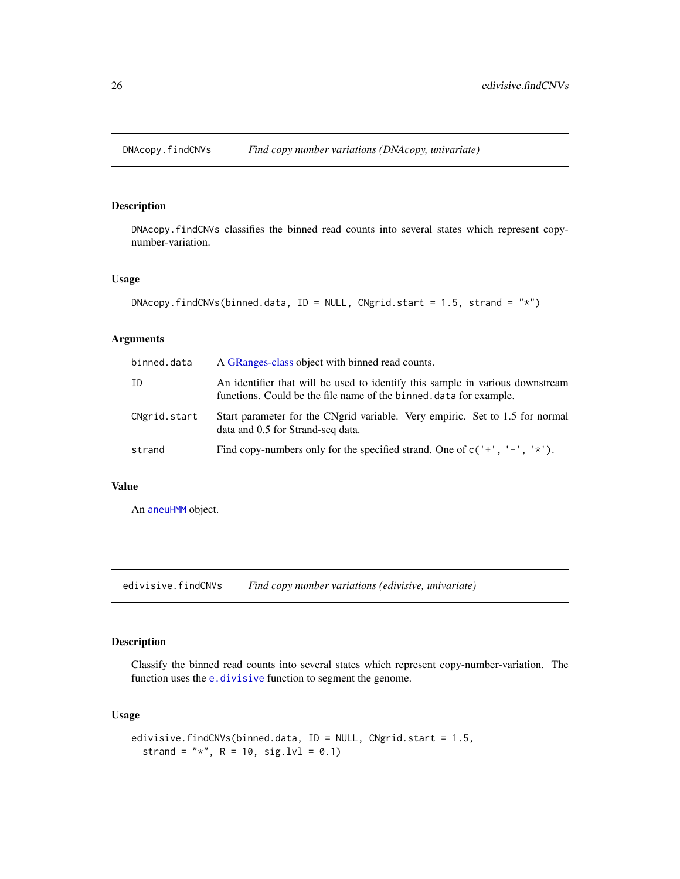<span id="page-25-0"></span>

## Description

DNAcopy.findCNVs classifies the binned read counts into several states which represent copynumber-variation.

## Usage

```
DNAcopy.findCNVs(binned.data, ID = NULL, CNgrid.start = 1.5, strand = "*")
```
## Arguments

| binned.data  | A GRanges-class object with binned read counts.                                                                                                    |  |
|--------------|----------------------------------------------------------------------------------------------------------------------------------------------------|--|
| ΙD           | An identifier that will be used to identify this sample in various downstream<br>functions. Could be the file name of the binned data for example. |  |
| CNgrid.start | Start parameter for the CNgrid variable. Very empiric. Set to 1.5 for normal<br>data and 0.5 for Strand-seq data.                                  |  |
| strand       | Find copy-numbers only for the specified strand. One of $c('+', '-'', '*)$ .                                                                       |  |

#### Value

An [aneuHMM](#page-6-1) object.

edivisive.findCNVs *Find copy number variations (edivisive, univariate)*

## Description

Classify the binned read counts into several states which represent copy-number-variation. The function uses the [e.divisive](#page-0-0) function to segment the genome.

## Usage

```
edivisive.findCNVs(binned.data, ID = NULL, CNgrid.start = 1.5,
 strand = "*", R = 10, sig.lvl = 0.1)
```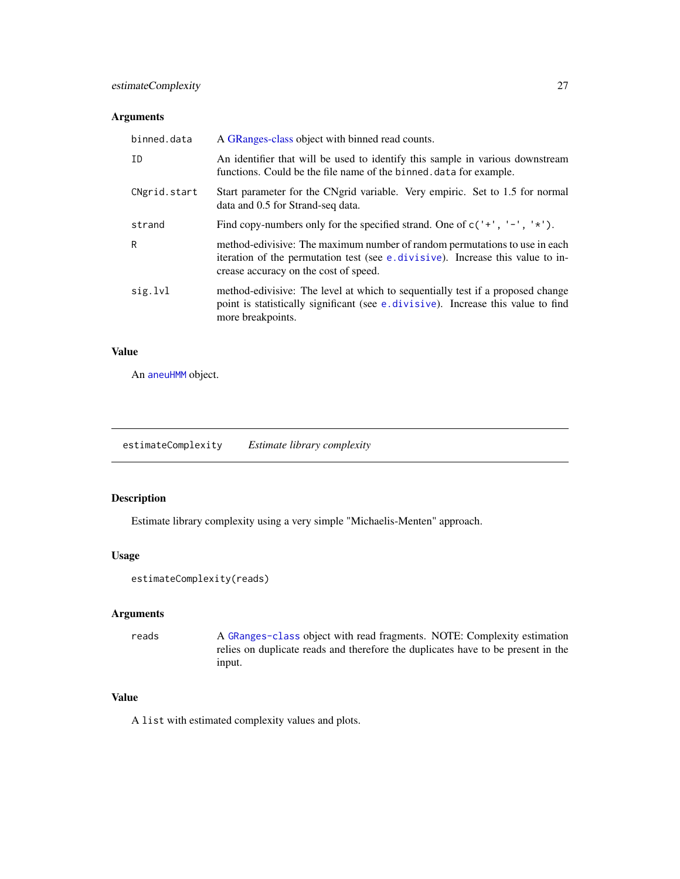## <span id="page-26-0"></span>Arguments

| binned.data  | A GRanges-class object with binned read counts.                                                                                                                                                       |
|--------------|-------------------------------------------------------------------------------------------------------------------------------------------------------------------------------------------------------|
| ID           | An identifier that will be used to identify this sample in various downstream<br>functions. Could be the file name of the binned data for example.                                                    |
| CNgrid.start | Start parameter for the CNgrid variable. Very empiric. Set to 1.5 for normal<br>data and 0.5 for Strand-seq data.                                                                                     |
| strand       | Find copy-numbers only for the specified strand. One of $c'$ +', '-', '*').                                                                                                                           |
| R            | method-edivisive: The maximum number of random permutations to use in each<br>iteration of the permutation test (see e.divisive). Increase this value to in-<br>crease accuracy on the cost of speed. |
| sig.lvl      | method-edivisive: The level at which to sequentially test if a proposed change<br>point is statistically significant (see e. divisive). Increase this value to find<br>more breakpoints.              |

## Value

An [aneuHMM](#page-6-1) object.

estimateComplexity *Estimate library complexity*

## Description

Estimate library complexity using a very simple "Michaelis-Menten" approach.

#### Usage

```
estimateComplexity(reads)
```
## Arguments

## reads A [GRanges-class](#page-0-0) object with read fragments. NOTE: Complexity estimation relies on duplicate reads and therefore the duplicates have to be present in the input.

#### Value

A list with estimated complexity values and plots.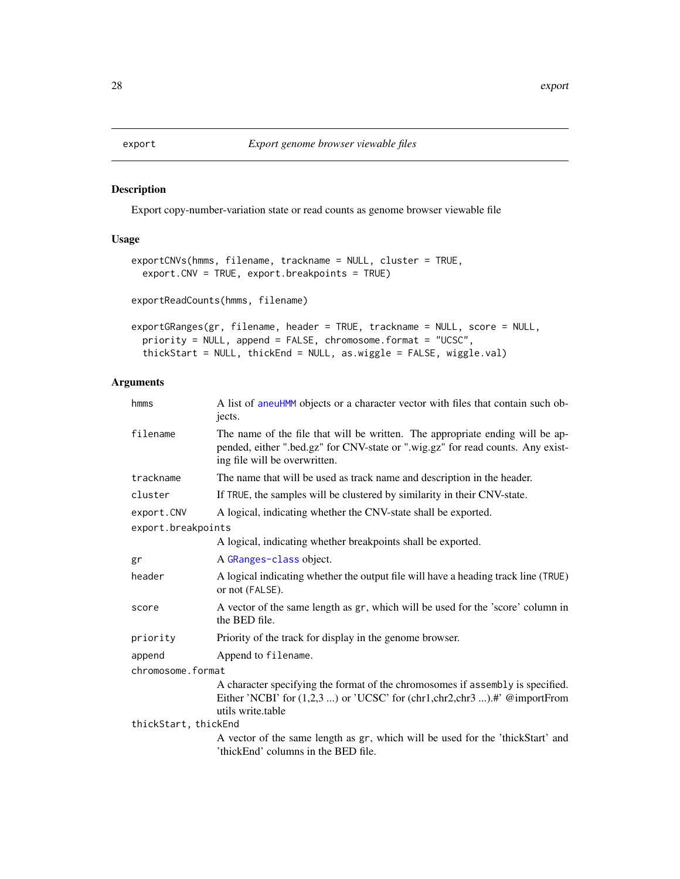## <span id="page-27-0"></span>Description

Export copy-number-variation state or read counts as genome browser viewable file

## Usage

```
exportCNVs(hmms, filename, trackname = NULL, cluster = TRUE,
 export.CNV = TRUE, export.breakpoints = TRUE)
exportReadCounts(hmms, filename)
exportGRanges(gr, filename, header = TRUE, trackname = NULL, score = NULL,
 priority = NULL, append = FALSE, chromosome.format = "UCSC",
```

```
thickStart = NULL, thickEnd = NULL, as.wiggle = FALSE, wiggle.val)
```

| hmms                 | A list of aneuHMM objects or a character vector with files that contain such ob-<br>jects.                                                                                                        |  |
|----------------------|---------------------------------------------------------------------------------------------------------------------------------------------------------------------------------------------------|--|
| filename             | The name of the file that will be written. The appropriate ending will be ap-<br>pended, either ".bed.gz" for CNV-state or ".wig.gz" for read counts. Any exist-<br>ing file will be overwritten. |  |
| trackname            | The name that will be used as track name and description in the header.                                                                                                                           |  |
| cluster              | If TRUE, the samples will be clustered by similarity in their CNV-state.                                                                                                                          |  |
| export.CNV           | A logical, indicating whether the CNV-state shall be exported.                                                                                                                                    |  |
| export.breakpoints   |                                                                                                                                                                                                   |  |
|                      | A logical, indicating whether breakpoints shall be exported.                                                                                                                                      |  |
| gr                   | A GRanges-class object.                                                                                                                                                                           |  |
| header               | A logical indicating whether the output file will have a heading track line (TRUE)<br>or not (FALSE).                                                                                             |  |
| score                | A vector of the same length as gr, which will be used for the 'score' column in<br>the BED file.                                                                                                  |  |
| priority             | Priority of the track for display in the genome browser.                                                                                                                                          |  |
| append               | Append to filename.                                                                                                                                                                               |  |
| chromosome.format    |                                                                                                                                                                                                   |  |
|                      | A character specifying the format of the chromosomes if assembly is specified.<br>Either 'NCBI' for (1,2,3 ) or 'UCSC' for (chr1,chr2,chr3 ).#' @importFrom<br>utils write.table                  |  |
| thickStart, thickEnd |                                                                                                                                                                                                   |  |
|                      | A vector of the same length as gr, which will be used for the 'thickStart' and<br>'thickEnd' columns in the BED file.                                                                             |  |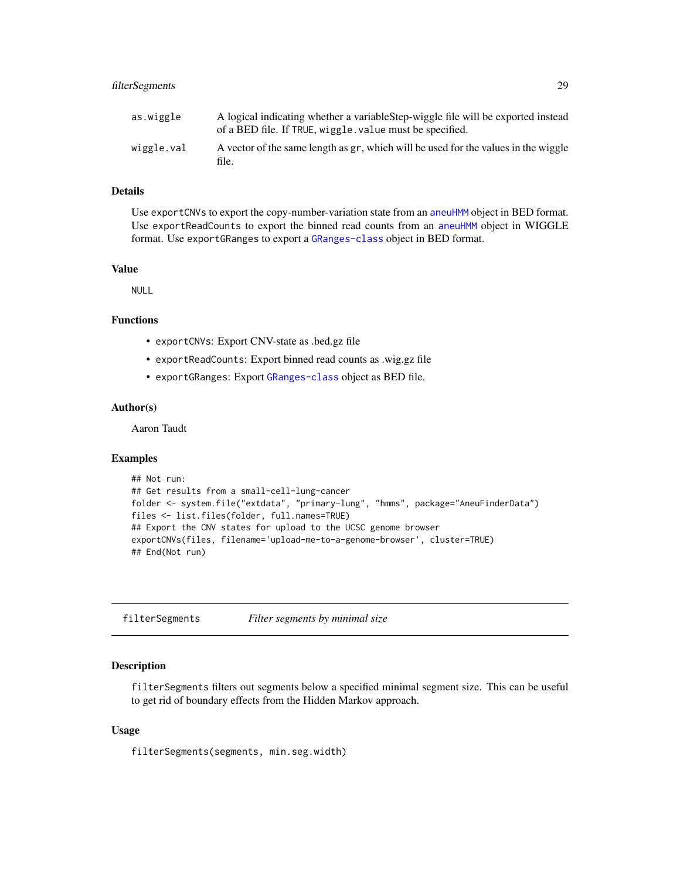## <span id="page-28-0"></span>filterSegments 29

| as.wiggle  | A logical indicating whether a variable Step-wiggle file will be exported instead<br>of a BED file. If TRUE, wiggle. value must be specified. |
|------------|-----------------------------------------------------------------------------------------------------------------------------------------------|
| wiggle.val | A vector of the same length as gr, which will be used for the values in the wiggle<br>file.                                                   |

## Details

Use exportCNVs to export the copy-number-variation state from an [aneuHMM](#page-6-1) object in BED format. Use exportReadCounts to export the binned read counts from an [aneuHMM](#page-6-1) object in WIGGLE format. Use exportGRanges to export a [GRanges-class](#page-0-0) object in BED format.

## Value

NULL

## Functions

- exportCNVs: Export CNV-state as .bed.gz file
- exportReadCounts: Export binned read counts as .wig.gz file
- exportGRanges: Export [GRanges-class](#page-0-0) object as BED file.

## Author(s)

Aaron Taudt

## Examples

```
## Not run:
## Get results from a small-cell-lung-cancer
folder <- system.file("extdata", "primary-lung", "hmms", package="AneuFinderData")
files <- list.files(folder, full.names=TRUE)
## Export the CNV states for upload to the UCSC genome browser
exportCNVs(files, filename='upload-me-to-a-genome-browser', cluster=TRUE)
## End(Not run)
```
filterSegments *Filter segments by minimal size*

## Description

filterSegments filters out segments below a specified minimal segment size. This can be useful to get rid of boundary effects from the Hidden Markov approach.

#### Usage

filterSegments(segments, min.seg.width)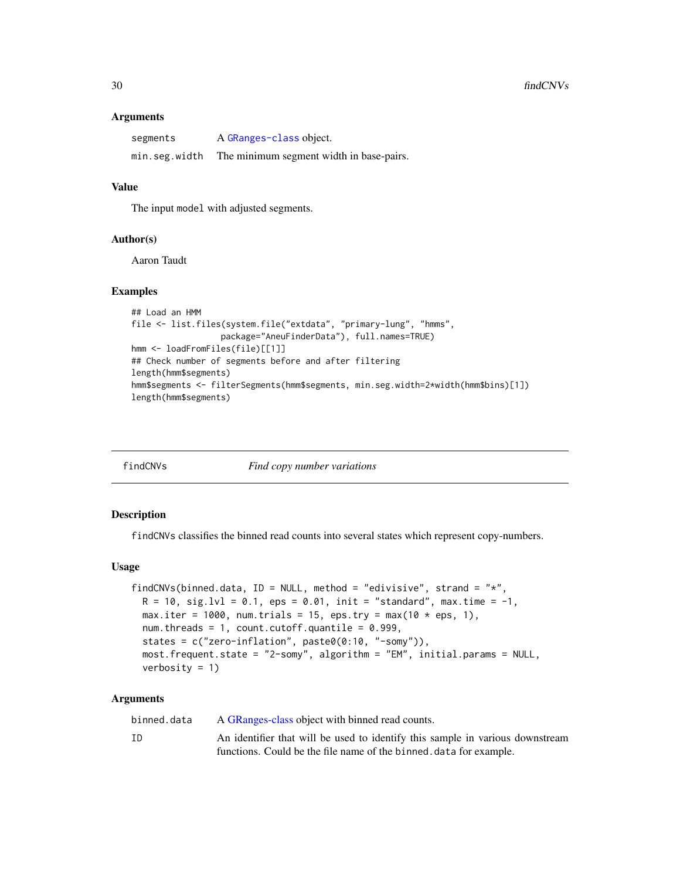#### <span id="page-29-0"></span>Arguments

| segments      | A GRanges-class object.                  |
|---------------|------------------------------------------|
| min.seg.width | The minimum segment width in base-pairs. |

#### Value

The input model with adjusted segments.

#### Author(s)

Aaron Taudt

#### Examples

```
## Load an HMM
file <- list.files(system.file("extdata", "primary-lung", "hmms",
                 package="AneuFinderData"), full.names=TRUE)
hmm <- loadFromFiles(file)[[1]]
## Check number of segments before and after filtering
length(hmm$segments)
hmm$segments <- filterSegments(hmm$segments, min.seg.width=2*width(hmm$bins)[1])
length(hmm$segments)
```
<span id="page-29-1"></span>

|  | findCNVs |
|--|----------|
|  |          |

Find copy number variations

#### Description

findCNVs classifies the binned read counts into several states which represent copy-numbers.

## Usage

```
findCNVs(binned.data, ID = NULL, method = "edivisive", strand = "x",
 R = 10, sig.lvl = 0.1, eps = 0.01, init = "standard", max.time = -1,
 max.iter = 1000, num.trials = 15, eps.try = max(10 * eps, 1),
 num.threads = 1, count.cutoff.quantile = 0.999,
  states = c("zero-inflation", paste0(0:10, "-somy")),
 most.frequent.state = "2-somy", algorithm = "EM", initial.params = NULL,
 verbosity = 1)
```
#### Arguments

binned.data A [GRanges-class](#page-0-0) object with binned read counts.

ID An identifier that will be used to identify this sample in various downstream functions. Could be the file name of the binned.data for example.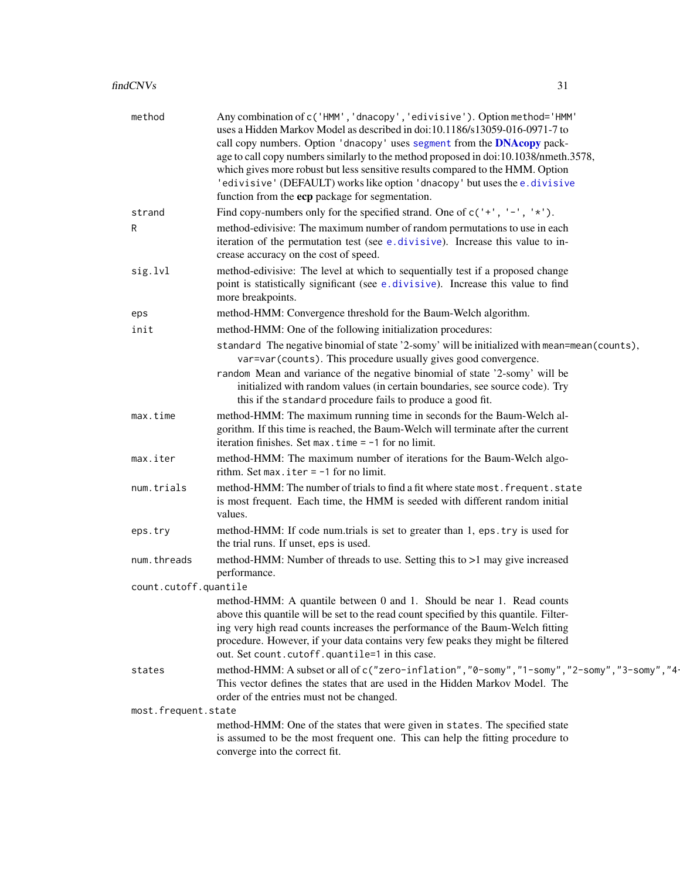<span id="page-30-0"></span>

| method                | Any combination of c('HMM', 'dnacopy', 'edivisive'). Option method='HMM'<br>uses a Hidden Markov Model as described in doi:10.1186/s13059-016-0971-7 to<br>call copy numbers. Option 'dnacopy' uses segment from the DNAcopy pack-<br>age to call copy numbers similarly to the method proposed in doi:10.1038/nmeth.3578,<br>which gives more robust but less sensitive results compared to the HMM. Option<br>'edivisive' (DEFAULT) works like option 'dnacopy' but uses the e.divisive<br>function from the ecp package for segmentation. |
|-----------------------|----------------------------------------------------------------------------------------------------------------------------------------------------------------------------------------------------------------------------------------------------------------------------------------------------------------------------------------------------------------------------------------------------------------------------------------------------------------------------------------------------------------------------------------------|
| strand                | Find copy-numbers only for the specified strand. One of $c('+', '-'', '*)$ .                                                                                                                                                                                                                                                                                                                                                                                                                                                                 |
| R                     | method-edivisive: The maximum number of random permutations to use in each                                                                                                                                                                                                                                                                                                                                                                                                                                                                   |
|                       | iteration of the permutation test (see e.divisive). Increase this value to in-<br>crease accuracy on the cost of speed.                                                                                                                                                                                                                                                                                                                                                                                                                      |
| sig.lvl               | method-edivisive: The level at which to sequentially test if a proposed change<br>point is statistically significant (see e.divisive). Increase this value to find<br>more breakpoints.                                                                                                                                                                                                                                                                                                                                                      |
| eps                   | method-HMM: Convergence threshold for the Baum-Welch algorithm.                                                                                                                                                                                                                                                                                                                                                                                                                                                                              |
| init                  | method-HMM: One of the following initialization procedures:                                                                                                                                                                                                                                                                                                                                                                                                                                                                                  |
|                       | standard The negative binomial of state '2-somy' will be initialized with mean=mean(counts),<br>var=var(counts). This procedure usually gives good convergence.<br>random Mean and variance of the negative binomial of state '2-somy' will be<br>initialized with random values (in certain boundaries, see source code). Try<br>this if the standard procedure fails to produce a good fit.                                                                                                                                                |
| max.time              | method-HMM: The maximum running time in seconds for the Baum-Welch al-<br>gorithm. If this time is reached, the Baum-Welch will terminate after the current<br>iteration finishes. Set max. time $= -1$ for no limit.                                                                                                                                                                                                                                                                                                                        |
| max.iter              | method-HMM: The maximum number of iterations for the Baum-Welch algo-<br>rithm. Set max. iter $= -1$ for no limit.                                                                                                                                                                                                                                                                                                                                                                                                                           |
| num.trials            | method-HMM: The number of trials to find a fit where state most. frequent. state<br>is most frequent. Each time, the HMM is seeded with different random initial<br>values.                                                                                                                                                                                                                                                                                                                                                                  |
| eps.try               | method-HMM: If code num.trials is set to greater than 1, eps.try is used for<br>the trial runs. If unset, eps is used.                                                                                                                                                                                                                                                                                                                                                                                                                       |
| num.threads           | method-HMM: Number of threads to use. Setting this to >1 may give increased<br>performance.                                                                                                                                                                                                                                                                                                                                                                                                                                                  |
| count.cutoff.quantile |                                                                                                                                                                                                                                                                                                                                                                                                                                                                                                                                              |
|                       | method-HMM: A quantile between 0 and 1. Should be near 1. Read counts<br>above this quantile will be set to the read count specified by this quantile. Filter-<br>ing very high read counts increases the performance of the Baum-Welch fitting<br>procedure. However, if your data contains very few peaks they might be filtered<br>out. Set count.cutoff.quantile=1 in this case.                                                                                                                                                         |
| states                | method-HMM: A subset or all of c("zero-inflation", "0-somy", "1-somy", "2-somy", "3-somy", "4-<br>This vector defines the states that are used in the Hidden Markov Model. The<br>order of the entries must not be changed.                                                                                                                                                                                                                                                                                                                  |
| most.frequent.state   |                                                                                                                                                                                                                                                                                                                                                                                                                                                                                                                                              |
|                       | method-HMM: One of the states that were given in states. The specified state<br>is assumed to be the most frequent one. This can help the fitting procedure to<br>converge into the correct fit.                                                                                                                                                                                                                                                                                                                                             |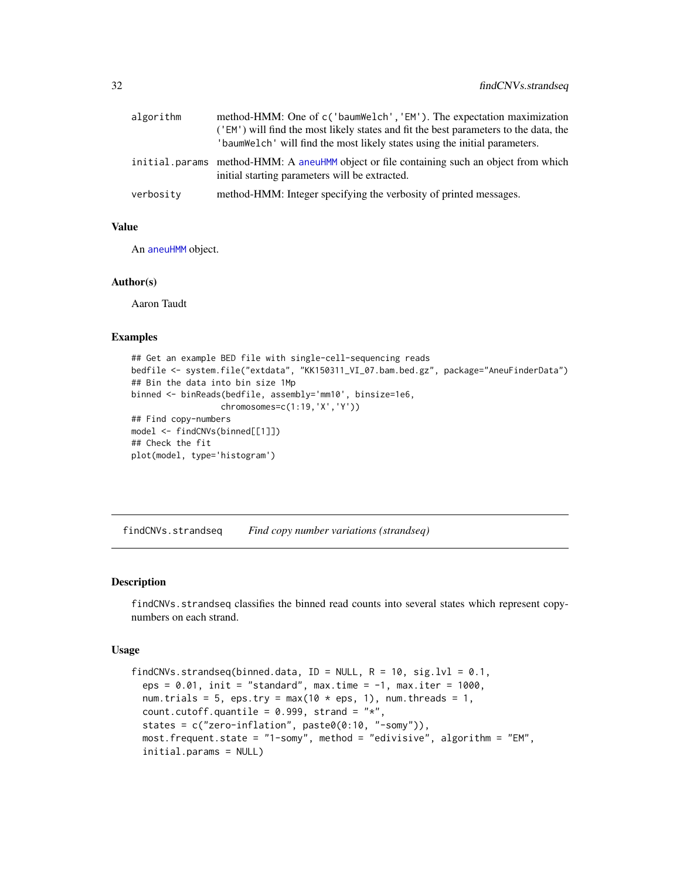<span id="page-31-0"></span>

| algorithm | method-HMM: One of c('baumWelch', 'EM'). The expectation maximization<br>('EM') will find the most likely states and fit the best parameters to the data, the<br>'baumWelch' will find the most likely states using the initial parameters. |
|-----------|---------------------------------------------------------------------------------------------------------------------------------------------------------------------------------------------------------------------------------------------|
|           | initial params method-HMM: A aneuHMM object or file containing such an object from which<br>initial starting parameters will be extracted.                                                                                                  |
| verbosity | method-HMM: Integer specifying the verbosity of printed messages.                                                                                                                                                                           |

## Value

An [aneuHMM](#page-6-1) object.

## Author(s)

Aaron Taudt

#### Examples

```
## Get an example BED file with single-cell-sequencing reads
bedfile <- system.file("extdata", "KK150311_VI_07.bam.bed.gz", package="AneuFinderData")
## Bin the data into bin size 1Mp
binned <- binReads(bedfile, assembly='mm10', binsize=1e6,
                  chromosomes=c(1:19,'X','Y'))
## Find copy-numbers
model <- findCNVs(binned[[1]])
## Check the fit
plot(model, type='histogram')
```
<span id="page-31-1"></span>findCNVs.strandseq *Find copy number variations (strandseq)*

#### Description

findCNVs.strandseq classifies the binned read counts into several states which represent copynumbers on each strand.

#### Usage

```
findCNVs.strandseq(binned.data, ID = NULL, R = 10, sig.lvl = 0.1,
  eps = 0.01, init = "standard", max.time = -1, max.iter = 1000,
 num.trials = 5, eps.try = max(10 * eps, 1), num.threads = 1,
 count.cutoff.quantile = 0.999, strand = "*",
 states = c("zero-inflation", paste0(0:10, "-somy")),
 most.frequent.state = "1-somy", method = "edivisive", algorithm = "EM",
  initial.params = NULL)
```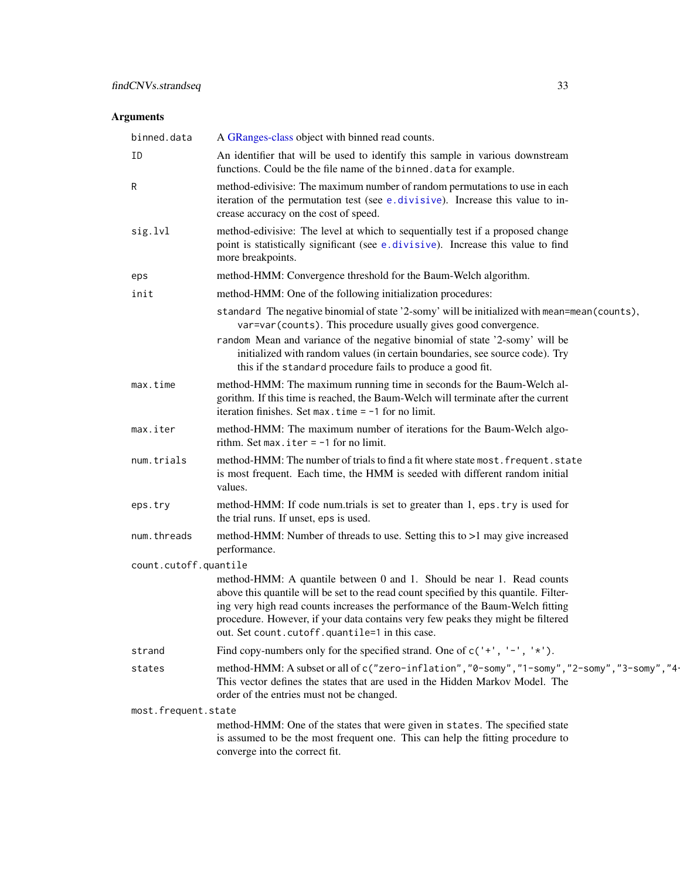<span id="page-32-0"></span>

| binned.data           | A GRanges-class object with binned read counts.                                                                                                                                                                                                                                                                                                                                               |
|-----------------------|-----------------------------------------------------------------------------------------------------------------------------------------------------------------------------------------------------------------------------------------------------------------------------------------------------------------------------------------------------------------------------------------------|
| ID                    | An identifier that will be used to identify this sample in various downstream<br>functions. Could be the file name of the binned. data for example.                                                                                                                                                                                                                                           |
| R                     | method-edivisive: The maximum number of random permutations to use in each<br>iteration of the permutation test (see e.divisive). Increase this value to in-<br>crease accuracy on the cost of speed.                                                                                                                                                                                         |
| sig.lvl               | method-edivisive: The level at which to sequentially test if a proposed change<br>point is statistically significant (see e.divisive). Increase this value to find<br>more breakpoints.                                                                                                                                                                                                       |
| eps                   | method-HMM: Convergence threshold for the Baum-Welch algorithm.                                                                                                                                                                                                                                                                                                                               |
| init                  | method-HMM: One of the following initialization procedures:                                                                                                                                                                                                                                                                                                                                   |
|                       | standard The negative binomial of state '2-somy' will be initialized with mean=mean(counts),<br>var=var(counts). This procedure usually gives good convergence.<br>random Mean and variance of the negative binomial of state '2-somy' will be<br>initialized with random values (in certain boundaries, see source code). Try<br>this if the standard procedure fails to produce a good fit. |
| max.time              | method-HMM: The maximum running time in seconds for the Baum-Welch al-<br>gorithm. If this time is reached, the Baum-Welch will terminate after the current<br>iteration finishes. Set max. time $= -1$ for no limit.                                                                                                                                                                         |
| max.iter              | method-HMM: The maximum number of iterations for the Baum-Welch algo-<br>rithm. Set max. iter $= -1$ for no limit.                                                                                                                                                                                                                                                                            |
| num.trials            | method-HMM: The number of trials to find a fit where state most. frequent. state<br>is most frequent. Each time, the HMM is seeded with different random initial<br>values.                                                                                                                                                                                                                   |
| eps.try               | method-HMM: If code num.trials is set to greater than 1, eps.try is used for<br>the trial runs. If unset, eps is used.                                                                                                                                                                                                                                                                        |
| num.threads           | method-HMM: Number of threads to use. Setting this to >1 may give increased<br>performance.                                                                                                                                                                                                                                                                                                   |
| count.cutoff.quantile |                                                                                                                                                                                                                                                                                                                                                                                               |
|                       | method-HMM: A quantile between 0 and 1. Should be near 1. Read counts<br>above this quantile will be set to the read count specified by this quantile. Filter-<br>ing very high read counts increases the performance of the Baum-Welch fitting<br>procedure. However, if your data contains very few peaks they might be filtered<br>out. Set count.cutoff.quantile=1 in this case.          |
| strand                | Find copy-numbers only for the specified strand. One of $c'$ +', '-', '*').                                                                                                                                                                                                                                                                                                                   |
| states                | method-HMM: A subset or all of c("zero-inflation", "0-somy", "1-somy", "2-somy", "3-somy", "4-<br>This vector defines the states that are used in the Hidden Markov Model. The<br>order of the entries must not be changed.                                                                                                                                                                   |
| most.frequent.state   |                                                                                                                                                                                                                                                                                                                                                                                               |
|                       | method-HMM: One of the states that were given in states. The specified state<br>is assumed to be the most frequent one. This can help the fitting procedure to<br>converge into the correct fit.                                                                                                                                                                                              |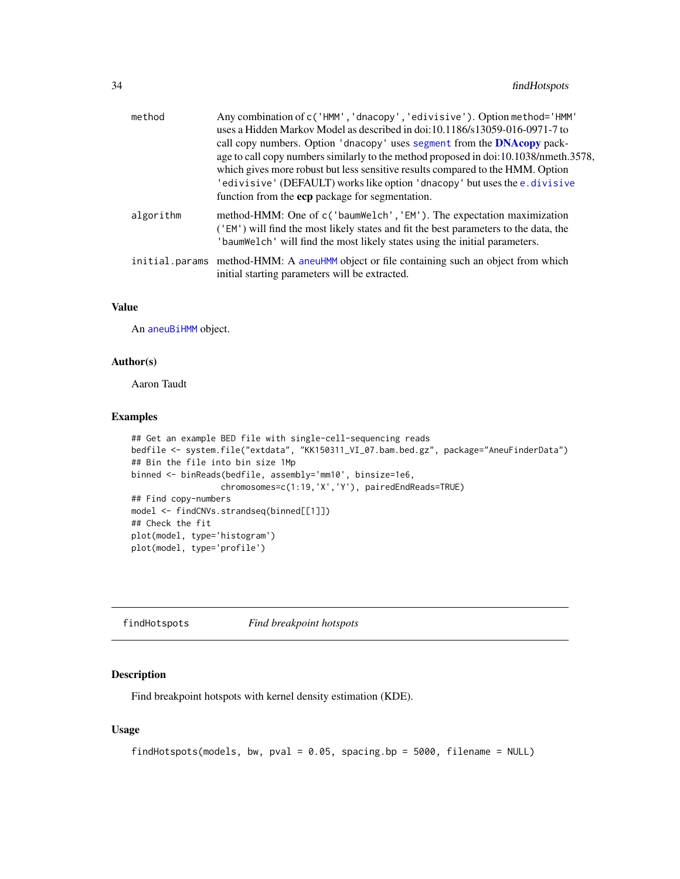<span id="page-33-0"></span>

| method    | Any combination of c('HMM', 'dnacopy', 'edivisive'). Option method='HMM'<br>uses a Hidden Markov Model as described in doi:10.1186/s13059-016-0971-7 to<br>call copy numbers. Option 'dnacopy' uses segment from the <b>DNAcopy</b> pack-<br>age to call copy numbers similarly to the method proposed in doi:10.1038/nmeth.3578,<br>which gives more robust but less sensitive results compared to the HMM. Option<br>'edivisive' (DEFAULT) works like option 'dnacopy' but uses the e.divisive<br>function from the ecp package for segmentation. |
|-----------|-----------------------------------------------------------------------------------------------------------------------------------------------------------------------------------------------------------------------------------------------------------------------------------------------------------------------------------------------------------------------------------------------------------------------------------------------------------------------------------------------------------------------------------------------------|
| algorithm | method-HMM: One of c('baumWelch', 'EM'). The expectation maximization<br>('EM') will find the most likely states and fit the best parameters to the data, the<br>'baumWelch' will find the most likely states using the initial parameters.                                                                                                                                                                                                                                                                                                         |
|           | initial.params method-HMM: A aneuHMM object or file containing such an object from which<br>initial starting parameters will be extracted.                                                                                                                                                                                                                                                                                                                                                                                                          |

## Value

An [aneuBiHMM](#page-3-1) object.

## Author(s)

Aaron Taudt

## Examples

```
## Get an example BED file with single-cell-sequencing reads
bedfile <- system.file("extdata", "KK150311_VI_07.bam.bed.gz", package="AneuFinderData")
## Bin the file into bin size 1Mp
binned <- binReads(bedfile, assembly='mm10', binsize=1e6,
                  chromosomes=c(1:19,'X','Y'), pairedEndReads=TRUE)
## Find copy-numbers
model <- findCNVs.strandseq(binned[[1]])
## Check the fit
plot(model, type='histogram')
plot(model, type='profile')
```
findHotspots *Find breakpoint hotspots*

## Description

Find breakpoint hotspots with kernel density estimation (KDE).

#### Usage

```
findHotspots(models, bw, pval = 0.05, spacing.bp = 5000, filename = NULL)
```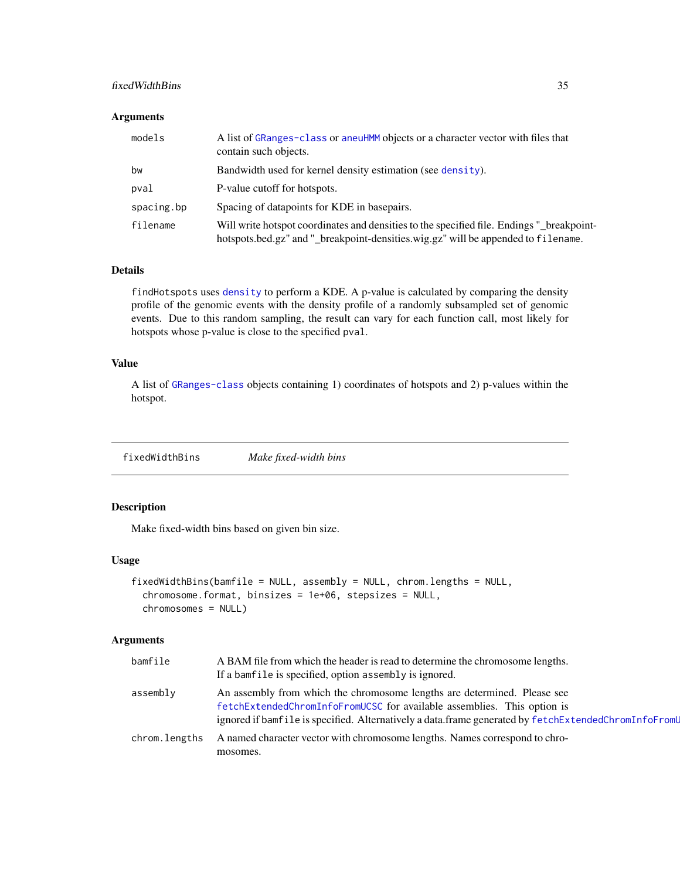## <span id="page-34-0"></span>fixedWidthBins 35

## Arguments

| models     | A list of GRanges-class or aneuHMM objects or a character vector with files that<br>contain such objects.                                                                      |
|------------|--------------------------------------------------------------------------------------------------------------------------------------------------------------------------------|
| bw         | Bandwidth used for kernel density estimation (see density).                                                                                                                    |
| pval       | P-value cutoff for hotspots.                                                                                                                                                   |
| spacing.bp | Spacing of datapoints for KDE in basepairs.                                                                                                                                    |
| filename   | Will write hotspot coordinates and densities to the specified file. Endings " breakpoint-<br>hotspots.bed.gz" and "_breakpoint-densities.wig.gz" will be appended to filename. |

## Details

findHotspots uses [density](#page-0-0) to perform a KDE. A p-value is calculated by comparing the density profile of the genomic events with the density profile of a randomly subsampled set of genomic events. Due to this random sampling, the result can vary for each function call, most likely for hotspots whose p-value is close to the specified pval.

## Value

A list of [GRanges-class](#page-0-0) objects containing 1) coordinates of hotspots and 2) p-values within the hotspot.

<span id="page-34-1"></span>fixedWidthBins *Make fixed-width bins*

## Description

Make fixed-width bins based on given bin size.

#### Usage

```
fixedWidthBins(bamfile = NULL, assembly = NULL, chrom.lengths = NULL,
  chromosome.format, binsizes = 1e+06, stepsizes = NULL,
  chromosomes = NULL)
```

| bamfile       | A BAM file from which the header is read to determine the chromosome lengths.<br>If a bamfile is specified, option assembly is ignored.                                                                                                                     |
|---------------|-------------------------------------------------------------------------------------------------------------------------------------------------------------------------------------------------------------------------------------------------------------|
| assembly      | An assembly from which the chromosome lengths are determined. Please see<br>fetchExtendedChromInfoFromUCSC for available assemblies. This option is<br>ignored if bamfile is specified. Alternatively a data.frame generated by fetchExtendedChromInfoFromU |
| chrom.lengths | A named character vector with chromosome lengths. Names correspond to chro-<br>mosomes.                                                                                                                                                                     |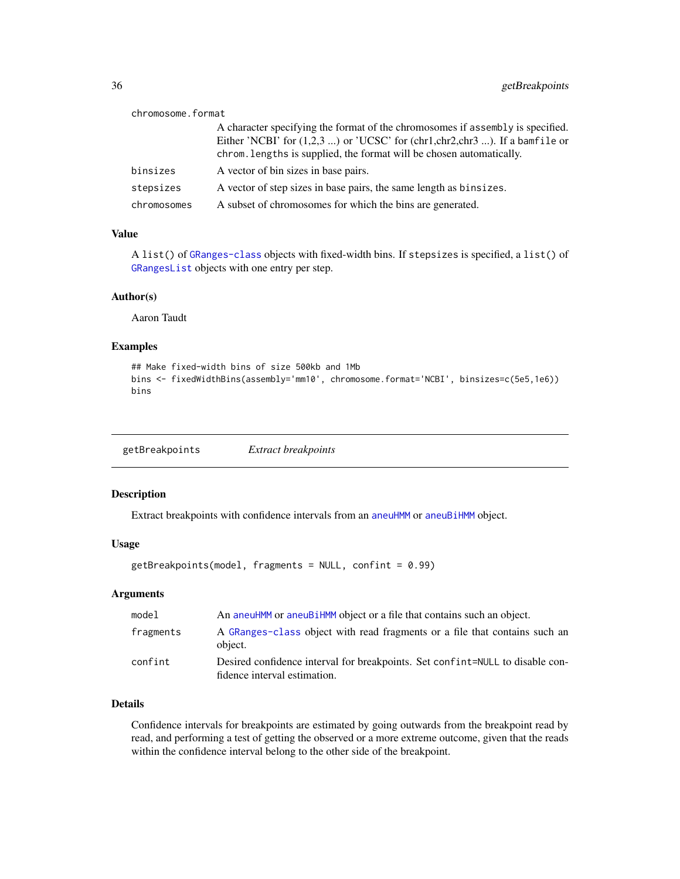<span id="page-35-0"></span>

| chromosome.format |                                                                                                                                                                                                                                           |
|-------------------|-------------------------------------------------------------------------------------------------------------------------------------------------------------------------------------------------------------------------------------------|
|                   | A character specifying the format of the chromosomes if assembly is specified.<br>Either 'NCBI' for $(1,2,3)$ or 'UCSC' for $chr1, chr2, chr3)$ . If a bamfile or<br>chrom. lengths is supplied, the format will be chosen automatically. |
| binsizes          | A vector of bin sizes in base pairs.                                                                                                                                                                                                      |
| stepsizes         | A vector of step sizes in base pairs, the same length as binsizes.                                                                                                                                                                        |
| chromosomes       | A subset of chromosomes for which the bins are generated.                                                                                                                                                                                 |

#### Value

A list() of [GRanges-class](#page-0-0) objects with fixed-width bins. If stepsizes is specified, a list() of [GRangesList](#page-0-0) objects with one entry per step.

#### Author(s)

Aaron Taudt

## Examples

```
## Make fixed-width bins of size 500kb and 1Mb
bins <- fixedWidthBins(assembly='mm10', chromosome.format='NCBI', binsizes=c(5e5,1e6))
bins
```
<span id="page-35-1"></span>getBreakpoints *Extract breakpoints*

## Description

Extract breakpoints with confidence intervals from an [aneuHMM](#page-6-1) or [aneuBiHMM](#page-3-1) object.

#### Usage

```
getBreakpoints(model, fragments = NULL, confint = 0.99)
```
#### Arguments

| model     | An aneuHMM or aneuBiHMM object or a file that contains such an object.                                        |
|-----------|---------------------------------------------------------------------------------------------------------------|
| fragments | A GRanges-class object with read fragments or a file that contains such an<br>object.                         |
| confint   | Desired confidence interval for breakpoints. Set confint=NULL to disable con-<br>fidence interval estimation. |

## Details

Confidence intervals for breakpoints are estimated by going outwards from the breakpoint read by read, and performing a test of getting the observed or a more extreme outcome, given that the reads within the confidence interval belong to the other side of the breakpoint.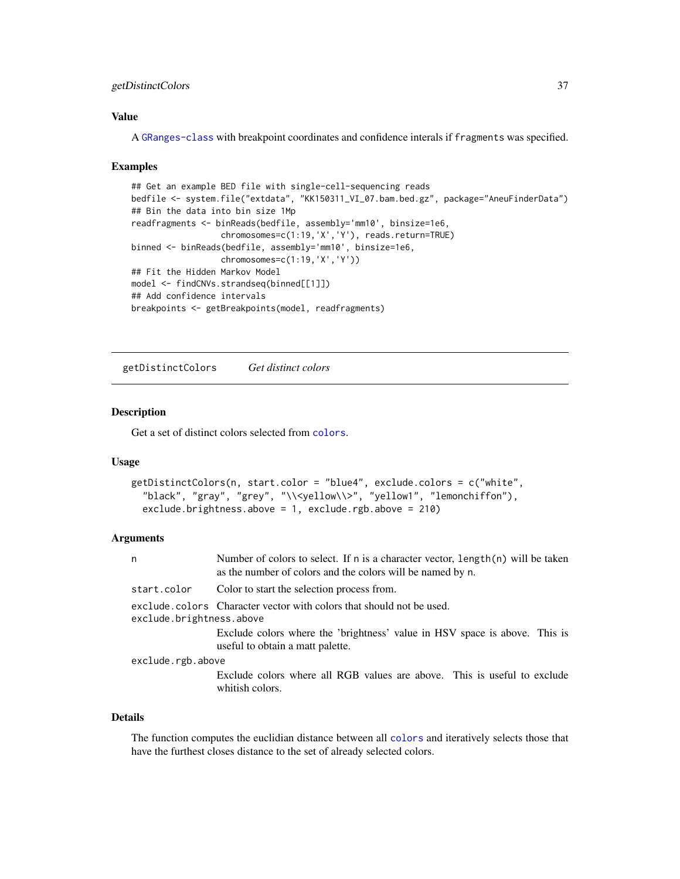## <span id="page-36-0"></span>getDistinctColors 37

## Value

A [GRanges-class](#page-0-0) with breakpoint coordinates and confidence interals if fragments was specified.

#### Examples

```
## Get an example BED file with single-cell-sequencing reads
bedfile <- system.file("extdata", "KK150311_VI_07.bam.bed.gz", package="AneuFinderData")
## Bin the data into bin size 1Mp
readfragments <- binReads(bedfile, assembly='mm10', binsize=1e6,
                  chromosomes=c(1:19,'X','Y'), reads.return=TRUE)
binned <- binReads(bedfile, assembly='mm10', binsize=1e6,
                  chromosomes=c(1:19,'X','Y'))
## Fit the Hidden Markov Model
model <- findCNVs.strandseq(binned[[1]])
## Add confidence intervals
breakpoints <- getBreakpoints(model, readfragments)
```
getDistinctColors *Get distinct colors*

#### Description

Get a set of distinct colors selected from [colors](#page-20-1).

#### Usage

```
getDistinctColors(n, start.color = "blue4", exclude.colors = c("white",
  "black", "gray", "grey", "\\<yellow\\>", "yellow1", "lemonchiffon"),
  exclude.brightness.above = 1, exclude.rgb.above = 210)
```
#### Arguments

| n                        | Number of colors to select. If $n$ is a character vector, $length(n)$ will be taken<br>as the number of colors and the colors will be named by n. |  |
|--------------------------|---------------------------------------------------------------------------------------------------------------------------------------------------|--|
| start.color              | Color to start the selection process from.                                                                                                        |  |
| exclude.brightness.above | exclude.colors Character vector with colors that should not be used.                                                                              |  |
|                          | Exclude colors where the 'brightness' value in HSV space is above. This is<br>useful to obtain a matt palette.                                    |  |
| exclude.rgb.above        |                                                                                                                                                   |  |
|                          | Exclude colors where all RGB values are above. This is useful to exclude<br>whitish colors.                                                       |  |

#### Details

The function computes the euclidian distance between all [colors](#page-20-1) and iteratively selects those that have the furthest closes distance to the set of already selected colors.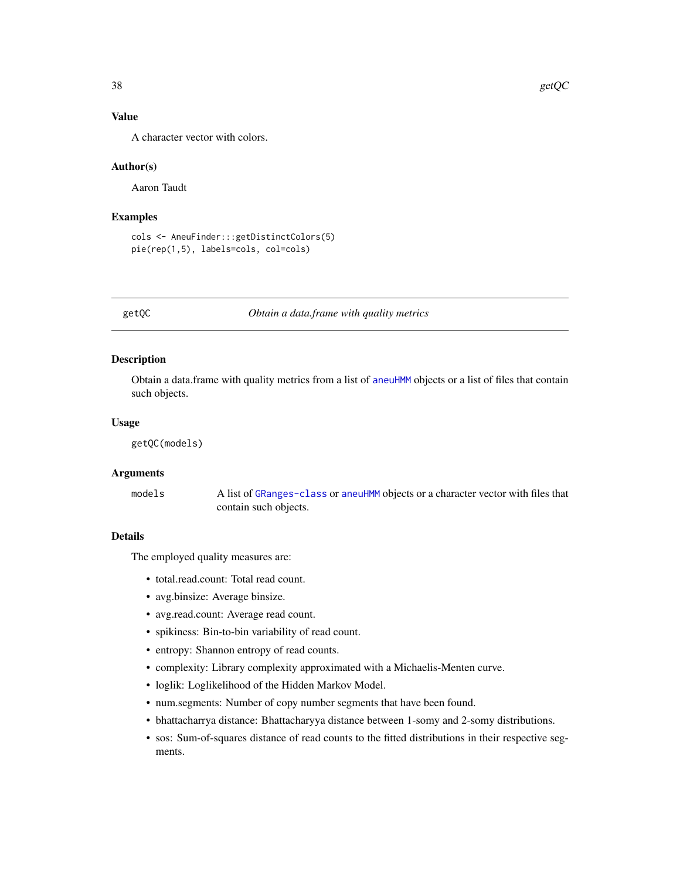## Value

A character vector with colors.

#### Author(s)

Aaron Taudt

#### Examples

```
cols <- AneuFinder:::getDistinctColors(5)
pie(rep(1,5), labels=cols, col=cols)
```
<span id="page-37-1"></span>getQC *Obtain a data.frame with quality metrics*

## Description

Obtain a data.frame with quality metrics from a list of [aneuHMM](#page-6-1) objects or a list of files that contain such objects.

#### Usage

getQC(models)

#### Arguments

models A list of [GRanges-class](#page-0-0) or [aneuHMM](#page-6-1) objects or a character vector with files that contain such objects.

#### Details

The employed quality measures are:

- total.read.count: Total read count.
- avg.binsize: Average binsize.
- avg.read.count: Average read count.
- spikiness: Bin-to-bin variability of read count.
- entropy: Shannon entropy of read counts.
- complexity: Library complexity approximated with a Michaelis-Menten curve.
- loglik: Loglikelihood of the Hidden Markov Model.
- num.segments: Number of copy number segments that have been found.
- bhattacharrya distance: Bhattacharyya distance between 1-somy and 2-somy distributions.
- sos: Sum-of-squares distance of read counts to the fitted distributions in their respective segments.

<span id="page-37-0"></span>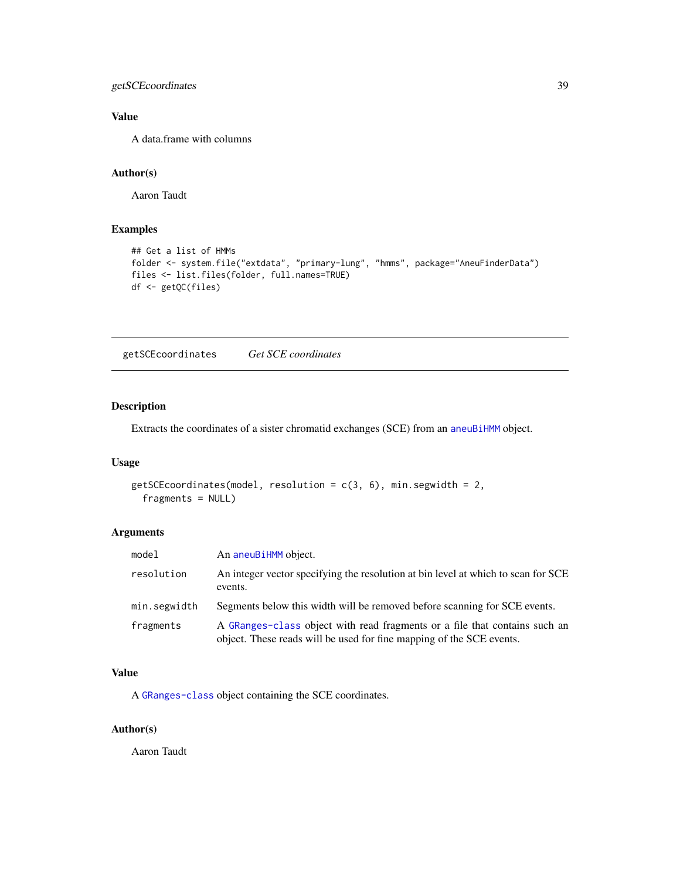<span id="page-38-0"></span>getSCEcoordinates 39

## Value

A data.frame with columns

## Author(s)

Aaron Taudt

## Examples

```
## Get a list of HMMs
folder <- system.file("extdata", "primary-lung", "hmms", package="AneuFinderData")
files <- list.files(folder, full.names=TRUE)
df <- getQC(files)
```
getSCEcoordinates *Get SCE coordinates*

## Description

Extracts the coordinates of a sister chromatid exchanges (SCE) from an [aneuBiHMM](#page-3-1) object.

#### Usage

```
getSCEcoordinates(model, resolution = c(3, 6), min.segwidth = 2,
 fragments = NULL)
```
## Arguments

| model        | An aneuBiHMM object.                                                                                                                               |
|--------------|----------------------------------------------------------------------------------------------------------------------------------------------------|
| resolution   | An integer vector specifying the resolution at bin level at which to scan for SCE<br>events.                                                       |
| min.segwidth | Segments below this width will be removed before scanning for SCE events.                                                                          |
| fragments    | A GRanges-class object with read fragments or a file that contains such an<br>object. These reads will be used for fine mapping of the SCE events. |

#### Value

A [GRanges-class](#page-0-0) object containing the SCE coordinates.

#### Author(s)

Aaron Taudt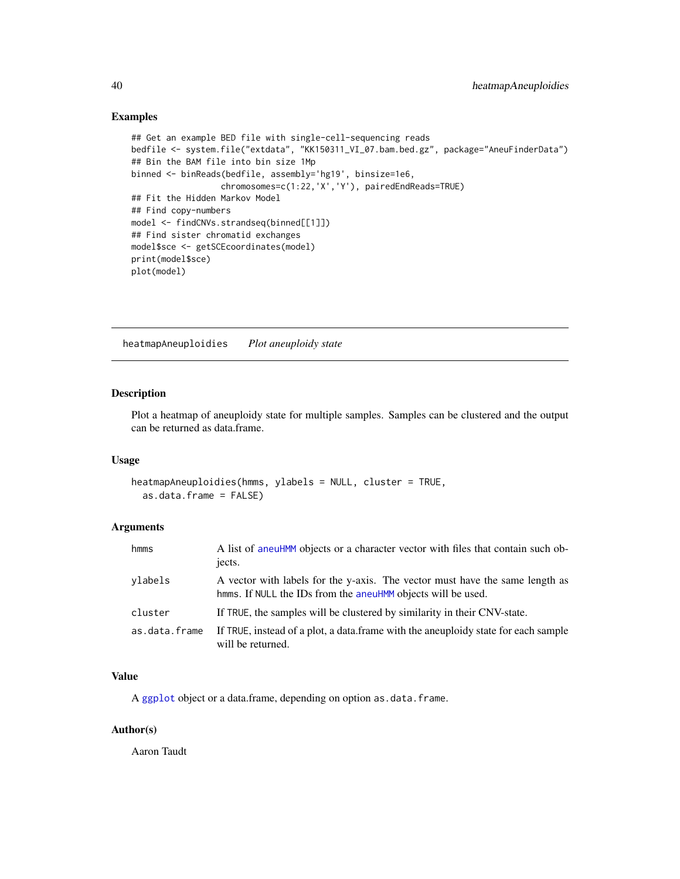#### Examples

```
## Get an example BED file with single-cell-sequencing reads
bedfile <- system.file("extdata", "KK150311_VI_07.bam.bed.gz", package="AneuFinderData")
## Bin the BAM file into bin size 1Mp
binned <- binReads(bedfile, assembly='hg19', binsize=1e6,
                  chromosomes=c(1:22,'X','Y'), pairedEndReads=TRUE)
## Fit the Hidden Markov Model
## Find copy-numbers
model <- findCNVs.strandseq(binned[[1]])
## Find sister chromatid exchanges
model$sce <- getSCEcoordinates(model)
print(model$sce)
plot(model)
```
heatmapAneuploidies *Plot aneuploidy state*

## Description

Plot a heatmap of aneuploidy state for multiple samples. Samples can be clustered and the output can be returned as data.frame.

#### Usage

```
heatmapAneuploidies(hmms, ylabels = NULL, cluster = TRUE,
  as.data.frame = FALSE)
```
#### Arguments

| hmms          | A list of aneuHMM objects or a character vector with files that contain such ob-<br>jects.                                                   |
|---------------|----------------------------------------------------------------------------------------------------------------------------------------------|
| ylabels       | A vector with labels for the y-axis. The vector must have the same length as<br>hmms. If NULL the IDs from the aneuHMM objects will be used. |
| cluster       | If TRUE, the samples will be clustered by similarity in their CNV-state.                                                                     |
| as.data.frame | If TRUE, instead of a plot, a data frame with the aneuploidy state for each sample<br>will be returned.                                      |

## Value

A [ggplot](#page-0-0) object or a data.frame, depending on option as.data.frame.

#### Author(s)

Aaron Taudt

<span id="page-39-0"></span>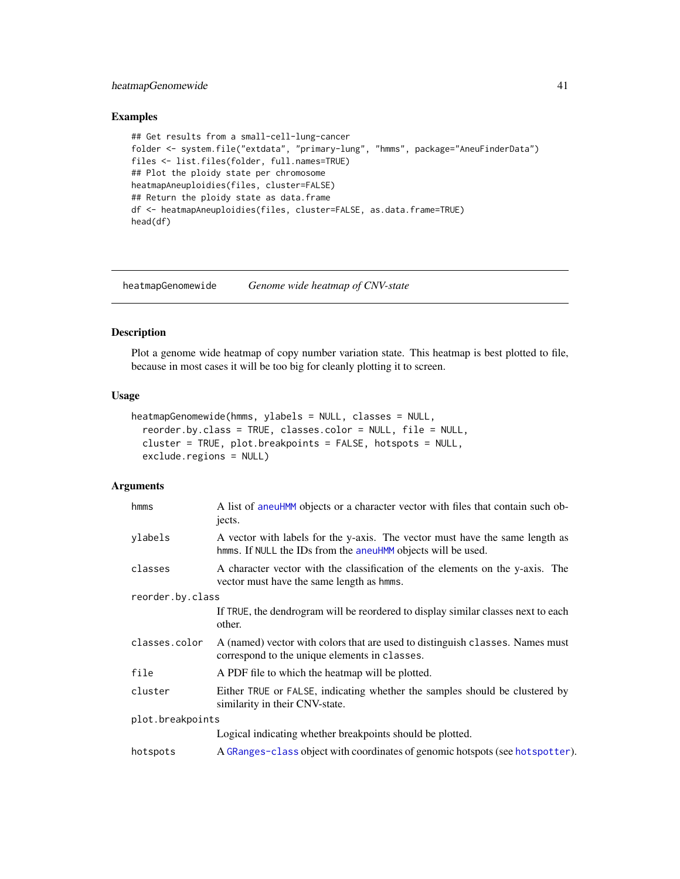## <span id="page-40-0"></span>heatmapGenomewide 41

## Examples

```
## Get results from a small-cell-lung-cancer
folder <- system.file("extdata", "primary-lung", "hmms", package="AneuFinderData")
files <- list.files(folder, full.names=TRUE)
## Plot the ploidy state per chromosome
heatmapAneuploidies(files, cluster=FALSE)
## Return the ploidy state as data.frame
df <- heatmapAneuploidies(files, cluster=FALSE, as.data.frame=TRUE)
head(df)
```
<span id="page-40-1"></span>heatmapGenomewide *Genome wide heatmap of CNV-state*

#### Description

Plot a genome wide heatmap of copy number variation state. This heatmap is best plotted to file, because in most cases it will be too big for cleanly plotting it to screen.

## Usage

```
heatmapGenomewide(hmms, ylabels = NULL, classes = NULL,
  reorder.by.class = TRUE, classes.color = NULL, file = NULL,
  cluster = TRUE, plot.breakpoints = FALSE, hotspots = NULL,
  exclude.regions = NULL)
```

| hmms             | A list of aneuHMM objects or a character vector with files that contain such ob-<br>jects.                                                   |  |
|------------------|----------------------------------------------------------------------------------------------------------------------------------------------|--|
| ylabels          | A vector with labels for the y-axis. The vector must have the same length as<br>hmms. If NULL the IDs from the aneuHMM objects will be used. |  |
| classes          | A character vector with the classification of the elements on the y-axis. The<br>vector must have the same length as hmms.                   |  |
| reorder.by.class |                                                                                                                                              |  |
|                  | If TRUE, the dendrogram will be reordered to display similar classes next to each<br>other.                                                  |  |
| classes.color    | A (named) vector with colors that are used to distinguish classes. Names must<br>correspond to the unique elements in classes.               |  |
| file             | A PDF file to which the heatmap will be plotted.                                                                                             |  |
| cluster          | Either TRUE or FALSE, indicating whether the samples should be clustered by<br>similarity in their CNV-state.                                |  |
| plot.breakpoints |                                                                                                                                              |  |
|                  | Logical indicating whether breakpoints should be plotted.                                                                                    |  |
| hotspots         | A GRanges-class object with coordinates of genomic hotspots (see hotspotter).                                                                |  |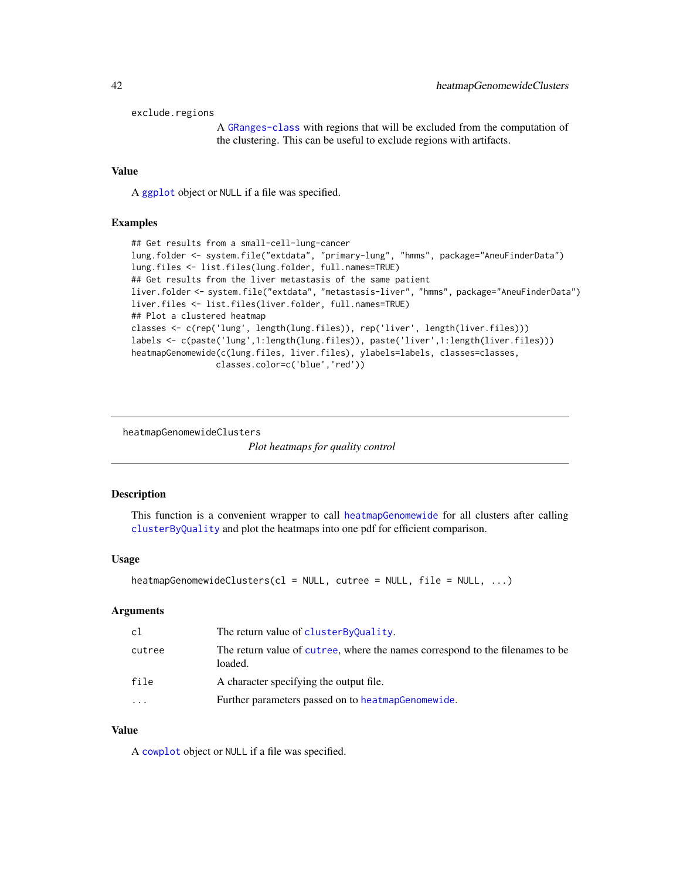```
exclude.regions
```
A [GRanges-class](#page-0-0) with regions that will be excluded from the computation of the clustering. This can be useful to exclude regions with artifacts.

## Value

A [ggplot](#page-0-0) object or NULL if a file was specified.

#### Examples

```
## Get results from a small-cell-lung-cancer
lung.folder <- system.file("extdata", "primary-lung", "hmms", package="AneuFinderData")
lung.files <- list.files(lung.folder, full.names=TRUE)
## Get results from the liver metastasis of the same patient
liver.folder <- system.file("extdata", "metastasis-liver", "hmms", package="AneuFinderData")
liver.files <- list.files(liver.folder, full.names=TRUE)
## Plot a clustered heatmap
classes <- c(rep('lung', length(lung.files)), rep('liver', length(liver.files)))
labels <- c(paste('lung',1:length(lung.files)), paste('liver',1:length(liver.files)))
heatmapGenomewide(c(lung.files, liver.files), ylabels=labels, classes=classes,
                 classes.color=c('blue','red'))
```
heatmapGenomewideClusters

*Plot heatmaps for quality control*

#### Description

This function is a convenient wrapper to call [heatmapGenomewide](#page-40-1) for all clusters after calling [clusterByQuality](#page-16-1) and plot the heatmaps into one pdf for efficient comparison.

#### Usage

heatmapGenomewideClusters(cl = NULL, cutree = NULL, file = NULL, ...)

#### Arguments

| cl      | The return value of clusterByQuality.                                                    |
|---------|------------------------------------------------------------------------------------------|
| cutree  | The return value of cutree, where the names correspond to the filenames to be<br>loaded. |
| file    | A character specifying the output file.                                                  |
| $\cdot$ | Further parameters passed on to heatmap Genomewide.                                      |

#### Value

A [cowplot](#page-0-0) object or NULL if a file was specified.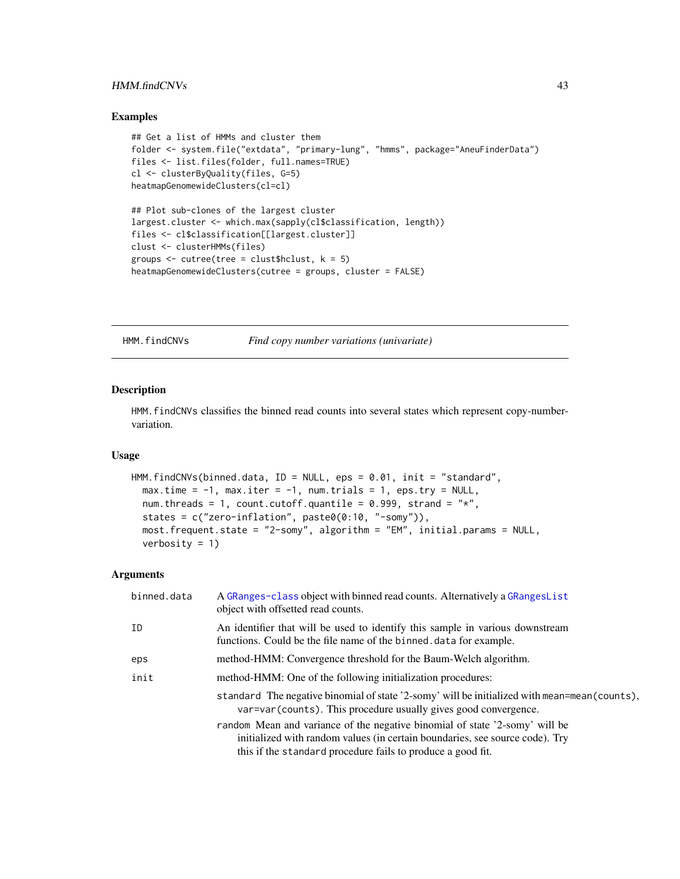## <span id="page-42-0"></span>HMM.findCNVs 43

#### Examples

```
## Get a list of HMMs and cluster them
folder <- system.file("extdata", "primary-lung", "hmms", package="AneuFinderData")
files <- list.files(folder, full.names=TRUE)
cl <- clusterByQuality(files, G=5)
heatmapGenomewideClusters(cl=cl)
## Plot sub-clones of the largest cluster
largest.cluster <- which.max(sapply(cl$classification, length))
files <- cl$classification[[largest.cluster]]
clust <- clusterHMMs(files)
groups \le cutree(tree = clust$hclust, k = 5)
heatmapGenomewideClusters(cutree = groups, cluster = FALSE)
```
HMM.findCNVs *Find copy number variations (univariate)*

## Description

HMM.findCNVs classifies the binned read counts into several states which represent copy-numbervariation.

#### Usage

```
HMM.findCNVs(binned.data, ID = NULL, eps = 0.01, init = "standard",
 max.time = -1, max.iter = -1, num.trials = 1, eps.try = NULL,
 num.threads = 1, count.cutoff.quantile = 0.999, strand = "*",
  states = c("zero-inflation", paste0(0:10, "-somy")),
 most.frequent.state = "2-somy", algorithm = "EM", initial.params = NULL,
  verbosity = 1)
```

| binned.data | A GRanges-class object with binned read counts. Alternatively a GRangesList<br>object with offsetted read counts.                                                                                                          |
|-------------|----------------------------------------------------------------------------------------------------------------------------------------------------------------------------------------------------------------------------|
| ID          | An identifier that will be used to identify this sample in various downstream<br>functions. Could be the file name of the binned data for example.                                                                         |
| eps         | method-HMM: Convergence threshold for the Baum-Welch algorithm.                                                                                                                                                            |
| init        | method-HMM: One of the following initialization procedures:                                                                                                                                                                |
|             | standard The negative binomial of state '2-somy' will be initialized with mean=mean(counts),<br>var=var(counts). This procedure usually gives good convergence.                                                            |
|             | random Mean and variance of the negative binomial of state '2-somy' will be<br>initialized with random values (in certain boundaries, see source code). Try<br>this if the standard procedure fails to produce a good fit. |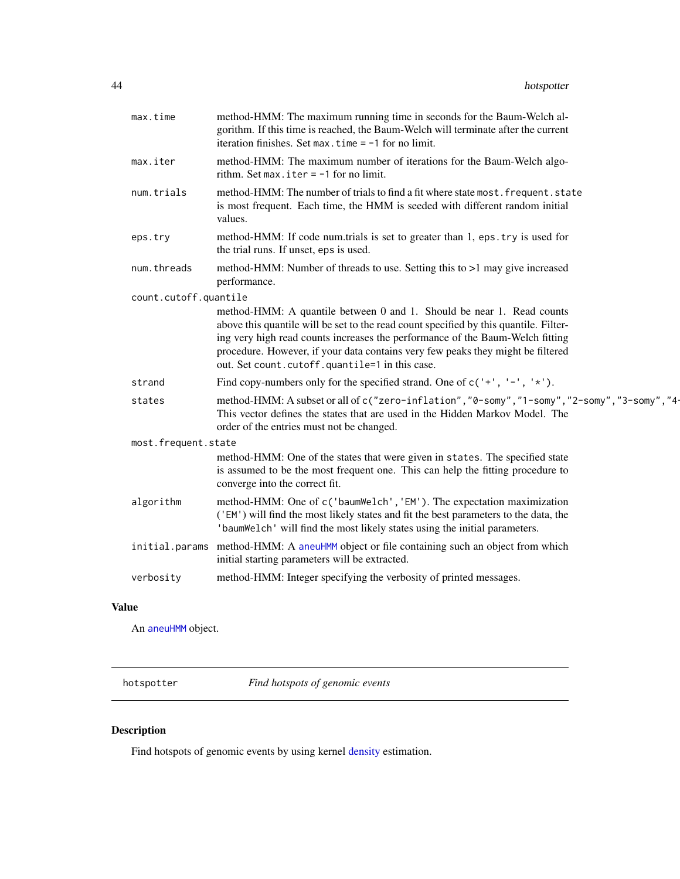<span id="page-43-0"></span>

| max.time              | method-HMM: The maximum running time in seconds for the Baum-Welch al-<br>gorithm. If this time is reached, the Baum-Welch will terminate after the current<br>iteration finishes. Set max. time $= -1$ for no limit.                                                                                                                                                                |
|-----------------------|--------------------------------------------------------------------------------------------------------------------------------------------------------------------------------------------------------------------------------------------------------------------------------------------------------------------------------------------------------------------------------------|
| max.iter              | method-HMM: The maximum number of iterations for the Baum-Welch algo-<br>rithm. Set max. iter $= -1$ for no limit.                                                                                                                                                                                                                                                                   |
| num.trials            | method-HMM: The number of trials to find a fit where state most. frequent. state<br>is most frequent. Each time, the HMM is seeded with different random initial<br>values.                                                                                                                                                                                                          |
| eps.try               | method-HMM: If code num.trials is set to greater than 1, eps.try is used for<br>the trial runs. If unset, eps is used.                                                                                                                                                                                                                                                               |
| num.threads           | method-HMM: Number of threads to use. Setting this to >1 may give increased<br>performance.                                                                                                                                                                                                                                                                                          |
| count.cutoff.quantile |                                                                                                                                                                                                                                                                                                                                                                                      |
|                       | method-HMM: A quantile between 0 and 1. Should be near 1. Read counts<br>above this quantile will be set to the read count specified by this quantile. Filter-<br>ing very high read counts increases the performance of the Baum-Welch fitting<br>procedure. However, if your data contains very few peaks they might be filtered<br>out. Set count.cutoff.quantile=1 in this case. |
| strand                | Find copy-numbers only for the specified strand. One of $c('+', '-'', '*)$ .                                                                                                                                                                                                                                                                                                         |
| states                | method-HMM: A subset or all of c("zero-inflation", "0-somy", "1-somy", "2-somy", "3-somy", "4-<br>This vector defines the states that are used in the Hidden Markov Model. The<br>order of the entries must not be changed.                                                                                                                                                          |
| most.frequent.state   |                                                                                                                                                                                                                                                                                                                                                                                      |
|                       | method-HMM: One of the states that were given in states. The specified state<br>is assumed to be the most frequent one. This can help the fitting procedure to<br>converge into the correct fit.                                                                                                                                                                                     |
| algorithm             | method-HMM: One of c('baumWelch', 'EM'). The expectation maximization<br>('EM') will find the most likely states and fit the best parameters to the data, the<br>'baumWelch' will find the most likely states using the initial parameters.                                                                                                                                          |
|                       | initial.params method-HMM: A aneuHMM object or file containing such an object from which<br>initial starting parameters will be extracted.                                                                                                                                                                                                                                           |
| verbosity             | method-HMM: Integer specifying the verbosity of printed messages.                                                                                                                                                                                                                                                                                                                    |
|                       |                                                                                                                                                                                                                                                                                                                                                                                      |

## Value

An [aneuHMM](#page-6-1) object.

<span id="page-43-1"></span>hotspotter *Find hotspots of genomic events*

## Description

Find hotspots of genomic events by using kernel [density](#page-0-0) estimation.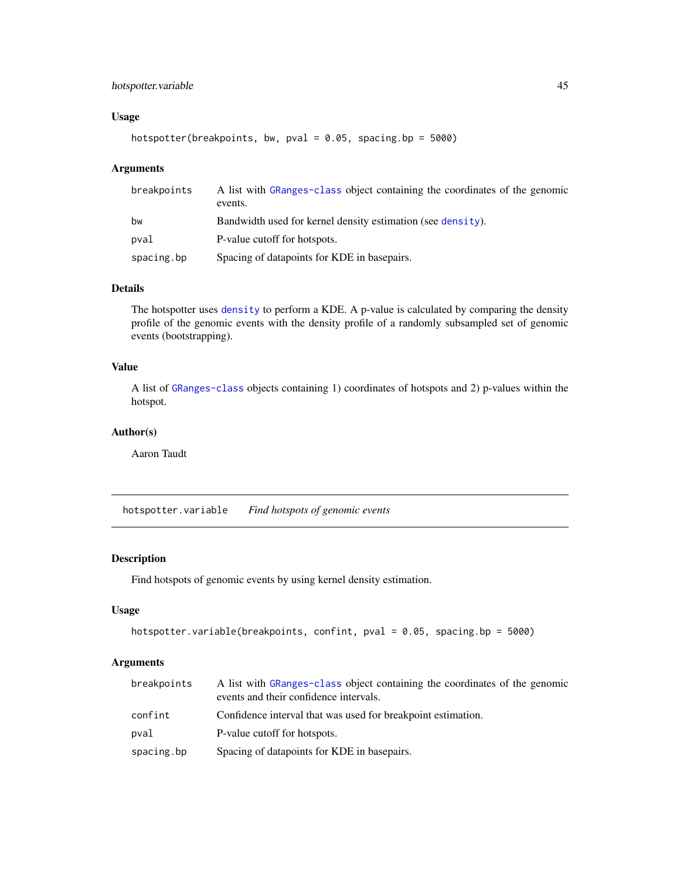## <span id="page-44-0"></span>hotspotter.variable 45

## Usage

```
hotspotter(breakpoints, bw, pval = 0.05, spacing.bp = 5000)
```
## Arguments

| breakpoints | A list with GRanges-class object containing the coordinates of the genomic<br>events. |
|-------------|---------------------------------------------------------------------------------------|
| bw          | Bandwidth used for kernel density estimation (see density).                           |
| pval        | P-value cutoff for hotspots.                                                          |
| spacing.bp  | Spacing of datapoints for KDE in basepairs.                                           |

## Details

The hotspotter uses [density](#page-0-0) to perform a KDE. A p-value is calculated by comparing the density profile of the genomic events with the density profile of a randomly subsampled set of genomic events (bootstrapping).

## Value

A list of [GRanges-class](#page-0-0) objects containing 1) coordinates of hotspots and 2) p-values within the hotspot.

## Author(s)

Aaron Taudt

hotspotter.variable *Find hotspots of genomic events*

## Description

Find hotspots of genomic events by using kernel density estimation.

## Usage

```
hotspotter.variable(breakpoints, confint, pval = 0.05, spacing.bp = 5000)
```

| breakpoints | A list with GRanges-class object containing the coordinates of the genomic<br>events and their confidence intervals. |
|-------------|----------------------------------------------------------------------------------------------------------------------|
| confint     | Confidence interval that was used for breakpoint estimation.                                                         |
| pval        | P-value cutoff for hotspots.                                                                                         |
| spacing.bp  | Spacing of datapoints for KDE in basepairs.                                                                          |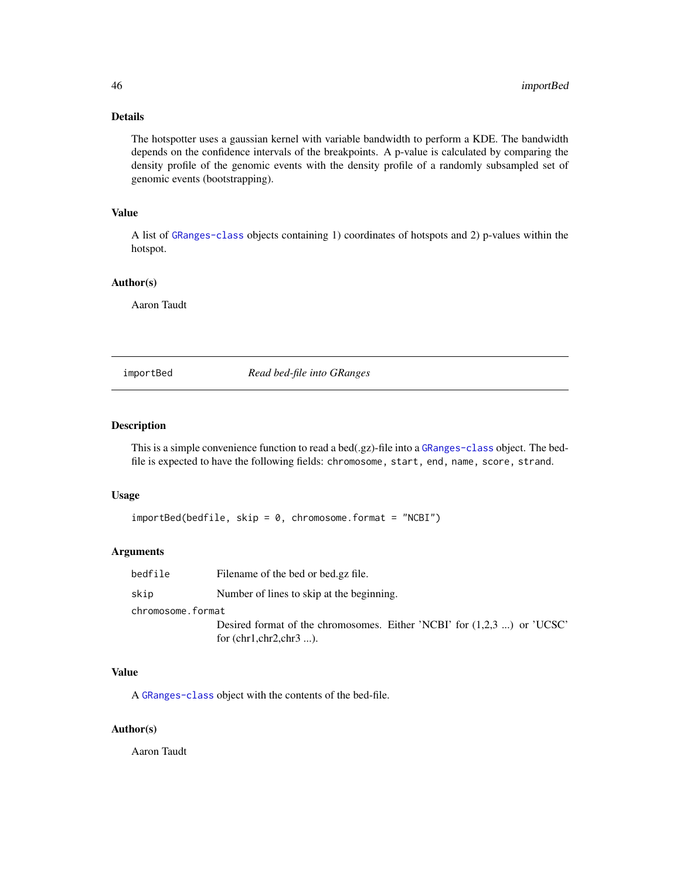## <span id="page-45-0"></span>Details

The hotspotter uses a gaussian kernel with variable bandwidth to perform a KDE. The bandwidth depends on the confidence intervals of the breakpoints. A p-value is calculated by comparing the density profile of the genomic events with the density profile of a randomly subsampled set of genomic events (bootstrapping).

## Value

A list of [GRanges-class](#page-0-0) objects containing 1) coordinates of hotspots and 2) p-values within the hotspot.

## Author(s)

Aaron Taudt

importBed *Read bed-file into GRanges*

#### Description

This is a simple convenience function to read a bed(.gz)-file into a [GRanges-class](#page-0-0) object. The bedfile is expected to have the following fields: chromosome, start, end, name, score, strand.

#### Usage

```
importBed(bedfile, skip = 0, chromosome.format = "NCBI")
```
#### Arguments

| bedfile           | Filename of the bed or bed.gz file.                                                                       |
|-------------------|-----------------------------------------------------------------------------------------------------------|
| skip              | Number of lines to skip at the beginning.                                                                 |
| chromosome.format |                                                                                                           |
|                   | Desired format of the chromosomes. Either 'NCBI' for $(1,2,3)$ ) or 'UCSC'<br>for $(chr1, chr2, chr3 )$ . |

## Value

A [GRanges-class](#page-0-0) object with the contents of the bed-file.

#### Author(s)

Aaron Taudt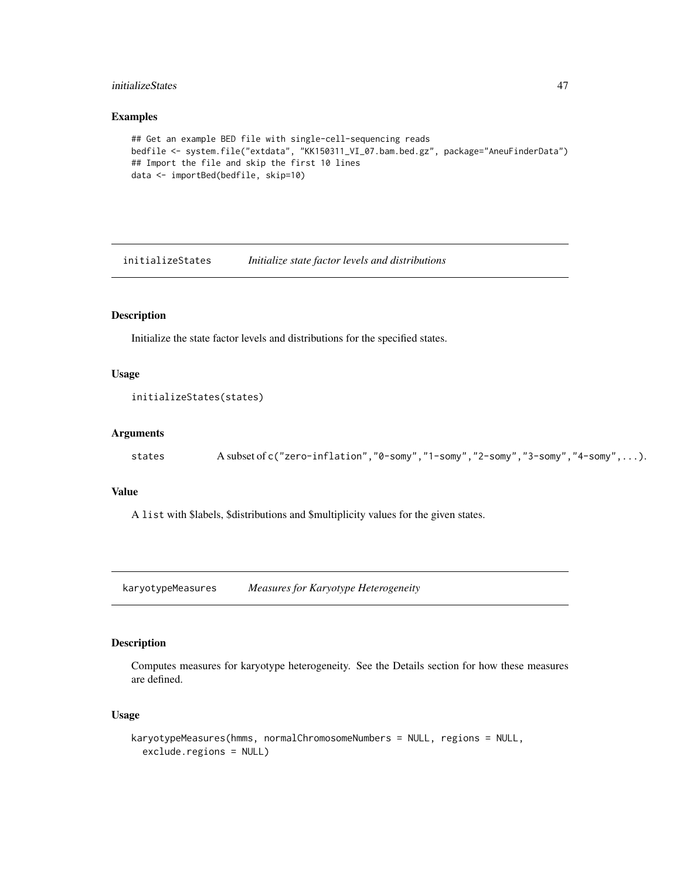## <span id="page-46-0"></span>initializeStates 47

## Examples

```
## Get an example BED file with single-cell-sequencing reads
bedfile <- system.file("extdata", "KK150311_VI_07.bam.bed.gz", package="AneuFinderData")
## Import the file and skip the first 10 lines
data <- importBed(bedfile, skip=10)
```
initializeStates *Initialize state factor levels and distributions*

## Description

Initialize the state factor levels and distributions for the specified states.

#### Usage

```
initializeStates(states)
```
## Arguments

states A subset of c("zero-inflation", "0-somy", "1-somy", "2-somy", "3-somy", "4-somy",...).

#### Value

A list with \$labels, \$distributions and \$multiplicity values for the given states.

karyotypeMeasures *Measures for Karyotype Heterogeneity*

## Description

Computes measures for karyotype heterogeneity. See the Details section for how these measures are defined.

#### Usage

```
karyotypeMeasures(hmms, normalChromosomeNumbers = NULL, regions = NULL,
 exclude.regions = NULL)
```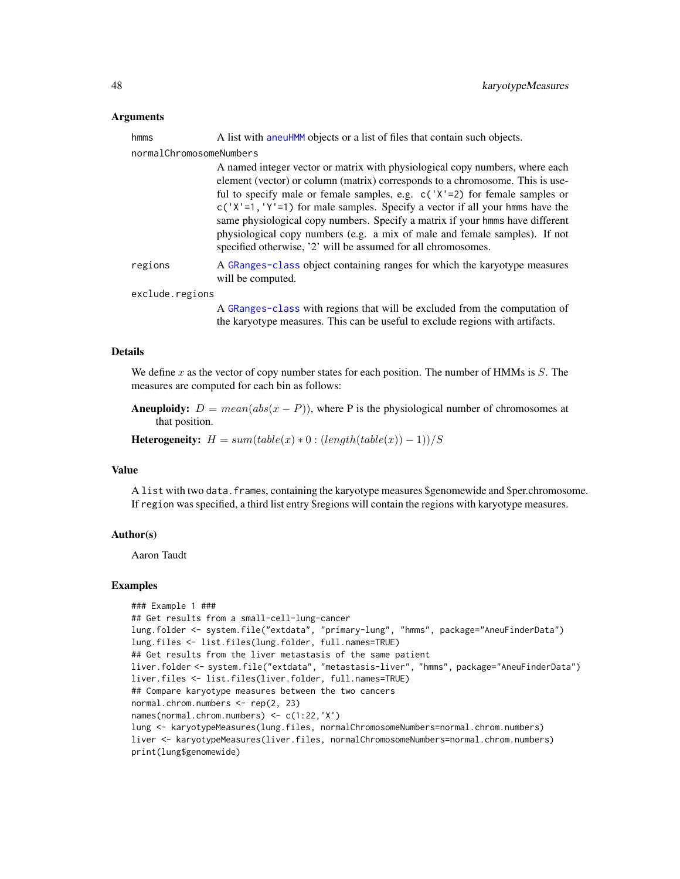#### <span id="page-47-0"></span>Arguments

| hmms                    | A list with a neuHMM objects or a list of files that contain such objects.                                                                                                                                                                                                                                                                                                                                                                                                                                                                                      |
|-------------------------|-----------------------------------------------------------------------------------------------------------------------------------------------------------------------------------------------------------------------------------------------------------------------------------------------------------------------------------------------------------------------------------------------------------------------------------------------------------------------------------------------------------------------------------------------------------------|
| normalChromosomeNumbers |                                                                                                                                                                                                                                                                                                                                                                                                                                                                                                                                                                 |
|                         | A named integer vector or matrix with physiological copy numbers, where each<br>element (vector) or column (matrix) corresponds to a chromosome. This is use-<br>ful to specify male or female samples, e.g. $c('X'=2)$ for female samples or<br>$c('X'=1, 'Y'=1)$ for male samples. Specify a vector if all your hmms have the<br>same physiological copy numbers. Specify a matrix if your hmms have different<br>physiological copy numbers (e.g. a mix of male and female samples). If not<br>specified otherwise, '2' will be assumed for all chromosomes. |
| regions                 | A GRanges-class object containing ranges for which the karyotype measures<br>will be computed.                                                                                                                                                                                                                                                                                                                                                                                                                                                                  |
| exclude.regions         |                                                                                                                                                                                                                                                                                                                                                                                                                                                                                                                                                                 |
|                         | A GRanges-class with regions that will be excluded from the computation of<br>the karyotype measures. This can be useful to exclude regions with artifacts.                                                                                                                                                                                                                                                                                                                                                                                                     |

#### Details

We define  $x$  as the vector of copy number states for each position. The number of HMMs is  $S$ . The measures are computed for each bin as follows:

Aneuploidy:  $D = mean(abs(x - P))$ , where P is the physiological number of chromosomes at that position.

Heterogeneity:  $H = sum(table(x) * 0 : (length(table(x)) - 1))/S$ 

## Value

A list with two data.frames, containing the karyotype measures \$genomewide and \$per.chromosome. If region was specified, a third list entry \$regions will contain the regions with karyotype measures.

#### Author(s)

Aaron Taudt

#### Examples

```
### Example 1 ###
## Get results from a small-cell-lung-cancer
lung.folder <- system.file("extdata", "primary-lung", "hmms", package="AneuFinderData")
lung.files <- list.files(lung.folder, full.names=TRUE)
## Get results from the liver metastasis of the same patient
liver.folder <- system.file("extdata", "metastasis-liver", "hmms", package="AneuFinderData")
liver.files <- list.files(liver.folder, full.names=TRUE)
## Compare karyotype measures between the two cancers
normal.chrom.numbers <- rep(2, 23)
names(normal.chrom.numbers) <- c(1:22,'X')
lung <- karyotypeMeasures(lung.files, normalChromosomeNumbers=normal.chrom.numbers)
liver <- karyotypeMeasures(liver.files, normalChromosomeNumbers=normal.chrom.numbers)
print(lung$genomewide)
```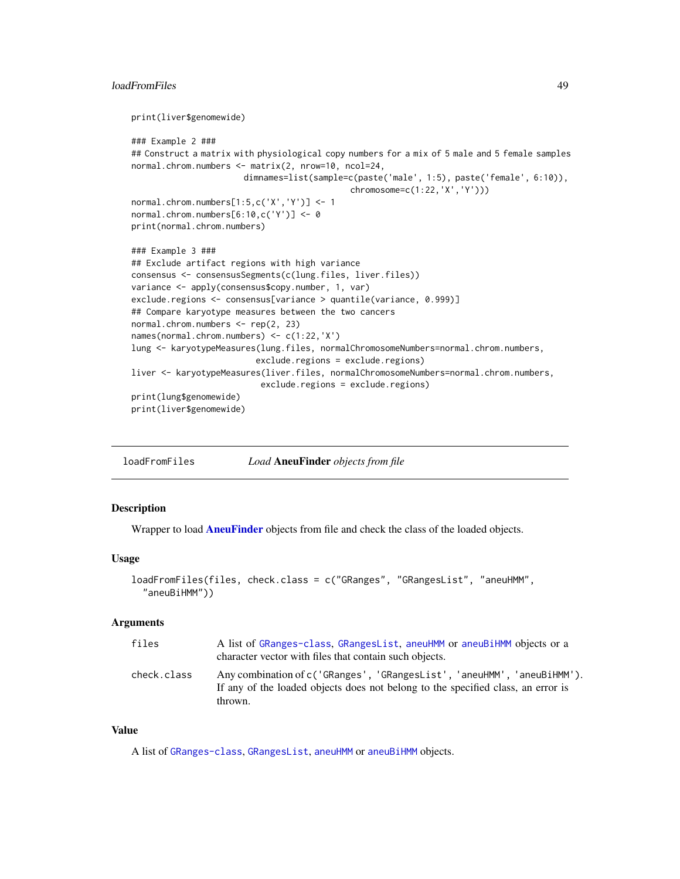#### <span id="page-48-0"></span>loadFromFiles 49

```
print(liver$genomewide)
### Example 2 ###
## Construct a matrix with physiological copy numbers for a mix of 5 male and 5 female samples
normal.chrom.numbers <- matrix(2, nrow=10, ncol=24,
                      dimnames=list(sample=c(paste('male', 1:5), paste('female', 6:10)),
                                            chromosome=c(1:22,'X','Y')))
normal.chrom.numbers[1:5,c('X','Y')] <- 1
normal.chrom.numbers[6:10,c('Y')] <- 0
print(normal.chrom.numbers)
### Example 3 ###
## Exclude artifact regions with high variance
consensus <- consensusSegments(c(lung.files, liver.files))
variance <- apply(consensus$copy.number, 1, var)
exclude.regions <- consensus[variance > quantile(variance, 0.999)]
## Compare karyotype measures between the two cancers
normal.chrom.numbers <- rep(2, 23)
names(normal.chrom.numbers) <- c(1:22,'X')
lung <- karyotypeMeasures(lung.files, normalChromosomeNumbers=normal.chrom.numbers,
                         exclude.regions = exclude.regions)
liver <- karyotypeMeasures(liver.files, normalChromosomeNumbers=normal.chrom.numbers,
                          exclude.regions = exclude.regions)
print(lung$genomewide)
print(liver$genomewide)
```
loadFromFiles *Load* AneuFinder *objects from file*

#### **Description**

Wrapper to load **[AneuFinder](#page-2-1)** objects from file and check the class of the loaded objects.

#### Usage

```
loadFromFiles(files, check.class = c("GRanges", "GRangesList", "aneuHMM",
  "aneuBiHMM"))
```
#### Arguments

| files       | A list of GRanges-class, GRangesList, aneuHMM or aneuBiHMM objects or a<br>character vector with files that contain such objects.                                      |
|-------------|------------------------------------------------------------------------------------------------------------------------------------------------------------------------|
| check.class | Any combination of c('GRanges', 'GRangesList', 'aneuHMM', 'aneuBiHMM').<br>If any of the loaded objects does not belong to the specified class, an error is<br>thrown. |

## Value

A list of [GRanges-class](#page-0-0), [GRangesList](#page-0-0), [aneuHMM](#page-6-1) or [aneuBiHMM](#page-3-1) objects.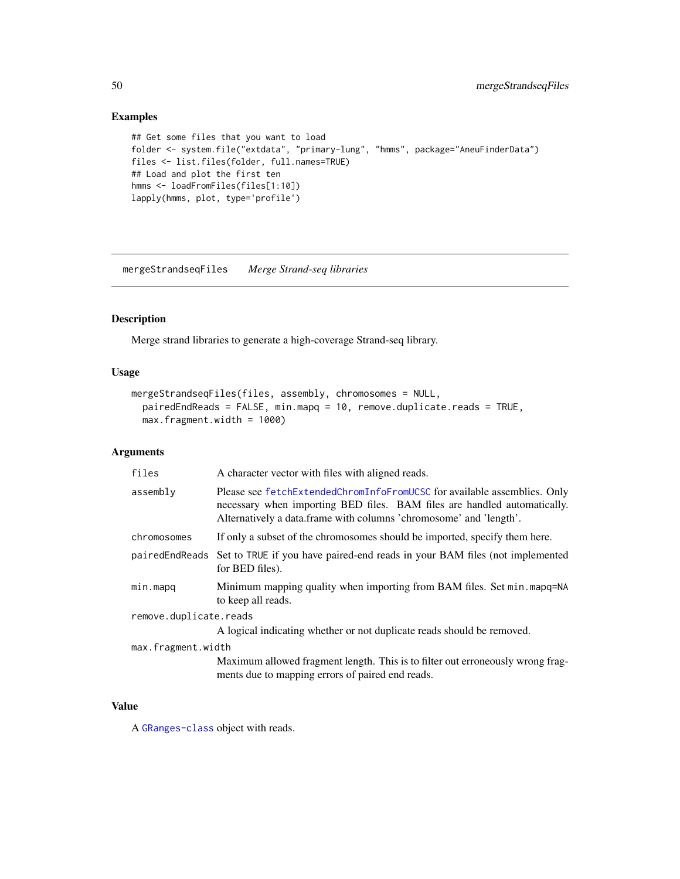## Examples

```
## Get some files that you want to load
folder <- system.file("extdata", "primary-lung", "hmms", package="AneuFinderData")
files <- list.files(folder, full.names=TRUE)
## Load and plot the first ten
hmms <- loadFromFiles(files[1:10])
lapply(hmms, plot, type='profile')
```
mergeStrandseqFiles *Merge Strand-seq libraries*

## Description

Merge strand libraries to generate a high-coverage Strand-seq library.

## Usage

```
mergeStrandseqFiles(files, assembly, chromosomes = NULL,
 pairedEndReads = FALSE, min.mapq = 10, remove.duplicate.reads = TRUE,
 max.fragment.width = 1000)
```
## Arguments

| files                  | A character vector with files with aligned reads.                                                                                                                                                                          |  |
|------------------------|----------------------------------------------------------------------------------------------------------------------------------------------------------------------------------------------------------------------------|--|
| assembly               | Please see fetchExtendedChromInfoFromUCSC for available assemblies. Only<br>necessary when importing BED files. BAM files are handled automatically.<br>Alternatively a data.frame with columns 'chromosome' and 'length'. |  |
| chromosomes            | If only a subset of the chromosomes should be imported, specify them here.                                                                                                                                                 |  |
| pairedEndReads         | Set to TRUE if you have paired-end reads in your BAM files (not implemented<br>for BED files).                                                                                                                             |  |
| min.mapq               | Minimum mapping quality when importing from BAM files. Set min. mapq=NA<br>to keep all reads.                                                                                                                              |  |
| remove.duplicate.reads |                                                                                                                                                                                                                            |  |
|                        | A logical indicating whether or not duplicate reads should be removed.                                                                                                                                                     |  |
| max.fragment.width     |                                                                                                                                                                                                                            |  |
|                        | Maximum allowed fragment length. This is to filter out erroneously wrong frag-<br>ments due to mapping errors of paired end reads.                                                                                         |  |

#### Value

A [GRanges-class](#page-0-0) object with reads.

<span id="page-49-0"></span>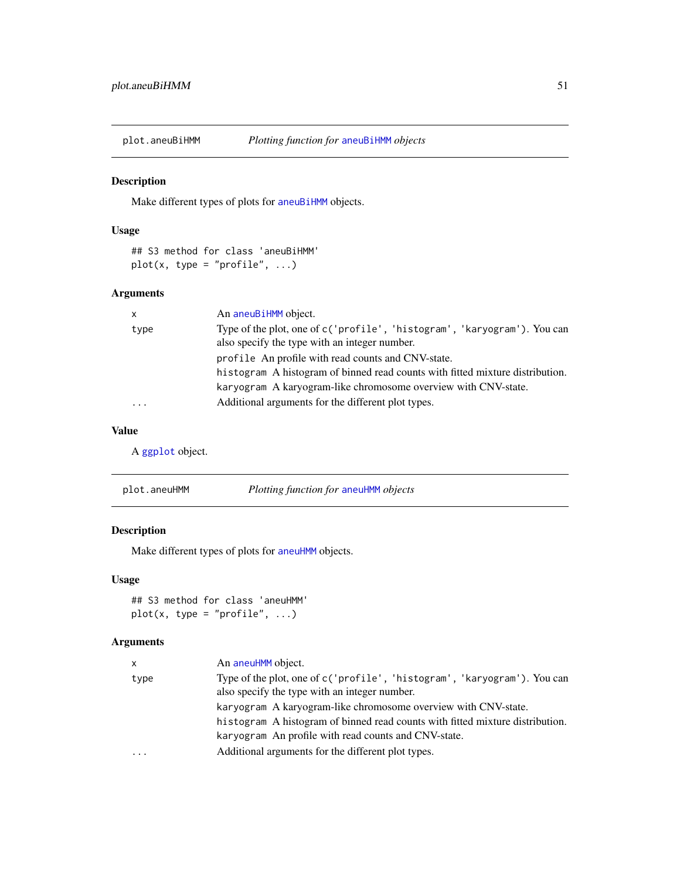<span id="page-50-0"></span>

## Description

Make different types of plots for [aneuBiHMM](#page-3-1) objects.

## Usage

```
## S3 method for class 'aneuBiHMM'
plot(x, type = "profile", ...)
```
## Arguments

| $\mathsf{x}$            | An aneuBiHMM object.                                                                                                      |
|-------------------------|---------------------------------------------------------------------------------------------------------------------------|
| type                    | Type of the plot, one of c('profile', 'histogram', 'karyogram'). You can<br>also specify the type with an integer number. |
|                         | profile An profile with read counts and CNV-state.                                                                        |
|                         | histogram A histogram of binned read counts with fitted mixture distribution.                                             |
|                         | karyogram A karyogram-like chromosome overview with CNV-state.                                                            |
| $\cdot$ $\cdot$ $\cdot$ | Additional arguments for the different plot types.                                                                        |

## Value

A [ggplot](#page-0-0) object.

| plot.aneuHMM | Plotting function for aneuHMM objects |  |
|--------------|---------------------------------------|--|
|--------------|---------------------------------------|--|

## Description

Make different types of plots for [aneuHMM](#page-6-1) objects.

## Usage

## S3 method for class 'aneuHMM'  $plot(x, type = "profile", ...)$ 

| x    | An aneuHMM object.                                                                                                        |
|------|---------------------------------------------------------------------------------------------------------------------------|
| type | Type of the plot, one of c('profile', 'histogram', 'karyogram'). You can<br>also specify the type with an integer number. |
|      | karyogram A karyogram-like chromosome overview with CNV-state.                                                            |
|      | histogram A histogram of binned read counts with fitted mixture distribution.                                             |
|      | karyogram An profile with read counts and CNV-state.                                                                      |
| .    | Additional arguments for the different plot types.                                                                        |
|      |                                                                                                                           |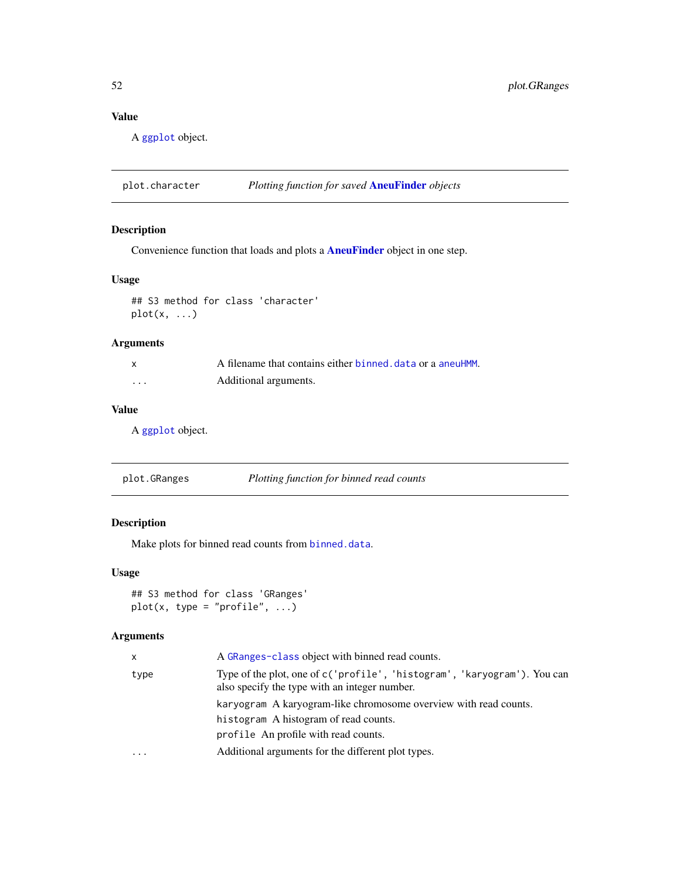## <span id="page-51-0"></span>Value

A [ggplot](#page-0-0) object.

plot.character *Plotting function for saved* [AneuFinder](#page-2-1) *objects*

## Description

Convenience function that loads and plots a [AneuFinder](#page-2-1) object in one step.

## Usage

## S3 method for class 'character'  $plot(x, \ldots)$ 

## Arguments

|          | A filename that contains either binned, data or a aneuHMM. |
|----------|------------------------------------------------------------|
| $\cdots$ | Additional arguments.                                      |

## Value

A [ggplot](#page-0-0) object.

| plot.GRanges | Plotting function for binned read counts |
|--------------|------------------------------------------|
|--------------|------------------------------------------|

## Description

Make plots for binned read counts from [binned.data](#page-13-2).

#### Usage

```
## S3 method for class 'GRanges'
plot(x, type = "profile", ...)
```

| x    | A GRanges-class object with binned read counts.                                                                           |
|------|---------------------------------------------------------------------------------------------------------------------------|
| type | Type of the plot, one of c('profile', 'histogram', 'karyogram'). You can<br>also specify the type with an integer number. |
|      | karyogram A karyogram-like chromosome overview with read counts.                                                          |
|      | histogram A histogram of read counts.                                                                                     |
|      | profile An profile with read counts.                                                                                      |
| .    | Additional arguments for the different plot types.                                                                        |
|      |                                                                                                                           |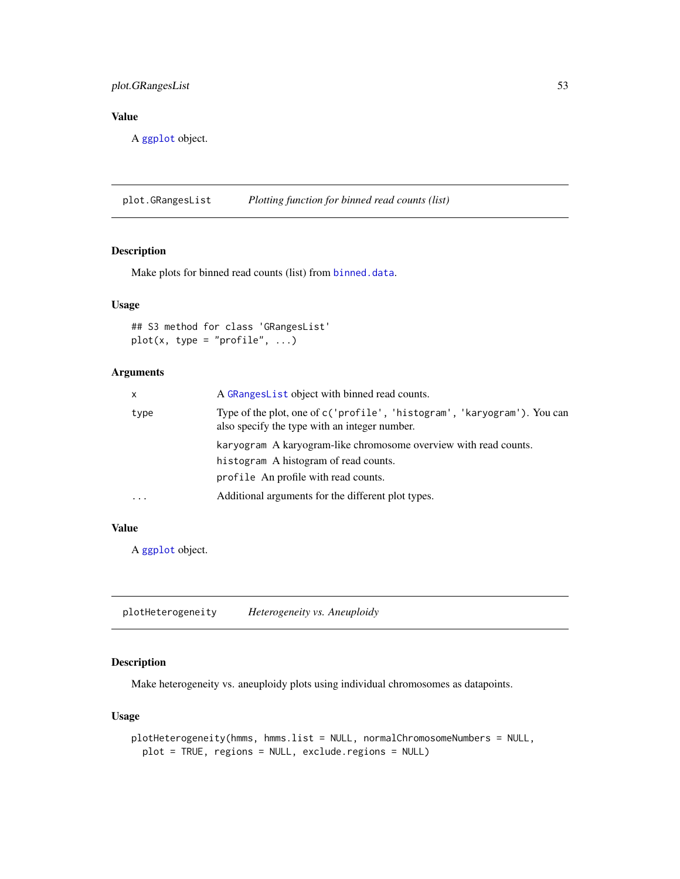## <span id="page-52-0"></span>plot.GRangesList 53

## Value

A [ggplot](#page-0-0) object.

plot.GRangesList *Plotting function for binned read counts (list)*

## Description

Make plots for binned read counts (list) from [binned.data](#page-13-2).

## Usage

## S3 method for class 'GRangesList'  $plot(x, type = "profile", ...)$ 

## Arguments

| X        | A GRange slist object with binned read counts.                                                                            |
|----------|---------------------------------------------------------------------------------------------------------------------------|
| type     | Type of the plot, one of c('profile', 'histogram', 'karyogram'). You can<br>also specify the type with an integer number. |
|          | karyogram A karyogram-like chromosome overview with read counts.                                                          |
|          | histogram A histogram of read counts.                                                                                     |
|          | profile An profile with read counts.                                                                                      |
| $\cdots$ | Additional arguments for the different plot types.                                                                        |

## Value

A [ggplot](#page-0-0) object.

plotHeterogeneity *Heterogeneity vs. Aneuploidy*

## Description

Make heterogeneity vs. aneuploidy plots using individual chromosomes as datapoints.

#### Usage

```
plotHeterogeneity(hmms, hmms.list = NULL, normalChromosomeNumbers = NULL,
 plot = TRUE, regions = NULL, exclude.regions = NULL)
```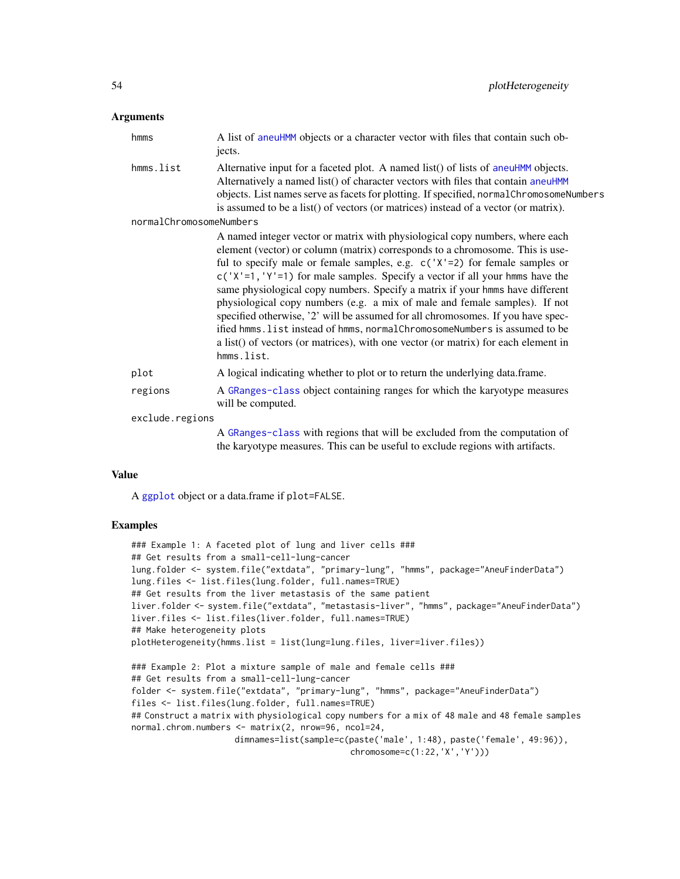#### <span id="page-53-0"></span>Arguments

| hmms                    | A list of aneuHMM objects or a character vector with files that contain such ob-<br>jects.                                                                                                                                                                                                                                                                                                                                                                                                                                                                                                                                                                                                                                                                          |
|-------------------------|---------------------------------------------------------------------------------------------------------------------------------------------------------------------------------------------------------------------------------------------------------------------------------------------------------------------------------------------------------------------------------------------------------------------------------------------------------------------------------------------------------------------------------------------------------------------------------------------------------------------------------------------------------------------------------------------------------------------------------------------------------------------|
| hmms.list               | Alternative input for a faceted plot. A named list() of lists of aneuHMM objects.<br>Alternatively a named list() of character vectors with files that contain aneuHMM<br>objects. List names serve as facets for plotting. If specified, normalChromosomeNumbers<br>is assumed to be a list() of vectors (or matrices) instead of a vector (or matrix).                                                                                                                                                                                                                                                                                                                                                                                                            |
| normalChromosomeNumbers |                                                                                                                                                                                                                                                                                                                                                                                                                                                                                                                                                                                                                                                                                                                                                                     |
|                         | A named integer vector or matrix with physiological copy numbers, where each<br>element (vector) or column (matrix) corresponds to a chromosome. This is use-<br>ful to specify male or female samples, e.g. $c('X'=2)$ for female samples or<br>$c('X'=1, 'Y'=1)$ for male samples. Specify a vector if all your hmms have the<br>same physiological copy numbers. Specify a matrix if your hmms have different<br>physiological copy numbers (e.g. a mix of male and female samples). If not<br>specified otherwise, '2' will be assumed for all chromosomes. If you have spec-<br>ified hmms. list instead of hmms, normalChromosomeNumbers is assumed to be<br>a list() of vectors (or matrices), with one vector (or matrix) for each element in<br>hmms.list. |
| plot                    | A logical indicating whether to plot or to return the underlying data.frame.                                                                                                                                                                                                                                                                                                                                                                                                                                                                                                                                                                                                                                                                                        |
| regions                 | A GRanges-class object containing ranges for which the karyotype measures<br>will be computed.                                                                                                                                                                                                                                                                                                                                                                                                                                                                                                                                                                                                                                                                      |
| exclude.regions         |                                                                                                                                                                                                                                                                                                                                                                                                                                                                                                                                                                                                                                                                                                                                                                     |
|                         | A GRanges-class with regions that will be excluded from the computation of<br>the karyotype measures. This can be useful to exclude regions with artifacts.                                                                                                                                                                                                                                                                                                                                                                                                                                                                                                                                                                                                         |

#### Value

A [ggplot](#page-0-0) object or a data.frame if plot=FALSE.

## Examples

```
### Example 1: A faceted plot of lung and liver cells ###
## Get results from a small-cell-lung-cancer
lung.folder <- system.file("extdata", "primary-lung", "hmms", package="AneuFinderData")
lung.files <- list.files(lung.folder, full.names=TRUE)
## Get results from the liver metastasis of the same patient
liver.folder <- system.file("extdata", "metastasis-liver", "hmms", package="AneuFinderData")
liver.files <- list.files(liver.folder, full.names=TRUE)
## Make heterogeneity plots
plotHeterogeneity(hmms.list = list(lung=lung.files, liver=liver.files))
### Example 2: Plot a mixture sample of male and female cells ###
## Get results from a small-cell-lung-cancer
folder <- system.file("extdata", "primary-lung", "hmms", package="AneuFinderData")
files <- list.files(lung.folder, full.names=TRUE)
## Construct a matrix with physiological copy numbers for a mix of 48 male and 48 female samples
normal.chrom.numbers <- matrix(2, nrow=96, ncol=24,
                    dimnames=list(sample=c(paste('male', 1:48), paste('female', 49:96)),
                                            chromosome=c(1:22,'X','Y')))
```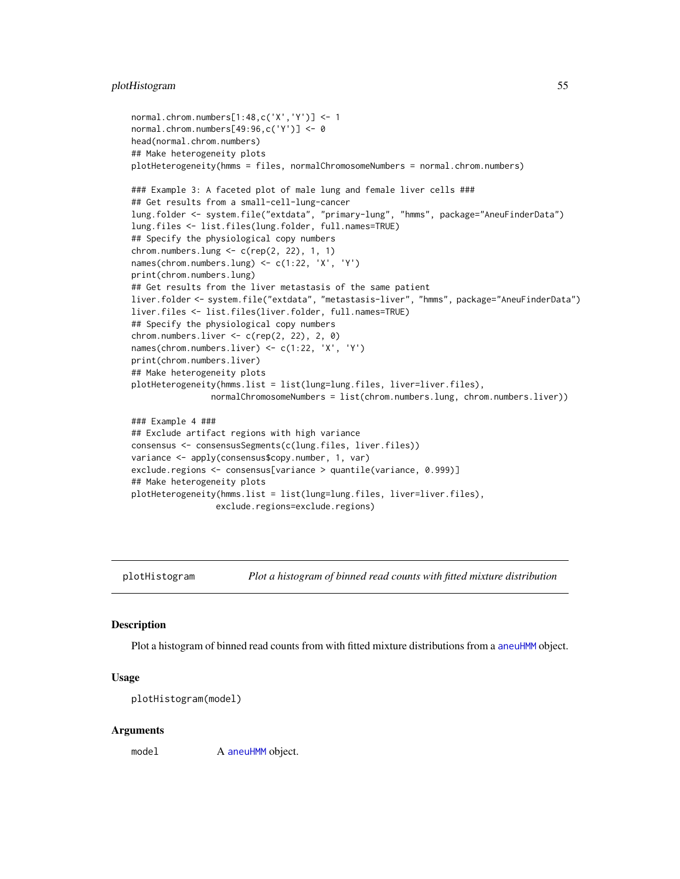#### <span id="page-54-0"></span>plotHistogram 55

```
normal.chrom.numbers[1:48,c('X','Y')] <- 1
normal.chrom.numbers[49:96,c('Y')] <- 0
head(normal.chrom.numbers)
## Make heterogeneity plots
plotHeterogeneity(hmms = files, normalChromosomeNumbers = normal.chrom.numbers)
### Example 3: A faceted plot of male lung and female liver cells ###
## Get results from a small-cell-lung-cancer
lung.folder <- system.file("extdata", "primary-lung", "hmms", package="AneuFinderData")
lung.files <- list.files(lung.folder, full.names=TRUE)
## Specify the physiological copy numbers
chrom.numbers.lung \leq c(rep(2, 22), 1, 1)
names(chrom.numbers.lung) <- c(1:22, 'X', 'Y')
print(chrom.numbers.lung)
## Get results from the liver metastasis of the same patient
liver.folder <- system.file("extdata", "metastasis-liver", "hmms", package="AneuFinderData")
liver.files <- list.files(liver.folder, full.names=TRUE)
## Specify the physiological copy numbers
chrom.numbers.liver <- c(rep(2, 22), 2, 0)
names(chrom.numbers.liver) <- c(1:22, 'X', 'Y')
print(chrom.numbers.liver)
## Make heterogeneity plots
plotHeterogeneity(hmms.list = list(lung=lung.files, liver=liver.files),
                normalChromosomeNumbers = list(chrom.numbers.lung, chrom.numbers.liver))
### Example 4 ###
## Exclude artifact regions with high variance
consensus <- consensusSegments(c(lung.files, liver.files))
variance <- apply(consensus$copy.number, 1, var)
exclude.regions <- consensus[variance > quantile(variance, 0.999)]
## Make heterogeneity plots
plotHeterogeneity(hmms.list = list(lung=lung.files, liver=liver.files),
                 exclude.regions=exclude.regions)
```
plotHistogram *Plot a histogram of binned read counts with fitted mixture distribution*

#### **Description**

Plot a histogram of binned read counts from with fitted mixture distributions from a [aneuHMM](#page-6-1) object.

#### Usage

```
plotHistogram(model)
```
#### Arguments

model A [aneuHMM](#page-6-1) object.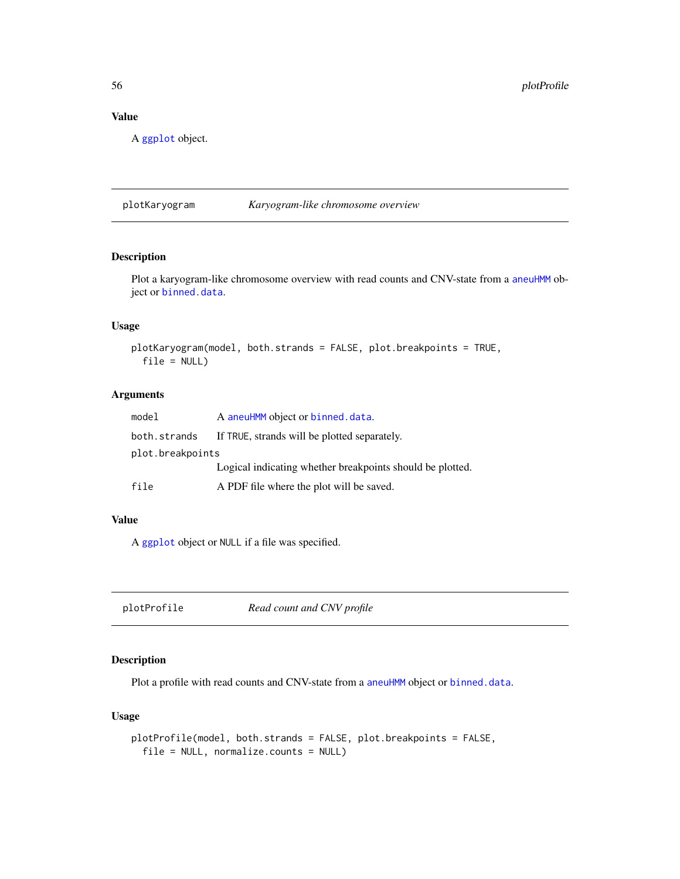## Value

A [ggplot](#page-0-0) object.

plotKaryogram *Karyogram-like chromosome overview*

## Description

Plot a karyogram-like chromosome overview with read counts and CNV-state from a [aneuHMM](#page-6-1) object or [binned.data](#page-13-2).

## Usage

```
plotKaryogram(model, both.strands = FALSE, plot.breakpoints = TRUE,
  file = NULL)
```
#### Arguments

| model            | A aneuHMM object or binned.data.                          |  |
|------------------|-----------------------------------------------------------|--|
| both.strands     | If TRUE, strands will be plotted separately.              |  |
| plot.breakpoints |                                                           |  |
|                  | Logical indicating whether breakpoints should be plotted. |  |
| file             | A PDF file where the plot will be saved.                  |  |

## Value

A [ggplot](#page-0-0) object or NULL if a file was specified.

plotProfile *Read count and CNV profile*

## Description

Plot a profile with read counts and CNV-state from a [aneuHMM](#page-6-1) object or [binned.data](#page-13-2).

## Usage

```
plotProfile(model, both.strands = FALSE, plot.breakpoints = FALSE,
  file = NULL, normalize.counts = NULL)
```
<span id="page-55-0"></span>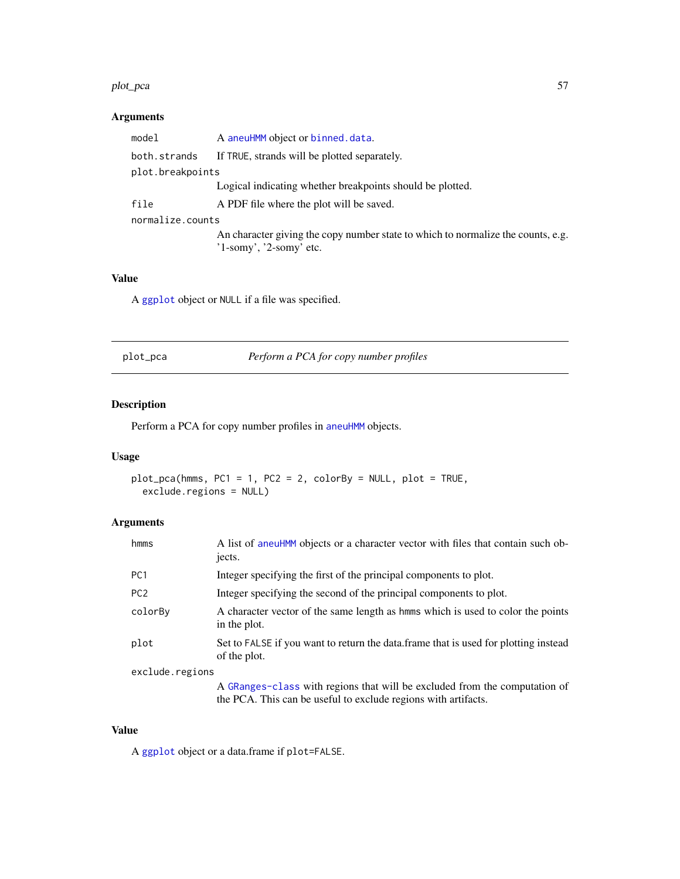#### <span id="page-56-0"></span>plot\_pca 57

## Arguments

| model            | A aneuHMM object or binned.data.                                                 |  |
|------------------|----------------------------------------------------------------------------------|--|
| both.strands     | If TRUE, strands will be plotted separately.                                     |  |
| plot.breakpoints |                                                                                  |  |
|                  | Logical indicating whether breakpoints should be plotted.                        |  |
| file             | A PDF file where the plot will be saved.                                         |  |
| normalize.counts |                                                                                  |  |
|                  | An character giving the copy number state to which to normalize the counts, e.g. |  |
|                  | $'1$ -somy', '2-somy' etc.                                                       |  |
|                  |                                                                                  |  |

## Value

A [ggplot](#page-0-0) object or NULL if a file was specified.

|  | plot_pca |
|--|----------|
|  |          |

Perform a PCA for copy number profiles

## Description

Perform a PCA for copy number profiles in [aneuHMM](#page-6-1) objects.

## Usage

```
plot_pca(hmms, PC1 = 1, PC2 = 2, colorBy = NULL, plot = TRUE,
 exclude.regions = NULL)
```
## Arguments

| hmms            | A list of aneuHMM objects or a character vector with files that contain such ob-<br>jects.           |
|-----------------|------------------------------------------------------------------------------------------------------|
| PC <sub>1</sub> | Integer specifying the first of the principal components to plot.                                    |
| PC <sub>2</sub> | Integer specifying the second of the principal components to plot.                                   |
| colorBy         | A character vector of the same length as home which is used to color the points<br>in the plot.      |
| plot            | Set to FALSE if you want to return the data. frame that is used for plotting instead<br>of the plot. |
| exclude.regions |                                                                                                      |
|                 | A GRanges-class with regions that will be excluded from the computation of                           |

the PCA. This can be useful to exclude regions with artifacts.

## Value

A [ggplot](#page-0-0) object or a data.frame if plot=FALSE.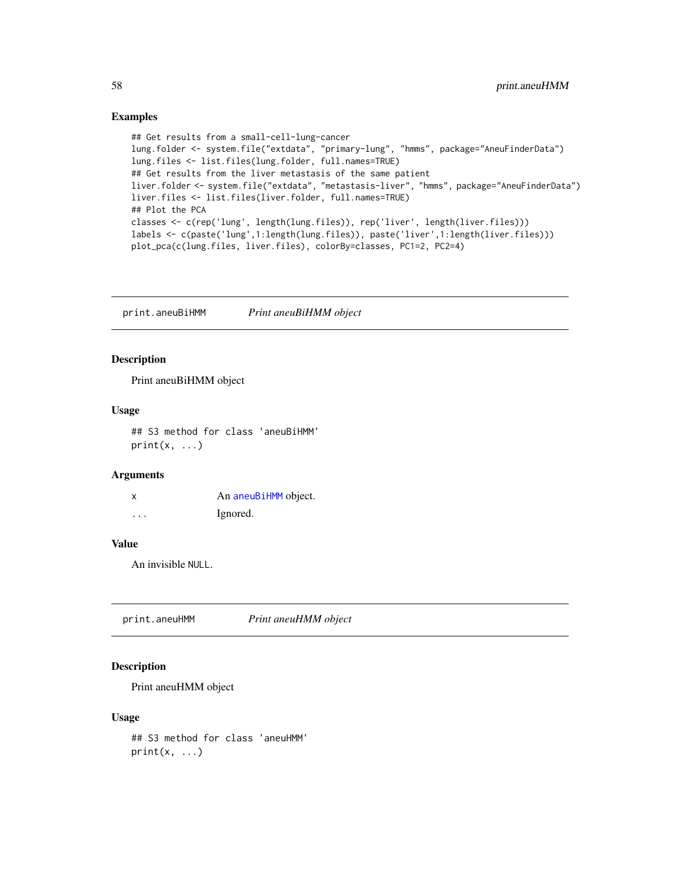#### Examples

```
## Get results from a small-cell-lung-cancer
lung.folder <- system.file("extdata", "primary-lung", "hmms", package="AneuFinderData")
lung.files <- list.files(lung.folder, full.names=TRUE)
## Get results from the liver metastasis of the same patient
liver.folder <- system.file("extdata", "metastasis-liver", "hmms", package="AneuFinderData")
liver.files <- list.files(liver.folder, full.names=TRUE)
## Plot the PCA
classes <- c(rep('lung', length(lung.files)), rep('liver', length(liver.files)))
labels <- c(paste('lung',1:length(lung.files)), paste('liver',1:length(liver.files)))
plot_pca(c(lung.files, liver.files), colorBy=classes, PC1=2, PC2=4)
```
print.aneuBiHMM *Print aneuBiHMM object*

## Description

Print aneuBiHMM object

#### Usage

## S3 method for class 'aneuBiHMM'  $print(x, \ldots)$ 

## Arguments

| x                       | An aneuBiHMM object. |
|-------------------------|----------------------|
| $\cdot$ $\cdot$ $\cdot$ | Ignored.             |

## Value

An invisible NULL.

print.aneuHMM *Print aneuHMM object*

## Description

Print aneuHMM object

#### Usage

## S3 method for class 'aneuHMM'  $print(x, \ldots)$ 

<span id="page-57-0"></span>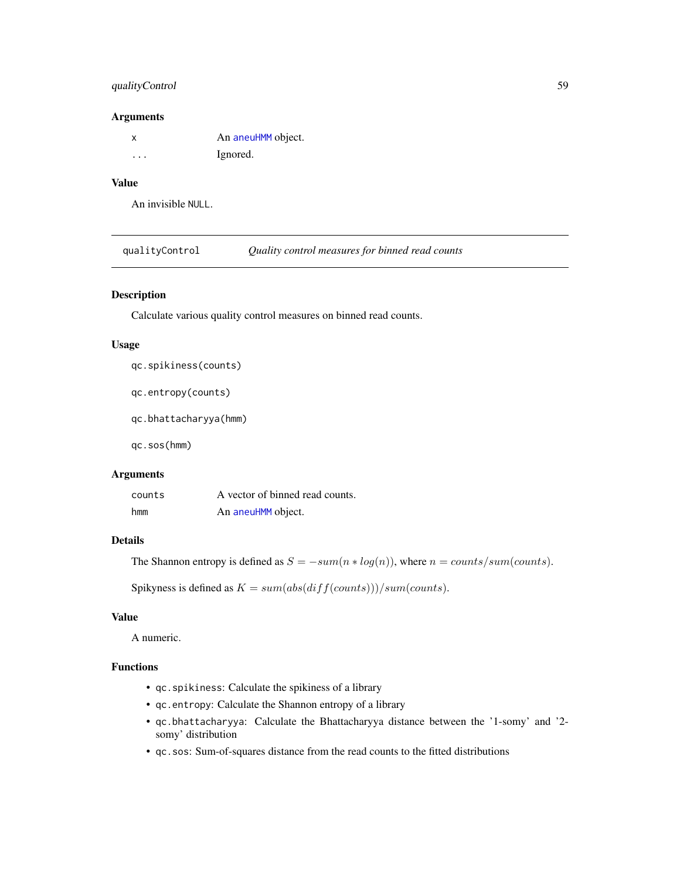## <span id="page-58-0"></span>qualityControl 59

#### Arguments

| X | An aneuHMM object. |
|---|--------------------|
| . | Ignored.           |

## Value

An invisible NULL.

qualityControl *Quality control measures for binned read counts*

## Description

Calculate various quality control measures on binned read counts.

#### Usage

qc.spikiness(counts)

qc.entropy(counts)

qc.bhattacharyya(hmm)

qc.sos(hmm)

#### Arguments

| counts | A vector of binned read counts. |
|--------|---------------------------------|
| hmm    | An aneuHMM object.              |

## Details

The Shannon entropy is defined as  $S = -sum(n * log(n))$ , where  $n = counts/sum(counts)$ .

Spikyness is defined as  $K = sum(abs(diff(counts))) / sum(counts)$ .

## Value

A numeric.

## Functions

- qc.spikiness: Calculate the spikiness of a library
- qc.entropy: Calculate the Shannon entropy of a library
- qc.bhattacharyya: Calculate the Bhattacharyya distance between the '1-somy' and '2 somy' distribution
- qc.sos: Sum-of-squares distance from the read counts to the fitted distributions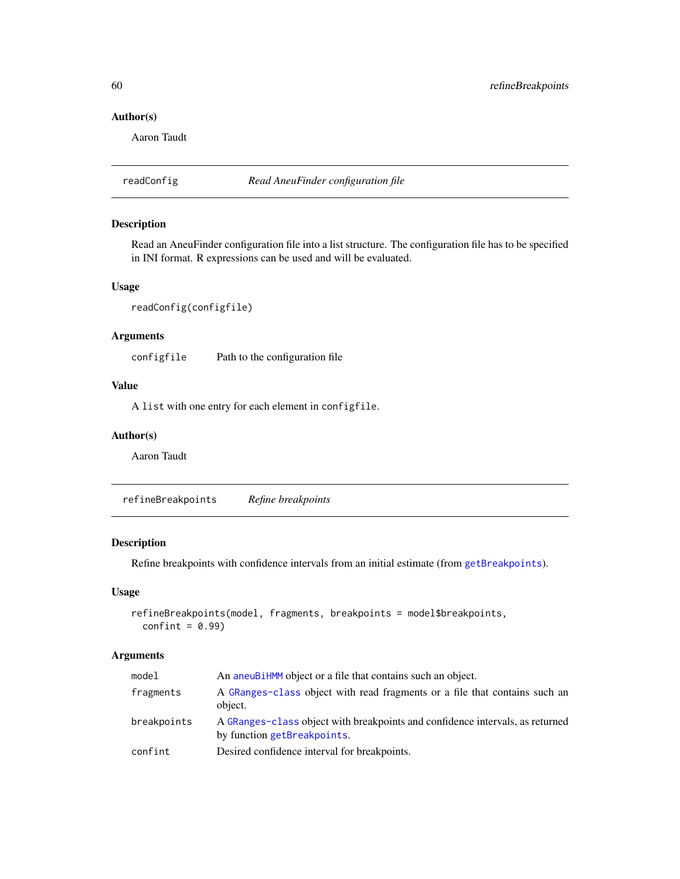## Author(s)

Aaron Taudt

readConfig *Read AneuFinder configuration file*

## Description

Read an AneuFinder configuration file into a list structure. The configuration file has to be specified in INI format. R expressions can be used and will be evaluated.

## Usage

```
readConfig(configfile)
```
## Arguments

configfile Path to the configuration file

## Value

A list with one entry for each element in configfile.

## Author(s)

Aaron Taudt

refineBreakpoints *Refine breakpoints*

## Description

Refine breakpoints with confidence intervals from an initial estimate (from [getBreakpoints](#page-35-1)).

#### Usage

```
refineBreakpoints(model, fragments, breakpoints = model$breakpoints,
  confint = 0.99)
```

| model       | An aneuBiHMM object or a file that contains such an object.                                                  |
|-------------|--------------------------------------------------------------------------------------------------------------|
| fragments   | A GRanges-class object with read fragments or a file that contains such an<br>object.                        |
| breakpoints | A GRanges-class object with breakpoints and confidence intervals, as returned<br>by function getBreakpoints. |
| confint     | Desired confidence interval for breakpoints.                                                                 |

<span id="page-59-0"></span>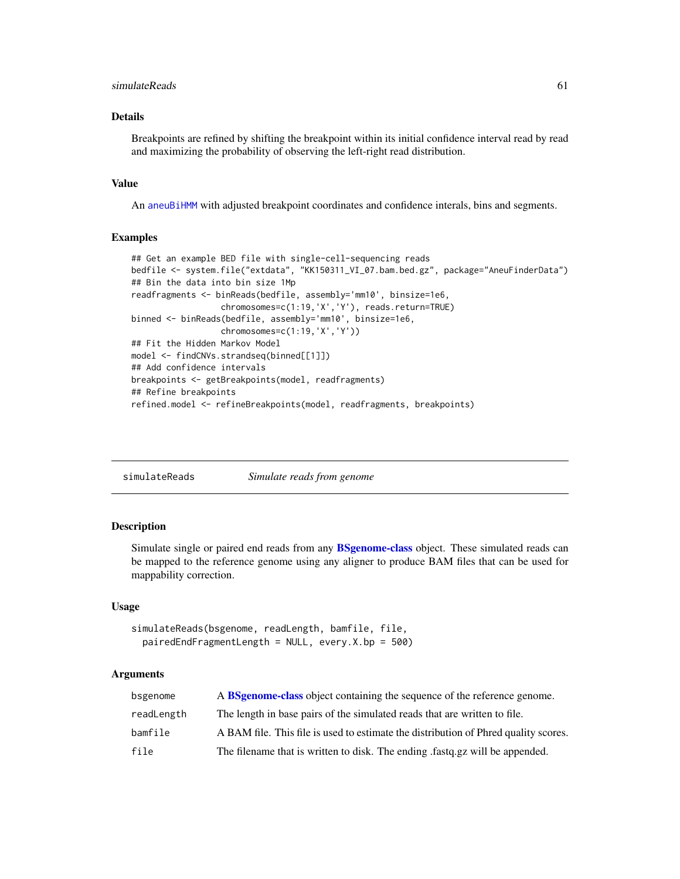## <span id="page-60-0"></span>simulateReads 61

## Details

Breakpoints are refined by shifting the breakpoint within its initial confidence interval read by read and maximizing the probability of observing the left-right read distribution.

#### Value

An [aneuBiHMM](#page-3-1) with adjusted breakpoint coordinates and confidence interals, bins and segments.

#### Examples

```
## Get an example BED file with single-cell-sequencing reads
bedfile <- system.file("extdata", "KK150311_VI_07.bam.bed.gz", package="AneuFinderData")
## Bin the data into bin size 1Mp
readfragments <- binReads(bedfile, assembly='mm10', binsize=1e6,
                  chromosomes=c(1:19,'X','Y'), reads.return=TRUE)
binned <- binReads(bedfile, assembly='mm10', binsize=1e6,
                  chromosomes=c(1:19,'X','Y'))
## Fit the Hidden Markov Model
model <- findCNVs.strandseq(binned[[1]])
## Add confidence intervals
breakpoints <- getBreakpoints(model, readfragments)
## Refine breakpoints
refined.model <- refineBreakpoints(model, readfragments, breakpoints)
```
<span id="page-60-1"></span>

| simulateReads | Simulate reads from genome |  |
|---------------|----------------------------|--|
|---------------|----------------------------|--|

#### **Description**

Simulate single or paired end reads from any [BSgenome-class](#page-0-0) object. These simulated reads can be mapped to the reference genome using any aligner to produce BAM files that can be used for mappability correction.

#### Usage

```
simulateReads(bsgenome, readLength, bamfile, file,
 pairedEndFragmentLength = NULL, every.X.bp = 500)
```

| bsgenome   | A <b>BSgenome-class</b> object containing the sequence of the reference genome.     |
|------------|-------------------------------------------------------------------------------------|
| readLength | The length in base pairs of the simulated reads that are written to file.           |
| bamfile    | A BAM file. This file is used to estimate the distribution of Phred quality scores. |
| file       | The filename that is written to disk. The ending fast q.g. will be appended.        |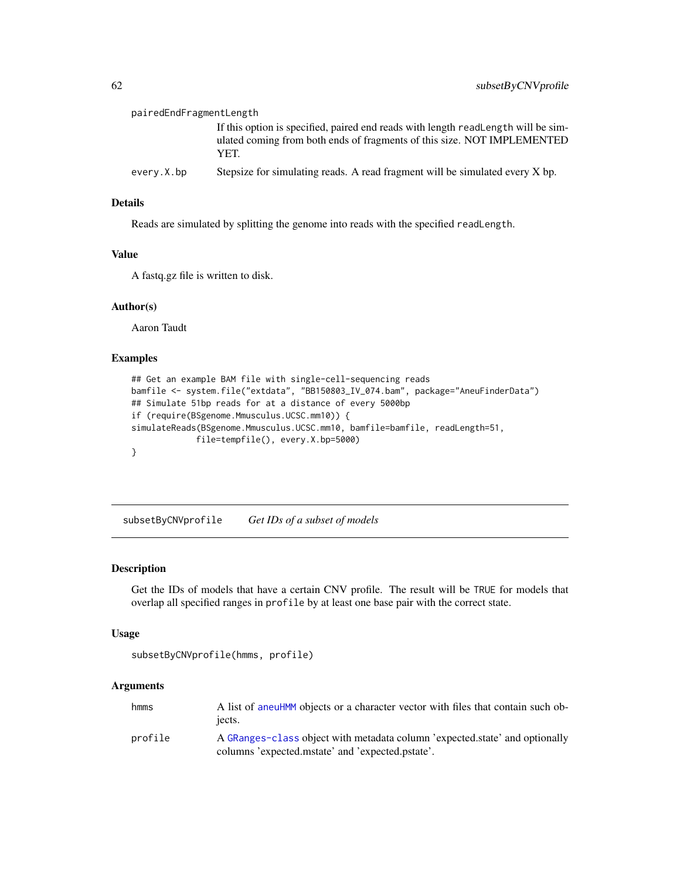<span id="page-61-0"></span>

| pairedEndFragmentLength |                                                                                                                                                                      |  |
|-------------------------|----------------------------------------------------------------------------------------------------------------------------------------------------------------------|--|
|                         | If this option is specified, paired end reads with length readLength will be sim-<br>ulated coming from both ends of fragments of this size. NOT IMPLEMENTED<br>YET. |  |
| every.X.bp              | Stepsize for simulating reads. A read fragment will be simulated every X bp.                                                                                         |  |

## Details

Reads are simulated by splitting the genome into reads with the specified readLength.

#### Value

A fastq.gz file is written to disk.

#### Author(s)

Aaron Taudt

#### Examples

```
## Get an example BAM file with single-cell-sequencing reads
bamfile <- system.file("extdata", "BB150803_IV_074.bam", package="AneuFinderData")
## Simulate 51bp reads for at a distance of every 5000bp
if (require(BSgenome.Mmusculus.UCSC.mm10)) {
simulateReads(BSgenome.Mmusculus.UCSC.mm10, bamfile=bamfile, readLength=51,
             file=tempfile(), every.X.bp=5000)
}
```
subsetByCNVprofile *Get IDs of a subset of models*

## Description

Get the IDs of models that have a certain CNV profile. The result will be TRUE for models that overlap all specified ranges in profile by at least one base pair with the correct state.

#### Usage

```
subsetByCNVprofile(hmms, profile)
```

| hmms    | A list of aneuHMM objects or a character vector with files that contain such ob-<br>iects.                                      |
|---------|---------------------------------------------------------------------------------------------------------------------------------|
| profile | A GRanges-class object with metadata column 'expected.state' and optionally<br>columns 'expected.mstate' and 'expected.pstate'. |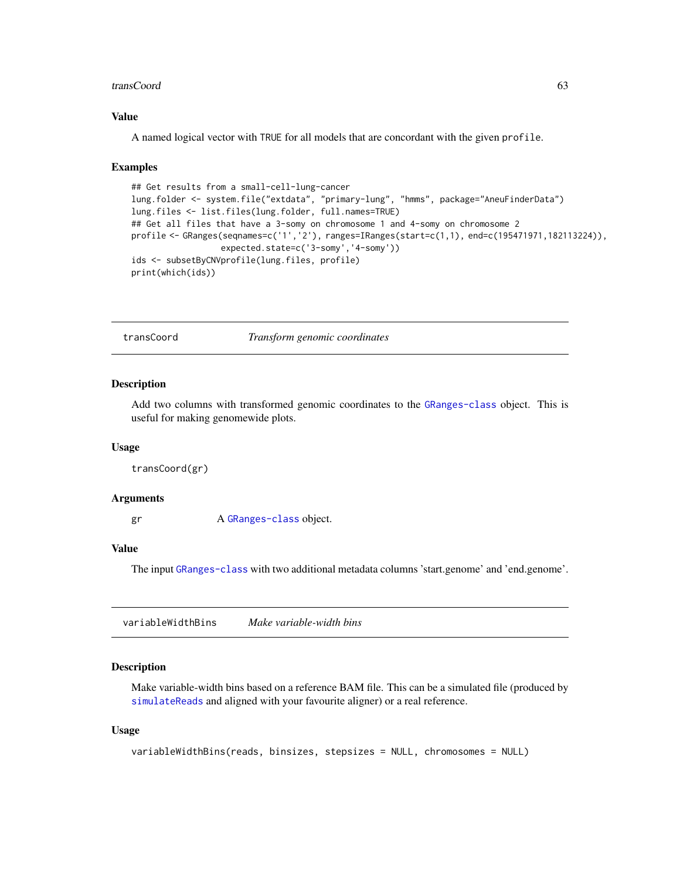#### <span id="page-62-0"></span>transCoord 63

## Value

A named logical vector with TRUE for all models that are concordant with the given profile.

#### Examples

```
## Get results from a small-cell-lung-cancer
lung.folder <- system.file("extdata", "primary-lung", "hmms", package="AneuFinderData")
lung.files <- list.files(lung.folder, full.names=TRUE)
## Get all files that have a 3-somy on chromosome 1 and 4-somy on chromosome 2
profile <- GRanges(seqnames=c('1','2'), ranges=IRanges(start=c(1,1), end=c(195471971,182113224)),
                  expected.state=c('3-somy','4-somy'))
ids <- subsetByCNVprofile(lung.files, profile)
print(which(ids))
```
transCoord *Transform genomic coordinates*

#### Description

Add two columns with transformed genomic coordinates to the [GRanges-class](#page-0-0) object. This is useful for making genomewide plots.

#### Usage

transCoord(gr)

#### Arguments

gr A [GRanges-class](#page-0-0) object.

#### Value

The input [GRanges-class](#page-0-0) with two additional metadata columns 'start.genome' and 'end.genome'.

<span id="page-62-1"></span>variableWidthBins *Make variable-width bins*

#### Description

Make variable-width bins based on a reference BAM file. This can be a simulated file (produced by [simulateReads](#page-60-1) and aligned with your favourite aligner) or a real reference.

#### Usage

```
variableWidthBins(reads, binsizes, stepsizes = NULL, chromosomes = NULL)
```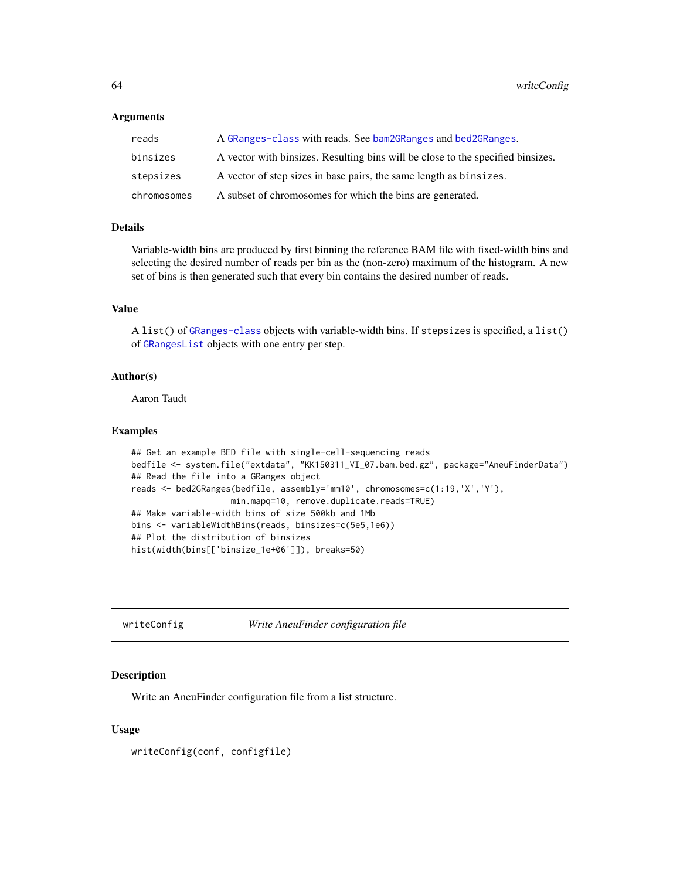#### <span id="page-63-0"></span>Arguments

| reads       | A GRanges-class with reads. See bam2GRanges and bed2GRanges.                    |
|-------------|---------------------------------------------------------------------------------|
| binsizes    | A vector with binsizes. Resulting bins will be close to the specified binsizes. |
| stepsizes   | A vector of step sizes in base pairs, the same length as binsizes.              |
| chromosomes | A subset of chromosomes for which the bins are generated.                       |

#### Details

Variable-width bins are produced by first binning the reference BAM file with fixed-width bins and selecting the desired number of reads per bin as the (non-zero) maximum of the histogram. A new set of bins is then generated such that every bin contains the desired number of reads.

## Value

A list() of [GRanges-class](#page-0-0) objects with variable-width bins. If stepsizes is specified, a list() of [GRangesList](#page-0-0) objects with one entry per step.

#### Author(s)

Aaron Taudt

#### Examples

```
## Get an example BED file with single-cell-sequencing reads
bedfile <- system.file("extdata", "KK150311_VI_07.bam.bed.gz", package="AneuFinderData")
## Read the file into a GRanges object
reads <- bed2GRanges(bedfile, assembly='mm10', chromosomes=c(1:19,'X','Y'),
                    min.mapq=10, remove.duplicate.reads=TRUE)
## Make variable-width bins of size 500kb and 1Mb
bins <- variableWidthBins(reads, binsizes=c(5e5,1e6))
## Plot the distribution of binsizes
hist(width(bins[['binsize_1e+06']]), breaks=50)
```
writeConfig *Write AneuFinder configuration file*

#### Description

Write an AneuFinder configuration file from a list structure.

#### Usage

writeConfig(conf, configfile)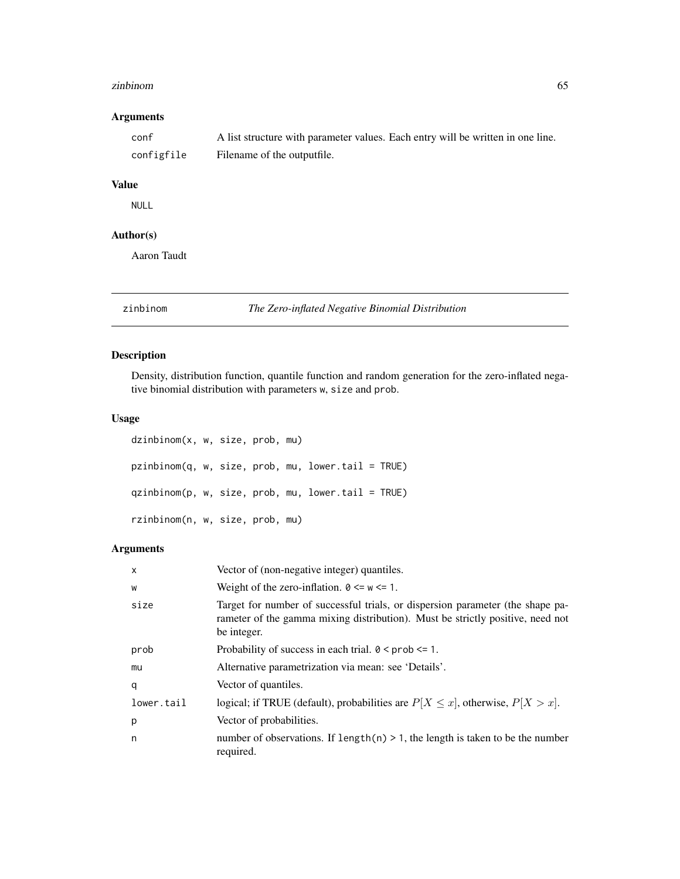#### <span id="page-64-0"></span>zinbinom 65

## Arguments

| conf       | A list structure with parameter values. Each entry will be written in one line. |
|------------|---------------------------------------------------------------------------------|
| configfile | Filename of the outputfile.                                                     |

## Value

NULL

## Author(s)

Aaron Taudt

zinbinom *The Zero-inflated Negative Binomial Distribution*

## Description

Density, distribution function, quantile function and random generation for the zero-inflated negative binomial distribution with parameters w, size and prob.

#### Usage

dzinbinom(x, w, size, prob, mu) pzinbinom(q, w, size, prob, mu, lower.tail = TRUE) qzinbinom(p, w, size, prob, mu, lower.tail = TRUE) rzinbinom(n, w, size, prob, mu)

| $\mathsf{x}$ | Vector of (non-negative integer) quantiles.                                                                                                                                     |
|--------------|---------------------------------------------------------------------------------------------------------------------------------------------------------------------------------|
| W            | Weight of the zero-inflation. $0 \le w \le 1$ .                                                                                                                                 |
| size         | Target for number of successful trials, or dispersion parameter (the shape pa-<br>rameter of the gamma mixing distribution). Must be strictly positive, need not<br>be integer. |
| prob         | Probability of success in each trial. $0 \leq prob \leq 1$ .                                                                                                                    |
| mu           | Alternative parametrization via mean: see 'Details'.                                                                                                                            |
| q            | Vector of quantiles.                                                                                                                                                            |
| lower.tail   | logical; if TRUE (default), probabilities are $P[X \le x]$ , otherwise, $P[X > x]$ .                                                                                            |
| p            | Vector of probabilities.                                                                                                                                                        |
| n            | number of observations. If $length(n) > 1$ , the length is taken to be the number<br>required.                                                                                  |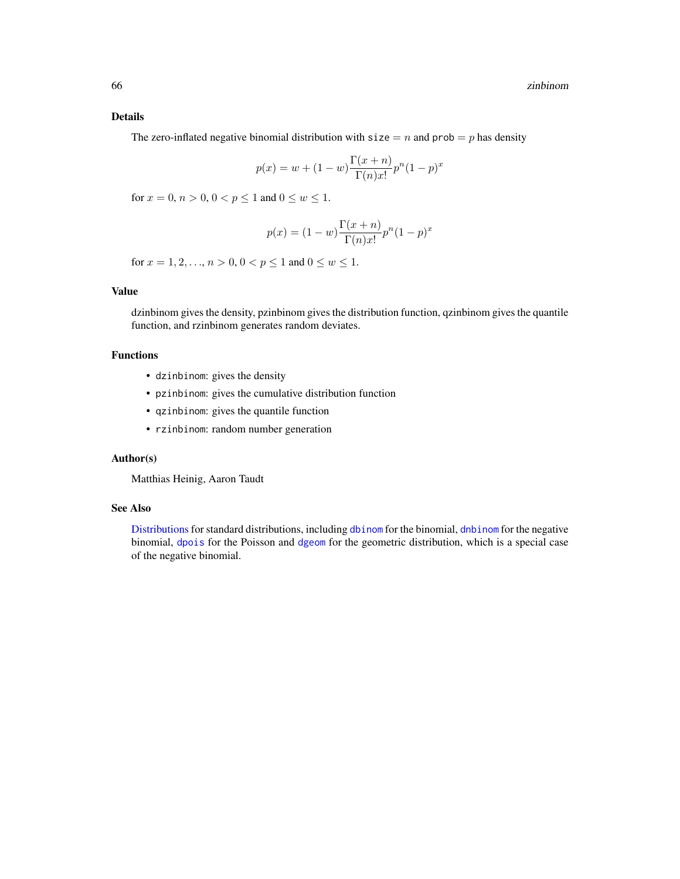## <span id="page-65-0"></span>Details

The zero-inflated negative binomial distribution with  $size = n$  and  $prob = p$  has density

$$
p(x) = w + (1 - w) \frac{\Gamma(x + n)}{\Gamma(n)x!} p^{n} (1 - p)^{x}
$$

for  $x = 0, n > 0, 0 < p \le 1$  and  $0 \le w \le 1$ .

$$
p(x) = (1 - w) \frac{\Gamma(x + n)}{\Gamma(n)x!} p^{n} (1 - p)^{x}
$$

for  $x = 1, 2, ..., n > 0, 0 < p \le 1$  and  $0 \le w \le 1$ .

## Value

dzinbinom gives the density, pzinbinom gives the distribution function, qzinbinom gives the quantile function, and rzinbinom generates random deviates.

## Functions

- dzinbinom: gives the density
- pzinbinom: gives the cumulative distribution function
- qzinbinom: gives the quantile function
- rzinbinom: random number generation

## Author(s)

Matthias Heinig, Aaron Taudt

#### See Also

[Distributions](#page-0-0) for standard distributions, including [dbinom](#page-0-0) for the binomial, [dnbinom](#page-0-0) for the negative binomial, [dpois](#page-0-0) for the Poisson and [dgeom](#page-0-0) for the geometric distribution, which is a special case of the negative binomial.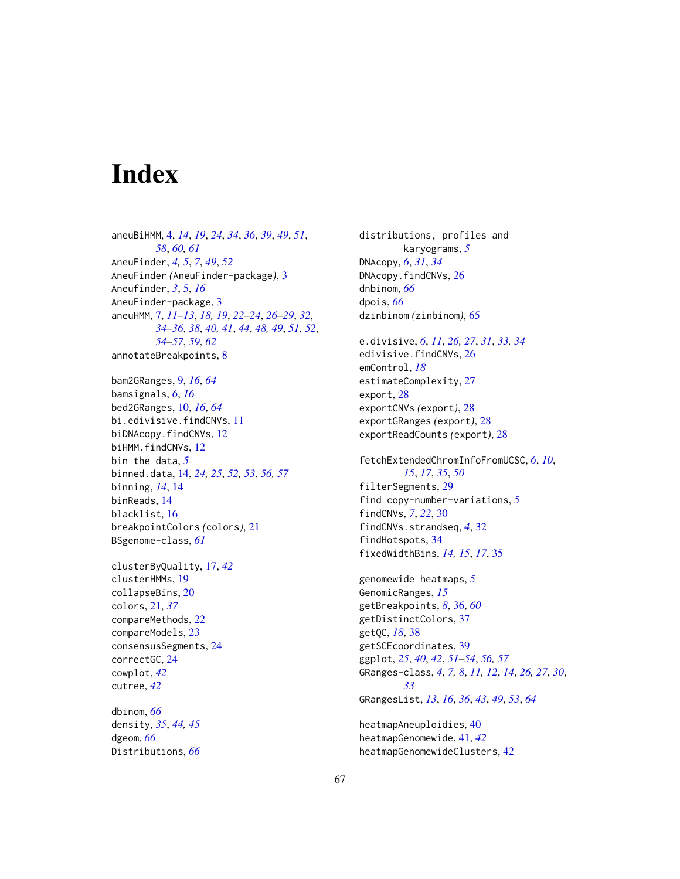# <span id="page-66-0"></span>**Index**

aneuBiHMM, [4,](#page-3-0) *[14](#page-13-0)*, *[19](#page-18-0)*, *[24](#page-23-0)*, *[34](#page-33-0)*, *[36](#page-35-0)*, *[39](#page-38-0)*, *[49](#page-48-0)*, *[51](#page-50-0)*, *[58](#page-57-0)*, *[60,](#page-59-0) [61](#page-60-0)* AneuFinder, *[4,](#page-3-0) [5](#page-4-0)*, *[7](#page-6-0)*, *[49](#page-48-0)*, *[52](#page-51-0)* AneuFinder *(*AneuFinder-package*)*, [3](#page-2-0) Aneufinder, *[3](#page-2-0)*, [5,](#page-4-0) *[16](#page-15-0)* AneuFinder-package, [3](#page-2-0) aneuHMM, [7,](#page-6-0) *[11](#page-10-0)[–13](#page-12-0)*, *[18,](#page-17-0) [19](#page-18-0)*, *[22–](#page-21-0)[24](#page-23-0)*, *[26–](#page-25-0)[29](#page-28-0)*, *[32](#page-31-0)*, *[34](#page-33-0)[–36](#page-35-0)*, *[38](#page-37-0)*, *[40,](#page-39-0) [41](#page-40-0)*, *[44](#page-43-0)*, *[48,](#page-47-0) [49](#page-48-0)*, *[51,](#page-50-0) [52](#page-51-0)*, *[54](#page-53-0)[–57](#page-56-0)*, *[59](#page-58-0)*, *[62](#page-61-0)* annotateBreakpoints, [8](#page-7-0)

bam2GRanges, [9,](#page-8-0) *[16](#page-15-0)*, *[64](#page-63-0)* bamsignals, *[6](#page-5-0)*, *[16](#page-15-0)* bed2GRanges, [10,](#page-9-0) *[16](#page-15-0)*, *[64](#page-63-0)* bi.edivisive.findCNVs, [11](#page-10-0) biDNAcopy.findCNVs, [12](#page-11-0) biHMM.findCNVs, [12](#page-11-0) bin the data, *[5](#page-4-0)* binned.data, [14,](#page-13-0) *[24,](#page-23-0) [25](#page-24-0)*, *[52,](#page-51-0) [53](#page-52-0)*, *[56,](#page-55-0) [57](#page-56-0)* binning, *[14](#page-13-0)*, [14](#page-13-0) binReads, [14](#page-13-0) blacklist, [16](#page-15-0) breakpointColors *(*colors*)*, [21](#page-20-0) BSgenome-class, *[61](#page-60-0)*

clusterByQuality, [17,](#page-16-0) *[42](#page-41-0)* clusterHMMs, [19](#page-18-0) collapseBins, [20](#page-19-0) colors, [21,](#page-20-0) *[37](#page-36-0)* compareMethods, [22](#page-21-0) compareModels, [23](#page-22-0) consensusSegments, [24](#page-23-0) correctGC, [24](#page-23-0) cowplot, *[42](#page-41-0)* cutree, *[42](#page-41-0)*

dbinom, *[66](#page-65-0)* density, *[35](#page-34-0)*, *[44,](#page-43-0) [45](#page-44-0)* dgeom, *[66](#page-65-0)* Distributions, *[66](#page-65-0)*

distributions, profiles and karyograms, *[5](#page-4-0)* DNAcopy, *[6](#page-5-0)*, *[31](#page-30-0)*, *[34](#page-33-0)* DNAcopy.findCNVs, [26](#page-25-0) dnbinom, *[66](#page-65-0)* dpois, *[66](#page-65-0)* dzinbinom *(*zinbinom*)*, [65](#page-64-0)

e.divisive, *[6](#page-5-0)*, *[11](#page-10-0)*, *[26,](#page-25-0) [27](#page-26-0)*, *[31](#page-30-0)*, *[33,](#page-32-0) [34](#page-33-0)* edivisive.findCNVs, [26](#page-25-0) emControl, *[18](#page-17-0)* estimateComplexity, [27](#page-26-0) export, [28](#page-27-0) exportCNVs *(*export*)*, [28](#page-27-0) exportGRanges *(*export*)*, [28](#page-27-0) exportReadCounts *(*export*)*, [28](#page-27-0)

fetchExtendedChromInfoFromUCSC, *[6](#page-5-0)*, *[10](#page-9-0)*, *[15](#page-14-0)*, *[17](#page-16-0)*, *[35](#page-34-0)*, *[50](#page-49-0)* filterSegments, [29](#page-28-0) find copy-number-variations, *[5](#page-4-0)* findCNVs, *[7](#page-6-0)*, *[22](#page-21-0)*, [30](#page-29-0) findCNVs.strandseq, *[4](#page-3-0)*, [32](#page-31-0) findHotspots, [34](#page-33-0) fixedWidthBins, *[14,](#page-13-0) [15](#page-14-0)*, *[17](#page-16-0)*, [35](#page-34-0)

genomewide heatmaps, *[5](#page-4-0)* GenomicRanges, *[15](#page-14-0)* getBreakpoints, *[8](#page-7-0)*, [36,](#page-35-0) *[60](#page-59-0)* getDistinctColors, [37](#page-36-0) getQC, *[18](#page-17-0)*, [38](#page-37-0) getSCEcoordinates, [39](#page-38-0) ggplot, *[25](#page-24-0)*, *[40](#page-39-0)*, *[42](#page-41-0)*, *[51](#page-50-0)[–54](#page-53-0)*, *[56,](#page-55-0) [57](#page-56-0)* GRanges-class, *[4](#page-3-0)*, *[7,](#page-6-0) [8](#page-7-0)*, *[11,](#page-10-0) [12](#page-11-0)*, *[14](#page-13-0)*, *[26,](#page-25-0) [27](#page-26-0)*, *[30](#page-29-0)*, *[33](#page-32-0)* GRangesList, *[13](#page-12-0)*, *[16](#page-15-0)*, *[36](#page-35-0)*, *[43](#page-42-0)*, *[49](#page-48-0)*, *[53](#page-52-0)*, *[64](#page-63-0)*

heatmapAneuploidies, [40](#page-39-0) heatmapGenomewide, [41,](#page-40-0) *[42](#page-41-0)* heatmapGenomewideClusters, [42](#page-41-0)